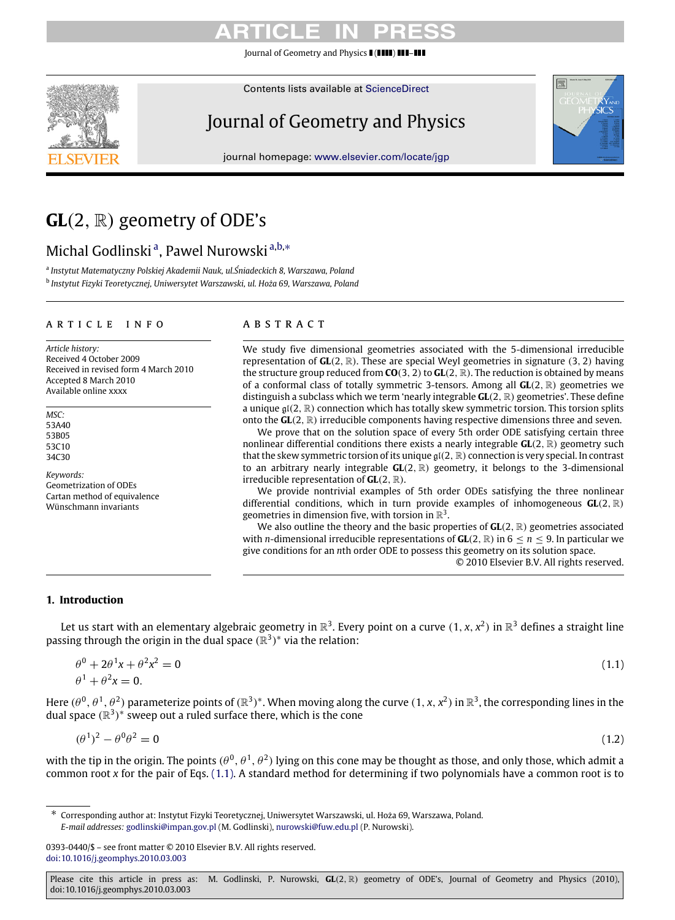Journal of Geometry and Physics ((IIII) III-III

Contents lists available at [ScienceDirect](http://www.elsevier.com/locate/jgp)

### Journal of Geometry and Physics

journal homepage: [www.elsevier.com/locate/jgp](http://www.elsevier.com/locate/jgp)

### **GL**(2, R) geometry of ODE's

### Mich[a](#page-0-0)l Godlinski<sup>a</sup>, Pawel Nurowski<sup>a[,b,](#page-0-1)\*</sup>

<span id="page-0-1"></span><span id="page-0-0"></span>a *Instytut Matematyczny Polskiej Akademii Nauk, ul.Śniadeckich 8, Warszawa, Poland* b *Instytut Fizyki Teoretycznej, Uniwersytet Warszawski, ul. Hoża 69, Warszawa, Poland*

### a r t i c l e i n f o

*Article history:* Received 4 October 2009 Received in revised form 4 March 2010 Accepted 8 March 2010 Available online xxxx

*MSC:* 53A40 53B05 53C10 34C30

*Keywords:* Geometrization of ODEs Cartan method of equivalence Wünschmann invariants

### a b s t r a c t

We study five dimensional geometries associated with the 5-dimensional irreducible representation of  $GL(2, \mathbb{R})$ . These are special Weyl geometries in signature (3, 2) having the structure group reduced from  $CO(3, 2)$  to  $GL(2, \mathbb{R})$ . The reduction is obtained by means of a conformal class of totally symmetric 3-tensors. Among all **GL**(2, R) geometries we distinguish a subclass which we term 'nearly integrable **GL**(2, R) geometries'. These define a unique  $\mathfrak{gl}(2,\mathbb{R})$  connection which has totally skew symmetric torsion. This torsion splits onto the  $GL(2, \mathbb{R})$  irreducible components having respective dimensions three and seven.

We prove that on the solution space of every 5th order ODE satisfying certain three nonlinear differential conditions there exists a nearly integrable **GL**(2, R) geometry such that the skew symmetric torsion of its unique  $\mathfrak{gl}(2,\mathbb{R})$  connection is very special. In contrast to an arbitrary nearly integrable  $GL(2, \mathbb{R})$  geometry, it belongs to the 3-dimensional irreducible representation of **GL**(2, R).

We provide nontrivial examples of 5th order ODEs satisfying the three nonlinear differential conditions, which in turn provide examples of inhomogeneous  $GL(2, \mathbb{R})$ geometries in dimension five, with torsion in  $\mathbb{R}^3$ .

We also outline the theory and the basic properties of **GL**(2, R) geometries associated with *n*-dimensional irreducible representations of  $GL(2, \mathbb{R})$  in  $6 \le n \le 9$ . In particular we give conditions for an *n*th order ODE to possess this geometry on its solution space.

<span id="page-0-4"></span><span id="page-0-3"></span>© 2010 Elsevier B.V. All rights reserved.

### **1. Introduction**

Let us start with an elementary algebraic geometry in  $\R^3.$  Every point on a curve  $(1,x,x^2)$  in  $\R^3$  defines a straight line passing through the origin in the dual space  $(\mathbb{R}^3)^*$  via the relation:

$$
\theta^0 + 2\theta^1 x + \theta^2 x^2 = 0
$$
  
\n
$$
\theta^1 + \theta^2 x = 0.
$$
\n(1.1)

Here  $(\theta^0, \theta^1, \theta^2)$  parameterize points of  $(\mathbb{R}^3)^*$ . When moving along the curve  $(1, x, x^2)$  in  $\mathbb{R}^3$ , the corresponding lines in the dual space  $(\mathbb{R}^3)^*$  sweep out a ruled surface there, which is the cone

$$
(\theta^1)^2 - \theta^0 \theta^2 = 0 \tag{1.2}
$$

with the tip in the origin. The points  $(\theta^0, \theta^1, \theta^2)$  lying on this cone may be thought as those, and only those, which admit a common root *x* for the pair of Eqs. [\(1.1\).](#page-0-3) A standard method for determining if two polynomials have a common root is to

<span id="page-0-2"></span>∗ Corresponding author at: Instytut Fizyki Teoretycznej, Uniwersytet Warszawski, ul. Hoża 69, Warszawa, Poland. *E-mail addresses:* [godlinski@impan.gov.pl](mailto:godlinski@impan.gov.pl) (M. Godlinski), [nurowski@fuw.edu.pl](mailto:nurowski@fuw.edu.pl) (P. Nurowski).

0393-0440/\$ – see front matter © 2010 Elsevier B.V. All rights reserved. [doi:10.1016/j.geomphys.2010.03.003](http://dx.doi.org/10.1016/j.geomphys.2010.03.003)

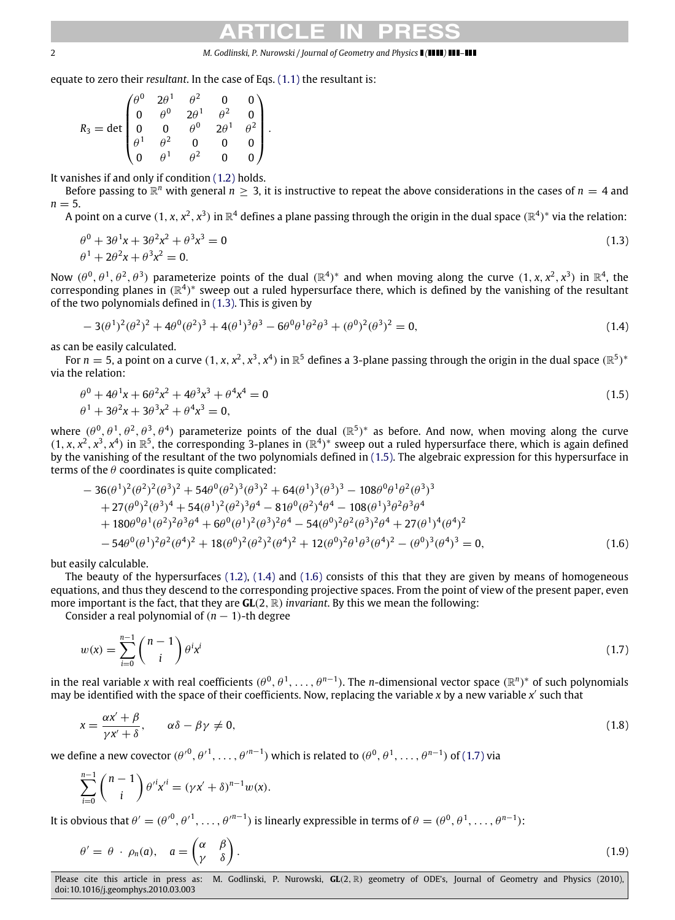#### <span id="page-1-2"></span><span id="page-1-1"></span><span id="page-1-0"></span>2 *M. Godlinski, P. Nurowski / Journal of Geometry and Physics ( ) –*

equate to zero their *resultant*. In the case of Eqs. [\(1.1\)](#page-0-3) the resultant is:

$$
R_3 = \det \begin{pmatrix} \theta^0 & 2\theta^1 & \theta^2 & 0 & 0 \\ 0 & \theta^0 & 2\theta^1 & \theta^2 & 0 \\ 0 & 0 & \theta^0 & 2\theta^1 & \theta^2 \\ \theta^1 & \theta^2 & 0 & 0 & 0 \\ 0 & \theta^1 & \theta^2 & 0 & 0 \end{pmatrix}.
$$

It vanishes if and only if condition [\(1.2\)](#page-0-4) holds.

Before passing to  $\mathbb{R}^n$  with general  $n \geq 3$ , it is instructive to repeat the above considerations in the cases of  $n = 4$  and  $n = 5$ .

A point on a curve  $(1,x,x^2,x^3)$  in  $\R^4$  defines a plane passing through the origin in the dual space ( $\R^4)^\ast$  via the relation:

$$
\theta^{0} + 3\theta^{1}x + 3\theta^{2}x^{2} + \theta^{3}x^{3} = 0
$$
  
\n
$$
\theta^{1} + 2\theta^{2}x + \theta^{3}x^{2} = 0.
$$
\n(1.3)

Now  $(\theta^0, \theta^1, \theta^2, \theta^3)$  parameterize points of the dual  $(\mathbb{R}^4)^*$  and when moving along the curve  $(1, x, x^2, x^3)$  in  $\mathbb{R}^4$ , the corresponding planes in  $(\mathbb{R}^4)^*$  sweep out a ruled hypersurface there, which is defined by the vanishing of the resultant of the two polynomials defined in [\(1.3\).](#page-1-0) This is given by

$$
-3(\theta^1)^2(\theta^2)^2 + 4\theta^0(\theta^2)^3 + 4(\theta^1)^3\theta^3 - 6\theta^0\theta^1\theta^2\theta^3 + (\theta^0)^2(\theta^3)^2 = 0,
$$
\n(1.4)

as can be easily calculated.

For  $n=5$ , a point on a curve  $(1, x, x^2, x^3, x^4)$  in  $\mathbb{R}^5$  defines a 3-plane passing through the origin in the dual space  $(\mathbb{R}^5)^*$ via the relation:

$$
\theta^{0} + 4\theta^{1}x + 6\theta^{2}x^{2} + 4\theta^{3}x^{3} + \theta^{4}x^{4} = 0
$$
  
\n
$$
\theta^{1} + 3\theta^{2}x + 3\theta^{3}x^{2} + \theta^{4}x^{3} = 0,
$$
\n(1.5)

where  $(\theta^0, \theta^1, \theta^2, \theta^3, \theta^4)$  parameterize points of the dual  $(\mathbb{R}^5)^*$  as before. And now, when moving along the curve  $(1, x, x^2, x^3, x^4)$  in  $\mathbb{R}^5$ , the corresponding 3-planes in  $(\mathbb{R}^4)^*$  sweep out a ruled hypersurface there, which is again defined by the vanishing of the resultant of the two polynomials defined in [\(1.5\).](#page-1-1) The algebraic expression for this hypersurface in terms of the  $\theta$  coordinates is quite complicated:

<span id="page-1-3"></span>
$$
- 36(\theta^{1})^{2}(\theta^{2})^{2}(\theta^{3})^{2} + 54\theta^{0}(\theta^{2})^{3}(\theta^{3})^{2} + 64(\theta^{1})^{3}(\theta^{3})^{3} - 108\theta^{0}\theta^{1}\theta^{2}(\theta^{3})^{3} + 27(\theta^{0})^{2}(\theta^{3})^{4} + 54(\theta^{1})^{2}(\theta^{2})^{3}\theta^{4} - 81\theta^{0}(\theta^{2})^{4}\theta^{4} - 108(\theta^{1})^{3}\theta^{2}\theta^{3}\theta^{4} + 180\theta^{0}\theta^{1}(\theta^{2})^{2}\theta^{3}\theta^{4} + 6\theta^{0}(\theta^{1})^{2}(\theta^{3})^{2}\theta^{4} - 54(\theta^{0})^{2}\theta^{2}(\theta^{3})^{2}\theta^{4} + 27(\theta^{1})^{4}(\theta^{4})^{2} - 54\theta^{0}(\theta^{1})^{2}\theta^{2}(\theta^{4})^{2} + 18(\theta^{0})^{2}(\theta^{2})^{2}(\theta^{4})^{2} + 12(\theta^{0})^{2}\theta^{1}\theta^{3}(\theta^{4})^{2} - (\theta^{0})^{3}(\theta^{4})^{3} = 0,
$$
\n(1.6)

but easily calculable.

The beauty of the hypersurfaces  $(1.2)$ ,  $(1.4)$  and  $(1.6)$  consists of this that they are given by means of homogeneous equations, and thus they descend to the corresponding projective spaces. From the point of view of the present paper, even more important is the fact, that they are **GL**(2, R) *invariant*. By this we mean the following:

Consider a real polynomial of  $(n - 1)$ -th degree

<span id="page-1-4"></span>
$$
w(x) = \sum_{i=0}^{n-1} {n-1 \choose i} \theta^i x^i \tag{1.7}
$$

in the real variable x with real coefficients  $(\theta^0, \theta^1, \dots, \theta^{n-1})$ . The *n*-dimensional vector space  $(\mathbb{R}^n)^*$  of such polynomials may be identified with the space of their coefficients. Now, replacing the variable x by a new variable x' such that

<span id="page-1-5"></span>
$$
x = \frac{\alpha x' + \beta}{\gamma x' + \delta}, \qquad \alpha \delta - \beta \gamma \neq 0,
$$
\n(1.8)

we define a new covector  $(\theta'^0, \theta'^1, \dots, \theta'^{n-1})$  which is related to  $(\theta^0, \theta^1, \dots, \theta^{n-1})$  of [\(1.7\)](#page-1-4) via

$$
\sum_{i=0}^{n-1} {n-1 \choose i} \theta'^{i} x^{i} = (\gamma x' + \delta)^{n-1} w(x).
$$

It is obvious that  $\theta' = (\theta'^0, \theta'^1, \dots, \theta'^{n-1})$  is linearly expressible in terms of  $\theta = (\theta^0, \theta^1, \dots, \theta^{n-1})$ :

<span id="page-1-6"></span>
$$
\theta' = \theta \cdot \rho_n(a), \quad a = \begin{pmatrix} \alpha & \beta \\ \gamma & \delta \end{pmatrix} . \tag{1.9}
$$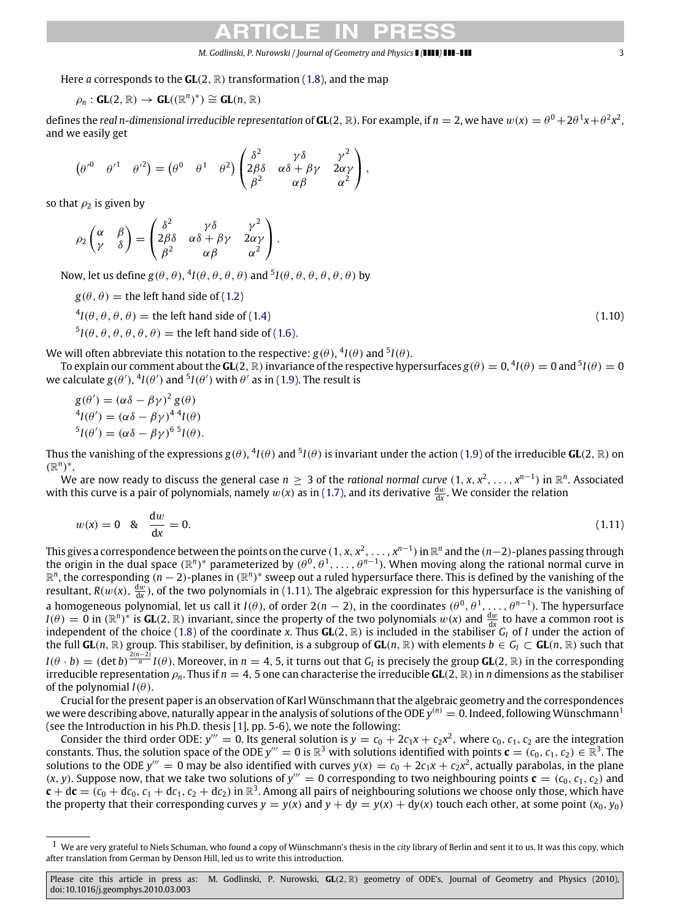*M. Godlinski, P. Nurowski / Journal of Geometry and Physics ( ) –* 3

<span id="page-2-2"></span><span id="page-2-0"></span>

Here *a* corresponds to the **GL**(2, R) transformation [\(1.8\),](#page-1-5) and the map

$$
\rho_n: GL(2,\mathbb{R})\to GL((\mathbb{R}^n)^*)\cong GL(n,\mathbb{R})
$$

defines the real *n*-dimensional irreducible representation of **GL**(2,  $\R$ ). For example, if  $n = 2$ , we have  $w(x) = \theta^0 + 2\theta^1 x + \theta^2 x^2$ , and we easily get

$$
(\theta'^0 \quad \theta'^1 \quad \theta'^2) = (\theta^0 \quad \theta^1 \quad \theta^2) \begin{pmatrix} \delta^2 & \gamma \delta & \gamma^2 \\ 2\beta\delta & \alpha\delta + \beta\gamma & 2\alpha\gamma \\ \beta^2 & \alpha\beta & \alpha^2 \end{pmatrix},
$$

so that  $\rho_2$  is given by

$$
\rho_2 \begin{pmatrix} \alpha & \beta \\ \gamma & \delta \end{pmatrix} = \begin{pmatrix} \delta^2 & \gamma \delta & \gamma^2 \\ 2\beta\delta & \alpha\delta + \beta\gamma & 2\alpha\gamma \\ \beta^2 & \alpha\beta & \alpha^2 \end{pmatrix}.
$$

Now, let us define  $g(\theta, \theta)$ ,  ${}^4I(\theta, \theta, \theta, \theta)$  and  ${}^5I(\theta, \theta, \theta, \theta, \theta, \theta)$  by

 $g(\theta, \theta)$  = the left hand side of [\(1.2\)](#page-0-4)

 ${}^{4}I(\theta, \theta, \theta, \theta)$  = the left hand side of [\(1.4\)](#page-1-2) (1.10)

 ${}^{5}I(\theta, \theta, \theta, \theta, \theta, \theta)$  = the left hand side of [\(1.6\)](#page-1-3).

We will often abbreviate this notation to the respective:  $g(\theta)$ ,  ${}^4I(\theta)$  and  ${}^5I(\theta)$ .

To explain our comment about the **GL**(2,  $\R$ ) invariance of the respective hypersurfaces  $g(\theta)=0,$   ${}^4I(\theta)=0$  and  ${}^5I(\theta)=0$ we calculate  $g(\theta')$ ,  ${}^4I(\theta')$  and  ${}^5I(\theta')$  with  $\theta'$  as in [\(1.9\).](#page-1-6) The result is

$$
g(\theta') = (\alpha \delta - \beta \gamma)^2 g(\theta)
$$
  
<sup>4</sup> $I(\theta') = (\alpha \delta - \beta \gamma)^{4}$ <sup>4</sup> $I(\theta)$   
<sup>5</sup> $I(\theta') = (\alpha \delta - \beta \gamma)^{6}$ <sup>5</sup> $I(\theta)$ .

Thus the vanishing of the expressions  $g(\theta)$ ,  $^4I(\theta)$  and  $^5I(\theta)$  is invariant under the action [\(1.9\)](#page-1-6) of the irreducible **GL**(2,  $\R$ ) on  $(\mathbb{R}^n)^*$ .

We are now ready to discuss the general case  $n \geq 3$  of the *rational normal curve*  $(1, x, x^2, \ldots, x^{n-1})$  in  $\mathbb{R}^n$ . Associated with this curve is a pair of polynomials, namely  $w(x)$  as in [\(1.7\),](#page-1-4) and its derivative  $\frac{dw}{dx}$ . We consider the relation

$$
w(x) = 0 \quad 8 \quad \frac{dw}{dx} = 0. \tag{1.11}
$$

This gives a correspondence between the points on the curve  $(1,x,x^2,\ldots,x^{n-1})$  in  $\R^n$  and the  $(n-2)$ -planes passing through the origin in the dual space ( $\mathbb{R}^n$ )\* parameterized by  $(\theta^0, \theta^1, \dots, \theta^{n-1})$ . When moving along the rational normal curve in  $\mathbb{R}^n$ , the corresponding (n − 2)-planes in ( $\mathbb{R}^n$ )\* sweep out a ruled hypersurface there. This is defined by the vanishing of the resultant,  $R(w(x), \frac{dw}{dx})$ , of the two polynomials in [\(1.11\).](#page-2-0) The algebraic expression for this hypersurface is the vanishing of a homogeneous polynomial, let us call it *I*( $\theta$ ), of order 2(n – 2), in the coordinates ( $\theta^0, \theta^1, \ldots, \theta^{n-1}$ ). The hypersurface  $I(\theta) = 0$  in  $(\mathbb{R}^n)^*$  is **GL**(2,  $\mathbb{R}$ ) invariant, since the property of the two polynomials  $w(x)$  and  $\frac{dw}{dx}$  to have a common root is independent of the choice [\(1.8\)](#page-1-5) of the coordinate *x*. Thus  $GL(2, \mathbb{R})$  is included in the stabiliser  $G_l$  of *I* under the action of the full  $GL(n, \mathbb{R})$  group. This stabiliser, by definition, is a subgroup of  $GL(n, \mathbb{R})$  with elements  $b \in G_l \subset GL(n, \mathbb{R})$  such that  $I(\theta \cdot b) = (\det b)^{\frac{2(n-2)}{n}} I(\theta)$ . Moreover, in  $n = 4, 5$ , it turns out that *G<sub>I</sub>* is precisely the group **GL**(2, R) in the corresponding irreducible representation  $\rho_n$ . Thus if  $n = 4, 5$  one can characterise the irreducible **GL**(2, R) in *n* dimensions as the stabiliser of the polynomial  $I(\theta)$ .

Crucial for the present paper is an observation of Karl Wünschmann that the algebraic geometry and the correspondences we were describing above, naturally appear in the analysis of solutions of the ODE  $y^{(n)}=0.$  Indeed, following Wünschmann $^1$  $^1$ (see the Introduction in his Ph.D. thesis [\[1\]](#page-35-0), pp. 5-6), we note the following:

Consider the third order ODE:  $y''' = 0$ . Its general solution is  $y = c_0 + 2c_1x + c_2x^2$ , where  $c_0, c_1, c_2$  are the integration constants. Thus, the solution space of the ODE  $y''' = 0$  is  $\mathbb{R}^3$  with solutions identified with points  $\mathbf{c} = (c_0, c_1, c_2) \in \mathbb{R}^3$ . The solutions to the ODE  $y''' = 0$  may be also identified with curves  $y(x) = c_0 + 2c_1x + c_2x^2$ , actually parabolas, in the plane  $(x, y)$ . Suppose now, that we take two solutions of  $y''' = 0$  corresponding to two neighbouring points  $\mathbf{c} = (c_0, c_1, c_2)$  and  $c + dc = (c_0 + dc_0, c_1 + dc_1, c_2 + dc_2)$  in  $\mathbb{R}^3$ . Among all pairs of neighbouring solutions we choose only those, which have the property that their corresponding curves  $y = y(x)$  and  $y + dy = y(x) + dy(x)$  touch each other, at some point  $(x_0, y_0)$ 

<span id="page-2-1"></span><sup>1</sup> We are very grateful to Niels Schuman, who found a copy of Wünschmann's thesis in the *city* library of Berlin and sent it to us. It was this copy, which after translation from German by Denson Hill, led us to write this introduction.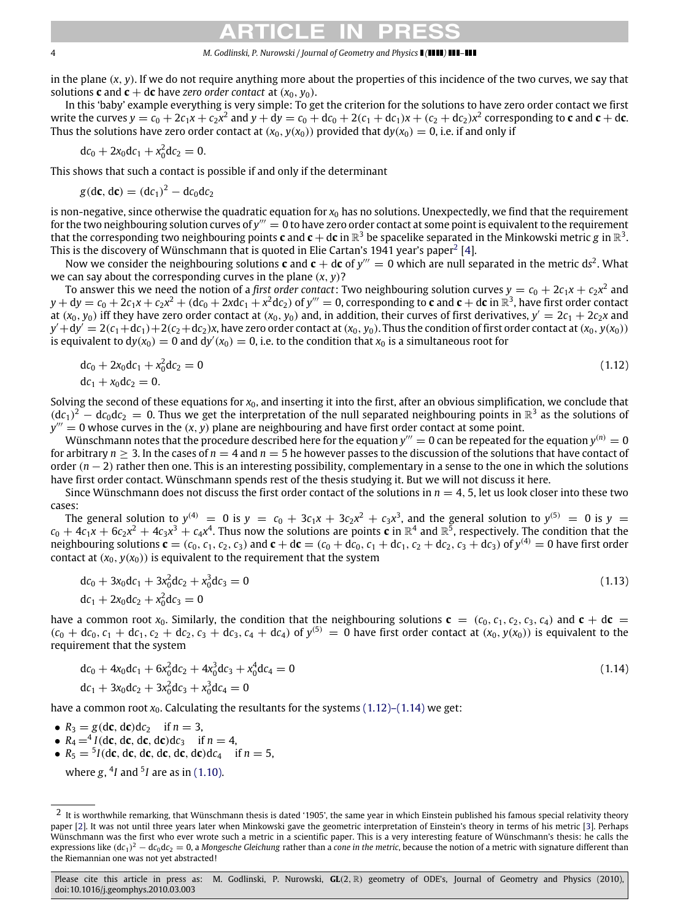#### 4 *M. Godlinski, P. Nurowski / Journal of Geometry and Physics ( ) –*

in the plane (*x*, *y*). If we do not require anything more about the properties of this incidence of the two curves, we say that solutions **c** and **c** + d**c** have *zero order contact* at  $(x_0, y_0)$ .

In this 'baby' example everything is very simple: To get the criterion for the solutions to have zero order contact we first write the curves  $y = c_0 + 2c_1x + c_2x^2$  and  $y + dy = c_0 + dc_0 + 2(c_1 + dc_1)x + (c_2 + dc_2)x^2$  corresponding to **c** and **c** + d**c**. Thus the solutions have zero order contact at  $(x_0, y(x_0))$  provided that  $dy(x_0) = 0$ , i.e. if and only if

$$
dc_0 + 2x_0dc_1 + x_0^2dc_2 = 0.
$$

This shows that such a contact is possible if and only if the determinant

$$
g(\mathbf{d}\mathbf{c},\mathbf{d}\mathbf{c})=(\mathbf{d}c_1)^2-\mathbf{d}c_0\mathbf{d}c_2
$$

is non-negative, since otherwise the quadratic equation for *x*<sup>0</sup> has no solutions. Unexpectedly, we find that the requirement for the two neighbouring solution curves of y''' = 0 to have zero order contact at some point is equivalent to the requirement that the corresponding two neighbouring points **c** and **c** + **dc** in  $\mathbb{R}^3$  be spacelike separated in the Minkowski metric g in  $\mathbb{R}^3$ . This is the discovery of Wünschmann that is quoted in Elie Cartan's 1941 year's paper $^2$  $^2$  [\[4\]](#page-35-1).

Now we consider the neighbouring solutions **c** and  $c + dc$  of  $y''' = 0$  which are null separated in the metric ds<sup>2</sup>. What we can say about the corresponding curves in the plane (*x*, *y*)?

To answer this we need the notion of a *first order contact* : Two neighbouring solution curves  $y=c_0+2c_1x+c_2x^2$  and  $y+{\rm d}y=c_0+2c_1x+c_2x^2+({\rm d}c_0+2{\rm x}{\rm d}c_1+x^2{\rm d}c_2)$  of  $y'''=0$ , corresponding to  ${\bf c}$  and  ${\bf c}+{\rm d}{\bf c}$  in  $\mathbb{R}^3$ , have first order contact at  $(x_0, y_0)$  iff they have zero order contact at  $(x_0, y_0)$  and, in addition, their curves of first derivatives,  $y' = 2c_1 + 2c_2x$  and  $y'+dy'=2(c_1+dc_1)+2(c_2+dc_2)$ x, have zero order contact at ( $x_0, y_0$ ). Thus the condition of first order contact at ( $x_0, y(x_0)$ ) is equivalent to  $dy(x_0) = 0$  and  $dy'(x_0) = 0$ , i.e. to the condition that  $x_0$  is a simultaneous root for

<span id="page-3-1"></span>
$$
dc_0 + 2x_0dc_1 + x_0^2dc_2 = 0
$$
\n
$$
dc_1 + x_0dc_2 = 0.
$$
\n(1.12)

Solving the second of these equations for *x*0, and inserting it into the first, after an obvious simplification, we conclude that  $(dc_1)^2 - dc_0dc_2 = 0$ . Thus we get the interpretation of the null separated neighbouring points in  $\mathbb{R}^3$  as the solutions of  $y''' = 0$  whose curves in the  $(x, y)$  plane are neighbouring and have first order contact at some point.

Wünschmann notes that the procedure described here for the equation  $y'''=0$  can be repeated for the equation  $y^{(n)}=0$ for arbitrary  $n > 3$ . In the cases of  $n = 4$  and  $n = 5$  he however passes to the discussion of the solutions that have contact of order (*n* − 2) rather then one. This is an interesting possibility, complementary in a sense to the one in which the solutions have first order contact. Wünschmann spends rest of the thesis studying it. But we will not discuss it here.

Since Wünschmann does not discuss the first order contact of the solutions in  $n = 4$ , 5, let us look closer into these two cases:

The general solution to  $y^{(4)} = 0$  is  $y = c_0 + 3c_1x + 3c_2x^2 + c_3x^3$ , and the general solution to  $y^{(5)} = 0$  is  $y =$  $c_0 + 4c_1x + 6c_2x^2 + 4c_3x^3 + c_4x^4$ . Thus now the solutions are points **c** in  $\mathbb{R}^4$  and  $\mathbb{R}^5$ , respectively. The condition that the neighbouring solutions  $\mathbf{c} = (c_0, c_1, c_2, c_3)$  and  $\mathbf{c} + d\mathbf{c} = (c_0 + dc_0, c_1 + dc_1, c_2 + dc_2, c_3 + dc_3)$  of  $y^{(4)} = 0$  have first order contact at  $(x_0, y(x_0))$  is equivalent to the requirement that the system

$$
dc_0 + 3x_0dc_1 + 3x_0^2dc_2 + x_0^3dc_3 = 0
$$
\n
$$
dc_1 + 2x_0dc_2 + x_0^2dc_3 = 0
$$
\n(1.13)

have a common root  $x_0$ . Similarly, the condition that the neighbouring solutions  $\mathbf{c} = (c_0, c_1, c_2, c_3, c_4)$  and  $\mathbf{c} + d\mathbf{c} =$  $(c_0 + dc_0, c_1 + dc_1, c_2 + dc_2, c_3 + dc_3, c_4 + dc_4)$  of  $y^{(5)} = 0$  have first order contact at  $(x_0, y(x_0))$  is equivalent to the requirement that the system

$$
dc_0 + 4x_0dc_1 + 6x_0^2dc_2 + 4x_0^3dc_3 + x_0^4dc_4 = 0
$$
\n
$$
dc_1 + 3x_0dc_2 + 3x_0^2dc_3 + x_0^3dc_4 = 0
$$
\n(1.14)

have a common root  $x_0$ . Calculating the resultants for the systems [\(1.12\)–\(1.14\)](#page-3-1) we get:

•  $R_3 = g(d\mathbf{c}, d\mathbf{c})d c_2$  if  $n = 3$ .

- $R_4 = {^4}I$ (d**c**, d**c**, d**c**)d*c*<sub>3</sub> if  $n = 4$ ,
- $R_5 = {}^5I$ (dc, dc, dc, dc, dc, dc)d $c_4$  if  $n = 5$ ,

where *g*, <sup>4</sup>*I* and <sup>5</sup>*I* are as in [\(1.10\).](#page-2-2)

<span id="page-3-0"></span><sup>&</sup>lt;sup>2</sup> It is worthwhile remarking, that Wünschmann thesis is dated '1905', the same year in which Einstein published his famous special relativity theory paper [\[2\]](#page-35-2). It was not until three years later when Minkowski gave the geometric interpretation of Einstein's theory in terms of his metric [\[3\]](#page-35-3). Perhaps Wünschmann was the first who ever wrote such a metric in a scientific paper. This is a very interesting feature of Wünschmann's thesis: he calls the expressions like  $(dc_1)^2 - d c_0dc_2 = 0$ , a *Mongesche Gleichung* rather than a *cone in the metric*, because the notion of a metric with signature different than the Riemannian one was not yet abstracted!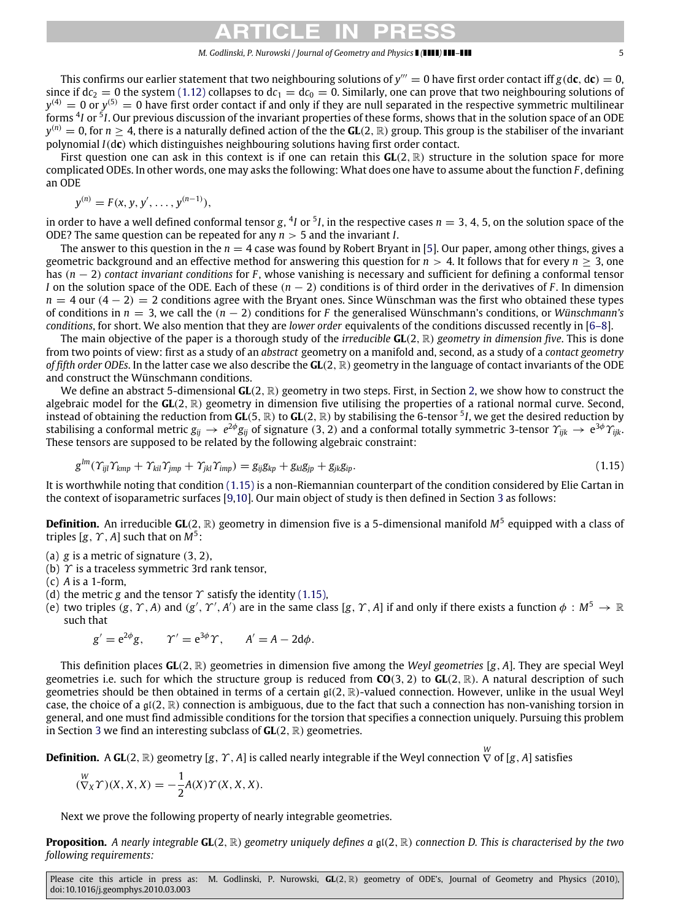#### *M. Godlinski, P. Nurowski / Journal of Geometry and Physics ( ) –* 5

<span id="page-4-0"></span>

This confirms our earlier statement that two neighbouring solutions of  $y''' = 0$  have first order contact iff  $g(d\mathbf{c}, d\mathbf{c}) = 0$ , since if  $d\sigma_2 = 0$  the system [\(1.12\)](#page-3-1) collapses to  $d\sigma_1 = d\sigma_0 = 0$ . Similarly, one can prove that two neighbouring solutions of  $y^{(4)}=0$  or  $y^{(5)}=0$  have first order contact if and only if they are null separated in the respective symmetric multilinear forms <sup>4</sup>*I* or <sup>5</sup>*I*. Our previous discussion of the invariant properties of these forms, shows that in the solution space of an ODE  $y^{(n)}=0$ , for  $n\geq 4$ , there is a naturally defined action of the the **GL**(2,  $\R$ ) group. This group is the stabiliser of the invariant polynomial *I*(d**c**) which distinguishes neighbouring solutions having first order contact.

First question one can ask in this context is if one can retain this **GL**(2, R) structure in the solution space for more complicated ODEs. In other words, one may asks the following: What does one have to assume about the function *F* , defining an ODE

$$
y^{(n)} = F(x, y, y', \ldots, y^{(n-1)}),
$$

in order to have a well defined conformal tensor  $g$ ,  $4$ I or  $5I$ , in the respective cases  $n = 3, 4, 5$ , on the solution space of the ODE? The same question can be repeated for any *n* > 5 and the invariant *I*.

The answer to this question in the  $n = 4$  case was found by Robert Bryant in [\[5\]](#page-35-4). Our paper, among other things, gives a geometric background and an effective method for answering this question for  $n > 4$ . It follows that for every  $n \geq 3$ , one has (*n* − 2) *contact invariant conditions* for *F* , whose vanishing is necessary and sufficient for defining a conformal tensor *I* on the solution space of the ODE. Each of these (*n* − 2) conditions is of third order in the derivatives of *F* . In dimension  $n = 4$  our  $(4 - 2) = 2$  conditions agree with the Bryant ones. Since Wünschman was the first who obtained these types of conditions in *n* = 3, we call the (*n* − 2) conditions for *F* the generalised Wünschmann's conditions, or *Wünschmann's conditions*, for short. We also mention that they are *lower order* equivalents of the conditions discussed recently in [\[6–8\]](#page-35-5).

The main objective of the paper is a thorough study of the *irreducible* **GL**(2, R) *geometry in dimension five*. This is done from two points of view: first as a study of an *abstract* geometry on a manifold and, second, as a study of a *contact geometry of fifth order ODEs*. In the latter case we also describe the **GL**(2, R) geometry in the language of contact invariants of the ODE and construct the Wünschmann conditions.

We define an abstract 5-dimensional **GL**(2, R) geometry in two steps. First, in Section [2,](#page-5-0) we show how to construct the algebraic model for the **GL**(2, R) geometry in dimension five utilising the properties of a rational normal curve. Second, instead of obtaining the reduction from **GL**(5, R) to **GL**(2, R) by stabilising the 6-tensor <sup>5</sup> *I*, we get the desired reduction by stabilising a conformal metric  $g_{ij}\to e^{2\phi}g_{ij}$  of signature (3, 2) and a conformal totally symmetric 3-tensor  $\gamma_{ijk}\to e^{3\phi}\gamma_{ijk}$ . These tensors are supposed to be related by the following algebraic constraint:

$$
g^{lm}(\Upsilon_{ijl}\Upsilon_{kmp} + \Upsilon_{kil}\Upsilon_{jmp} + \Upsilon_{jkl}\Upsilon_{imp}) = g_{ij}g_{kp} + g_{kl}g_{jp} + g_{jk}g_{ip}.
$$
\n(1.15)

It is worthwhile noting that condition [\(1.15\)](#page-4-0) is a non-Riemannian counterpart of the condition considered by Elie Cartan in the context of isoparametric surfaces [\[9](#page-36-0)[,10\]](#page-36-1). Our main object of study is then defined in Section [3](#page-7-0) as follows:

**Definition.** An irreducible **GL**(2, R) geometry in dimension five is a 5-dimensional manifold *M*<sup>5</sup> equipped with a class of triples [ $g, \gamma, A$ ] such that on  $M^5$ :

- (a) *g* is a metric of signature (3, 2),
- (b)  $\Upsilon$  is a traceless symmetric 3rd rank tensor,
- (c) *A* is a 1-form,
- (d) the metric *g* and the tensor  $\gamma$  satisfy the identity [\(1.15\),](#page-4-0)
- (e) two triples  $(g, \Upsilon, A)$  and  $(g', \Upsilon', A')$  are in the same class [g,  $\Upsilon, A$ ] if and only if there exists a function  $\phi: M^5 \to \R$ such that

$$
g' = e^{2\phi}g
$$
,  $\Upsilon' = e^{3\phi}\Upsilon$ ,  $A' = A - 2d\phi$ .

This definition places **GL**(2, R) geometries in dimension five among the *Weyl geometries* [*g*, *A*]. They are special Weyl geometries i.e. such for which the structure group is reduced from **CO**(3, 2) to **GL**(2, R). A natural description of such geometries should be then obtained in terms of a certain  $\mathfrak{gl}(2,\mathbb{R})$ -valued connection. However, unlike in the usual Weyl case, the choice of a  $q(2, \mathbb{R})$  connection is ambiguous, due to the fact that such a connection has non-vanishing torsion in general, and one must find admissible conditions for the torsion that specifies a connection uniquely. Pursuing this problem in Section [3](#page-7-0) we find an interesting subclass of **GL**(2, R) geometries.

**Definition.** A **GL**(2, R) geometry [*g*, Υ , *A*] is called nearly integrable if the Weyl connection *W* ∇ of [*g*, *A*] satisfies

$$
(\overset{W}{\nabla}_X \Upsilon)(X, X, X) = -\frac{1}{2}A(X)\Upsilon(X, X, X).
$$

Next we prove the following property of nearly integrable geometries.

**Proposition.** *A nearly integrable* **GL**(2, R) *geometry uniquely defines a* gl(2, R) *connection D. This is characterised by the two following requirements:*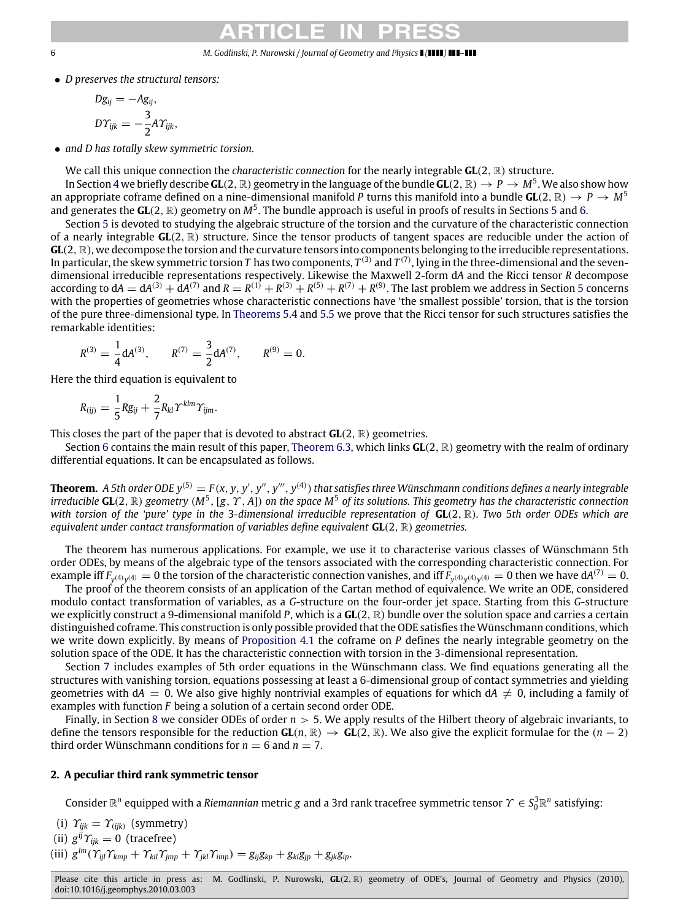#### 6 *M. Godlinski, P. Nurowski / Journal of Geometry and Physics ( ) –*

• *D preserves the structural tensors:*

$$
Dg_{ij} = -Ag_{ij},
$$
  

$$
D\Upsilon_{ijk} = -\frac{3}{2}A\Upsilon_{ijk},
$$

• *and D has totally skew symmetric torsion.*

We call this unique connection the *characteristic connection* for the nearly integrable **GL**(2, R) structure. In Section [4](#page-11-0) we briefly describe  $GL(2,\mathbb{R})$  geometry in the language of the bundle  $GL(2,\mathbb{R})\to P\to M^5.$  We also show how an appropriate coframe defined on a nine-dimensional manifold *P* turns this manifold into a bundle  $GL(2, \mathbb{R}) \to P \to M^5$ and generates the **GL**(2, R) geometry on M<sup>[5](#page-13-0)</sup>. The bundle approach is useful in proofs of results in Sections 5 and [6.](#page-17-0)

Section [5](#page-13-0) is devoted to studying the algebraic structure of the torsion and the curvature of the characteristic connection of a nearly integrable **GL**(2, R) structure. Since the tensor products of tangent spaces are reducible under the action of **GL**(2, R), we decompose the torsion and the curvature tensors into components belonging to the irreducible representations. In particular, the skew symmetric torsion  $T$  has two components,  $T^{(3)}$  and  $T^{(7)}$ , lying in the three-dimensional and the sevendimensional irreducible representations respectively. Likewise the Maxwell 2-form d*A* and the Ricci tensor *R* decompose according to  $dA = dA^{(3)} + dA^{(7)}$  and  $R = R^{(1)} + R^{(3)} + R^{(5)} + R^{(7)} + R^{(9)}$  $R = R^{(1)} + R^{(3)} + R^{(5)} + R^{(7)} + R^{(9)}$  $R = R^{(1)} + R^{(3)} + R^{(5)} + R^{(7)} + R^{(9)}$ . The last problem we address in Section 5 concerns with the properties of geometries whose characteristic connections have 'the smallest possible' torsion, that is the torsion of the pure three-dimensional type. In [Theorems 5.4](#page-14-0) and [5.5](#page-15-0) we prove that the Ricci tensor for such structures satisfies the remarkable identities:

$$
R^{(3)} = \frac{1}{4} dA^{(3)}, \qquad R^{(7)} = \frac{3}{2} dA^{(7)}, \qquad R^{(9)} = 0.
$$

Here the third equation is equivalent to

$$
R_{(ij)} = \frac{1}{5} Rg_{ij} + \frac{2}{7} R_{kl} \Upsilon^{klm} \Upsilon_{ijm}.
$$

This closes the part of the paper that is devoted to abstract **GL**(2, R) geometries.

Section [6](#page-17-0) contains the main result of this paper, [Theorem 6.3,](#page-18-0) which links **GL**(2, R) geometry with the realm of ordinary differential equations. It can be encapsulated as follows.

**Theorem.** A 5th order ODE  $y^{(5)}=F(x,y,y',y'',y''',y^{(4)})$  that satisfies three Wünschmann conditions defines a nearly integrable *irreducible* **GL**(2, R) *geometry* (*M*<sup>5</sup> , [*g*, Υ , *A*]) *on the space M*<sup>5</sup> *of its solutions. This geometry has the characteristic connection with torsion of the 'pure' type in the* 3*-dimensional irreducible representation of* **GL**(2, R)*. Two* 5*th order ODEs which are equivalent under contact transformation of variables define equivalent* **GL**(2, R) *geometries.*

The theorem has numerous applications. For example, we use it to characterise various classes of Wünschmann 5th order ODEs, by means of the algebraic type of the tensors associated with the corresponding characteristic connection. For example iff  $F_{y^{(4)}y^{(4)}} = 0$  the torsion of the characteristic connection vanishes, and iff  $F_{y^{(4)}y^{(4)}y^{(4)}} = 0$  then we have dA<sup>(7)</sup> = 0.

The proof of the theorem consists of an application of the Cartan method of equivalence. We write an ODE, considered modulo contact transformation of variables, as a *G*-structure on the four-order jet space. Starting from this *G*-structure we explicitly construct a 9-dimensional manifold *P*, which is a **GL**(2, R) bundle over the solution space and carries a certain distinguished coframe. This construction is only possible provided that the ODE satisfies the Wünschmann conditions, which we write down explicitly. By means of [Proposition 4.1](#page-12-0) the coframe on *P* defines the nearly integrable geometry on the solution space of the ODE. It has the characteristic connection with torsion in the 3-dimensional representation.

Section [7](#page-24-0) includes examples of 5th order equations in the Wünschmann class. We find equations generating all the structures with vanishing torsion, equations possessing at least a 6-dimensional group of contact symmetries and yielding geometries with  $dA = 0$ . We also give highly nontrivial examples of equations for which  $dA \neq 0$ , including a family of examples with function *F* being a solution of a certain second order ODE.

Finally, in Section [8](#page-28-0) we consider ODEs of order *n* > 5. We apply results of the Hilbert theory of algebraic invariants, to define the tensors responsible for the reduction  $GL(n, \mathbb{R}) \to GL(2, \mathbb{R})$ . We also give the explicit formulae for the  $(n-2)$ third order Wünschmann conditions for  $n = 6$  and  $n = 7$ .

### <span id="page-5-0"></span>**2. A peculiar third rank symmetric tensor**

Consider  $\R^n$  equipped with a *Riemannian* metric g and a 3rd rank tracefree symmetric tensor  $\varUpsilon\in S^3_0\R^n$  satisfying:

(i) 
$$
\Upsilon_{ijk} = \Upsilon_{(ijk)}
$$
 (symmetry)

(ii) 
$$
g^{ij} \Upsilon_{ijk} = 0
$$
 (tracefree)

 $\chi$ (iii)  $g^{lm}(\gamma_{ijl}\gamma_{kmp} + \gamma_{kil}\gamma_{jmp} + \gamma_{jkl}\gamma_{imp}) = g_{ij}g_{kp} + g_{kl}g_{jp} + g_{jk}g_{ip}.$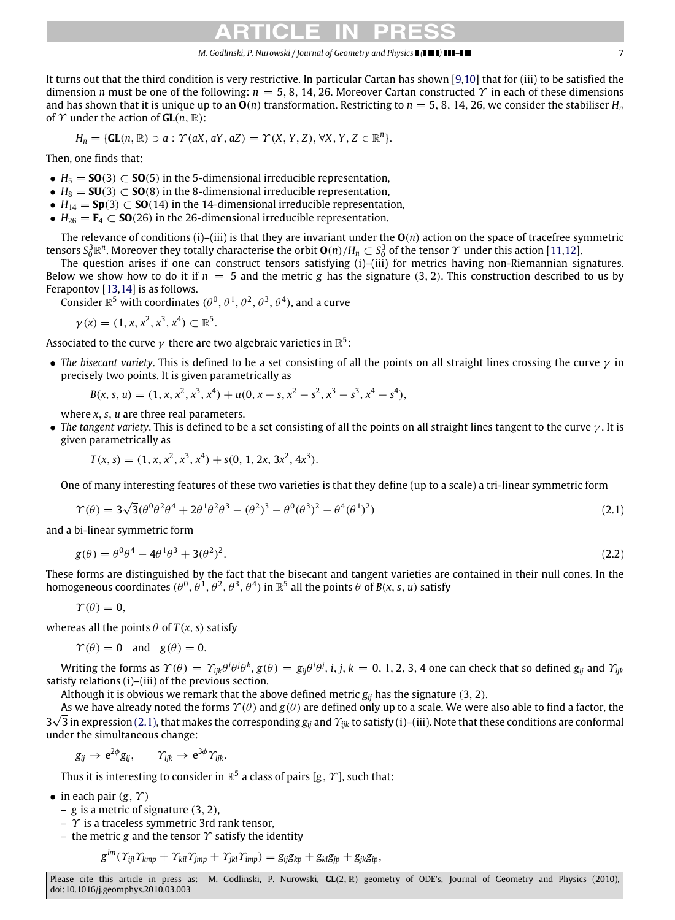#### *M. Godlinski, P. Nurowski / Journal of Geometry and Physics ( ) –* 7

It turns out that the third condition is very restrictive. In particular Cartan has shown [\[9](#page-36-0)[,10\]](#page-36-1) that for (iii) to be satisfied the dimension *n* must be one of the following: *n* = 5, 8, 14, 26. Moreover Cartan constructed Υ in each of these dimensions and has shown that it is unique up to an  $O(n)$  transformation. Restricting to  $n = 5, 8, 14, 26$ , we consider the stabiliser  $H_n$ of  $\Upsilon$  under the action of  $GL(n, \mathbb{R})$ :

$$
H_n = \{ \mathbf{GL}(n, \mathbb{R}) \ni a : \Upsilon(aX, aY, aZ) = \Upsilon(X, Y, Z), \forall X, Y, Z \in \mathbb{R}^n \}.
$$

Then, one finds that:

- $H_5 = SO(3) \subset SO(5)$  in the 5-dimensional irreducible representation,
- $H_8 = SU(3) \subset SO(8)$  in the 8-dimensional irreducible representation,
- *H*<sup>14</sup> = **Sp**(3) ⊂ **SO**(14) in the 14-dimensional irreducible representation,
- $H_{26} = \mathbf{F}_4 \subset \mathbf{SO}(26)$  in the 26-dimensional irreducible representation.

The relevance of conditions (i)–(iii) is that they are invariant under the  $O(n)$  action on the space of tracefree symmetric tensors  $S_0^3\R^n$ . Moreover they totally characterise the orbit  $\mathbf{O}(n)/H_n\subset S_0^3$  of the tensor  $\gamma$  under this action [\[11](#page-36-2)[,12\]](#page-36-3).

The question arises if one can construct tensors satisfying (i)–(iii) for metrics having non-Riemannian signatures. Below we show how to do it if  $n = 5$  and the metric g has the signature (3, 2). This construction described to us by Ferapontov [\[13](#page-36-4)[,14\]](#page-36-5) is as follows.

Consider  $\mathbb{R}^5$  with coordinates  $(\theta^0, \theta^1, \theta^2, \theta^3, \theta^4)$ , and a curve

$$
\gamma(x) = (1, x, x^2, x^3, x^4) \subset \mathbb{R}^5
$$
.

Associated to the curve  $\gamma$  there are two algebraic varieties in  $\mathbb{R}^5$ :

• *The bisecant variety*. This is defined to be a set consisting of all the points on all straight lines crossing the curve  $\gamma$  in precisely two points. It is given parametrically as

$$
B(x, s, u) = (1, x, x^2, x^3, x^4) + u(0, x - s, x^2 - s^2, x^3 - s^3, x^4 - s^4),
$$

where *x*, *s*, *u* are three real parameters.

• *The tangent variety*. This is defined to be a set consisting of all the points on all straight lines tangent to the curve γ . It is given parametrically as

<span id="page-6-1"></span><span id="page-6-0"></span>
$$
T(x, s) = (1, x, x2, x3, x4) + s(0, 1, 2x, 3x2, 4x3).
$$

One of many interesting features of these two varieties is that they define (up to a scale) a tri-linear symmetric form

$$
\Upsilon(\theta) = 3\sqrt{3}(\theta^0 \theta^2 \theta^4 + 2\theta^1 \theta^2 \theta^3 - (\theta^2)^3 - \theta^0 (\theta^3)^2 - \theta^4 (\theta^1)^2)
$$
\n(2.1)

and a bi-linear symmetric form

$$
g(\theta) = \theta^0 \theta^4 - 4\theta^1 \theta^3 + 3(\theta^2)^2. \tag{2.2}
$$

These forms are distinguished by the fact that the bisecant and tangent varieties are contained in their null cones. In the homogeneous coordinates  $(\theta^0, \theta^1, \theta^2, \theta^3, \theta^4)$  in  $\mathbb{R}^5$  all the points  $\theta$  of  $B(x, s, u)$  satisfy

$$
\Upsilon(\theta)=0,
$$

whereas all the points  $\theta$  of  $T(x, s)$  satisfy

$$
\Upsilon(\theta) = 0
$$
 and  $g(\theta) = 0$ .

Writing the forms as  $\varUpsilon(\theta)=\varUpsilon_{ijk}\theta^i\theta^j\theta^k,$   $g(\theta)=g_{ij}\theta^i\theta^j$ ,  $i,j,k=0,$  1, 2, 3, 4 one can check that so defined  $g_{ij}$  and  $\varUpsilon_{ijk}$ satisfy relations (i)–(iii) of the previous section.

Although it is obvious we remark that the above defined metric  $g_{ii}$  has the signature (3, 2).

As we have already noted the forms  $\Upsilon(\theta)$  and  $g(\theta)$  are defined only up to a scale. We were also able to find a factor, the 3 3 in expression [\(2.1\),](#page-6-0) that makes the corresponding *gij* and Υ*ijk* to satisfy (i)–(iii). Note that these conditions are conformal under the simultaneous change:

$$
g_{ij} \rightarrow e^{2\phi} g_{ij}, \qquad \gamma_{ijk} \rightarrow e^{3\phi} \gamma_{ijk}.
$$

Thus it is interesting to consider in  $\mathbb{R}^5$  a class of pairs [g,  $\varUpsilon$ ], such that:

- in each pair  $(g, \Upsilon)$ 
	- *g* is a metric of signature (3, 2),
	- $\gamma$  is a traceless symmetric 3rd rank tensor,
	- the metric g and the tensor  $\gamma$  satisfy the identity

$$
g^{lm}(\Upsilon_{ijl}\Upsilon_{kmp}+\Upsilon_{kil}\Upsilon_{jmp}+\Upsilon_{jkl}\Upsilon_{imp})=g_{ij}g_{kp}+g_{kl}g_{jp}+g_{jk}g_{ip},
$$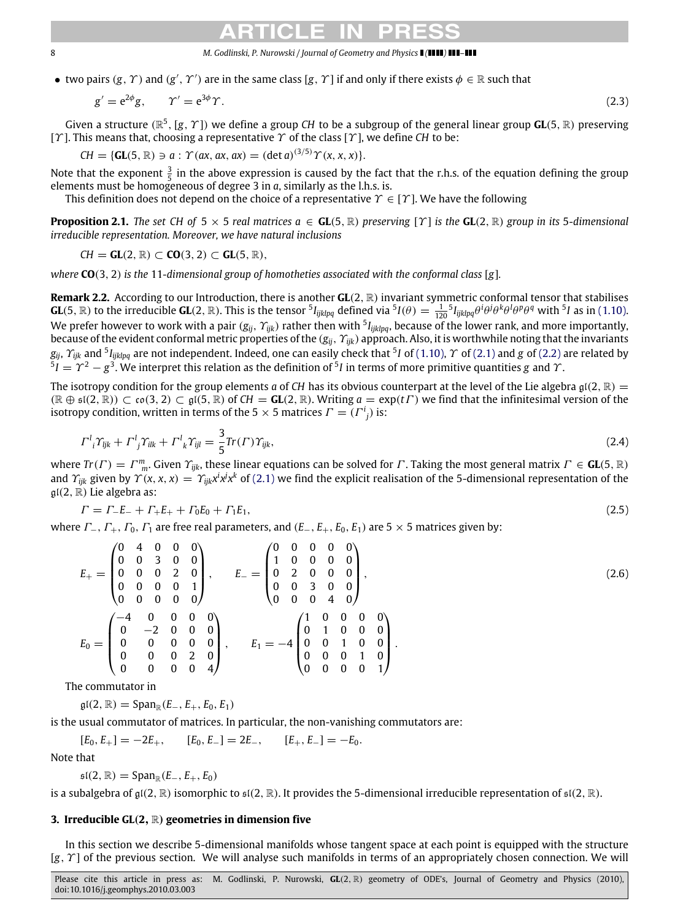#### 8 *M. Godlinski, P. Nurowski / Journal of Geometry and Physics ( ) –*

• two pairs  $(g, \gamma)$  and  $(g', \gamma')$  are in the same class  $[g, \gamma]$  if and only if there exists  $\phi \in \mathbb{R}$  such that

<span id="page-7-1"></span>
$$
g' = e^{2\phi}g, \qquad \Upsilon' = e^{3\phi}\Upsilon. \tag{2.3}
$$

Given a structure ( $\mathbb{R}^5$ , [g,  $\Upsilon$ ]) we define a group *CH* to be a subgroup of the general linear group **GL**(5,  $\mathbb{R}$ ) preserving [Υ ]. This means that, choosing a representative Υ of the class [Υ ], we define *CH* to be:

$$
CH = \{GL(5, \mathbb{R}) \ni a : \Upsilon(ax, ax, ax) = (\det a)^{(3/5)} \Upsilon(x, x, x)\}.
$$

Note that the exponent  $\frac{3}{5}$  in the above expression is caused by the fact that the r.h.s. of the equation defining the group elements must be homogeneous of degree 3 in *a*, similarly as the l.h.s. is.

This definition does not depend on the choice of a representative  $\Upsilon \in [\Upsilon]$ . We have the following

**Proposition 2.1.** *The set CH of*  $5 \times 5$  *real matrices*  $a \in GL(5, \mathbb{R})$  *preserving* [ $\Upsilon$ ] *is the* **GL**(2,  $\mathbb{R}$ ) *group in its* 5-dimensional *irreducible representation. Moreover, we have natural inclusions*

 $CH = GL(2, \mathbb{R}) \subset CO(3, 2) \subset GL(5, \mathbb{R}),$ 

*where* **CO**(3, 2) *is the* 11*-dimensional group of homotheties associated with the conformal class* [*g*]*.*

**Remark 2.2.** According to our Introduction, there is another **GL**(2, R) invariant symmetric conformal tensor that stabilises **GL**(5,  $\mathbb{R}$ ) to the irreducible **GL**(2,  $\mathbb{R}$ ). This is the tensor <sup>5</sup>*I<sub>ijklpq</sub>* defined via <sup>5</sup>*I*( $\theta$ ) =  $\frac{1}{120}$ <sup>5</sup>*I<sub>ijklpq</sub>* $\theta$ <sup>*i*</sup> $\theta$ <sup>*i*</sup> $\theta$ <sup>*i*</sup> $\theta$ <sup>*i*</sup> $\theta$ <sup>*i*</sup> $\theta$ <sup>*i*</sup> $\theta$ <sup>*i*</sup> $\theta$ <sup>*i*</sup> $\theta$ <sup>*i</sup>* We prefer however to work with a pair (*gij*, Υ*ijk*) rather then with <sup>5</sup> *Iijklpq*, because of the lower rank, and more importantly, because of the evident conformal metric properties of the (*gij*, Υ*ijk*) approach. Also, it is worthwhile noting that the invariants  $g_{ij}$ ,  $\gamma_{ijk}$  and  $^5I_{ijklpq}$  are not independent. Indeed, one can easily check that  $^5I$  of [\(1.10\),](#page-2-2)  $\Upsilon$  of [\(2.1\)](#page-6-0) and g of [\(2.2\)](#page-6-1) are related by<br> $^5I=\Upsilon^2-g^3$ . We interpret this relation as the definition of  $^5I$  in te

The isotropy condition for the group elements *a* of *CH* has its obvious counterpart at the level of the Lie algebra  $\mathfrak{gl}(2,\mathbb{R}) =$  $(\mathbb{R} \oplus \mathfrak{sl}(2, \mathbb{R})) \subset \mathfrak{co}(3, 2) \subset \mathfrak{gl}(5, \mathbb{R})$  of  $CH = GL(2, \mathbb{R})$ . Writing  $a = \exp(t\Gamma)$  we find that the infinitesimal version of the isotropy condition, written in terms of the 5  $\times$  5 matrices  $\varGamma=(\varGamma^i_{\:\, j})$  is:

<span id="page-7-2"></span>
$$
\Gamma^l_i \gamma_{ijk} + \Gamma^l_j \gamma_{ilk} + \Gamma^l_k \gamma_{ijl} = \frac{3}{5} \text{Tr}(\Gamma) \gamma_{ijk},\tag{2.4}
$$

where  $Tr(\Gamma) = \Gamma^m_m$ . Given  $\Upsilon_{ijk}$ , these linear equations can be solved for  $\Gamma$ . Taking the most general matrix  $\Gamma \in GL(5, \mathbb{R})$ and  $\gamma_{ijk}$  given by  $\Upsilon(x,x,x)=\gamma_{ijk}x^ix^jx^k$  of [\(2.1\)](#page-6-0) we find the explicit realisation of the 5-dimensional representation of the  $\mathfrak{gl}(2,\mathbb{R})$  Lie algebra as:

<span id="page-7-3"></span>
$$
\Gamma = \Gamma_{-}E_{-} + \Gamma_{+}E_{+} + \Gamma_{0}E_{0} + \Gamma_{1}E_{1}, \tag{2.5}
$$

where Γ−, Γ+, Γ0, Γ<sup>1</sup> are free real parameters, and (*E*−, *E*+, *E*0, *E*1) are 5 × 5 matrices given by:

<span id="page-7-4"></span>
$$
E_{+} = \begin{pmatrix} 0 & 4 & 0 & 0 & 0 \\ 0 & 0 & 3 & 0 & 0 \\ 0 & 0 & 0 & 2 & 0 \\ 0 & 0 & 0 & 0 & 1 \\ 0 & 0 & 0 & 0 & 0 \end{pmatrix}, \qquad E_{-} = \begin{pmatrix} 0 & 0 & 0 & 0 & 0 \\ 1 & 0 & 0 & 0 & 0 \\ 0 & 2 & 0 & 0 & 0 \\ 0 & 0 & 3 & 0 & 0 \\ 0 & 0 & 4 & 0 \end{pmatrix}, \qquad (2.6)
$$
\n
$$
E_{0} = \begin{pmatrix} -4 & 0 & 0 & 0 & 0 \\ 0 & -2 & 0 & 0 & 0 \\ 0 & 0 & 0 & 0 & 0 \\ 0 & 0 & 0 & 2 & 0 \\ 0 & 0 & 0 & 0 & 4 \end{pmatrix}, \qquad E_{1} = -4 \begin{pmatrix} 1 & 0 & 0 & 0 & 0 \\ 0 & 1 & 0 & 0 & 0 \\ 0 & 0 & 1 & 0 & 0 \\ 0 & 0 & 0 & 1 & 0 \\ 0 & 0 & 0 & 0 & 1 \end{pmatrix}.
$$

The commutator in

 $\mathfrak{gl}(2, \mathbb{R}) = \text{Span}_{\mathbb{R}}(E_-, E_+, E_0, E_1)$ 

is the usual commutator of matrices. In particular, the non-vanishing commutators are:

$$
[E_0, E_+] = -2E_+, \qquad [E_0, E_-] = 2E_-, \qquad [E_+, E_-] = -E_0.
$$

Note that

$$
\mathfrak{sl}(2,\mathbb{R})=\text{Span}_{\mathbb{R}}(E_-,E_+,E_0)
$$

is a subalgebra of  $\mathfrak{gl}(2,\mathbb{R})$  isomorphic to  $\mathfrak{sl}(2,\mathbb{R})$ . It provides the 5-dimensional irreducible representation of  $\mathfrak{sl}(2,\mathbb{R})$ .

### <span id="page-7-0"></span>**3. Irreducible GL**(**2**, R) **geometries in dimension five**

In this section we describe 5-dimensional manifolds whose tangent space at each point is equipped with the structure [*g*, Υ ] of the previous section. We will analyse such manifolds in terms of an appropriately chosen connection. We will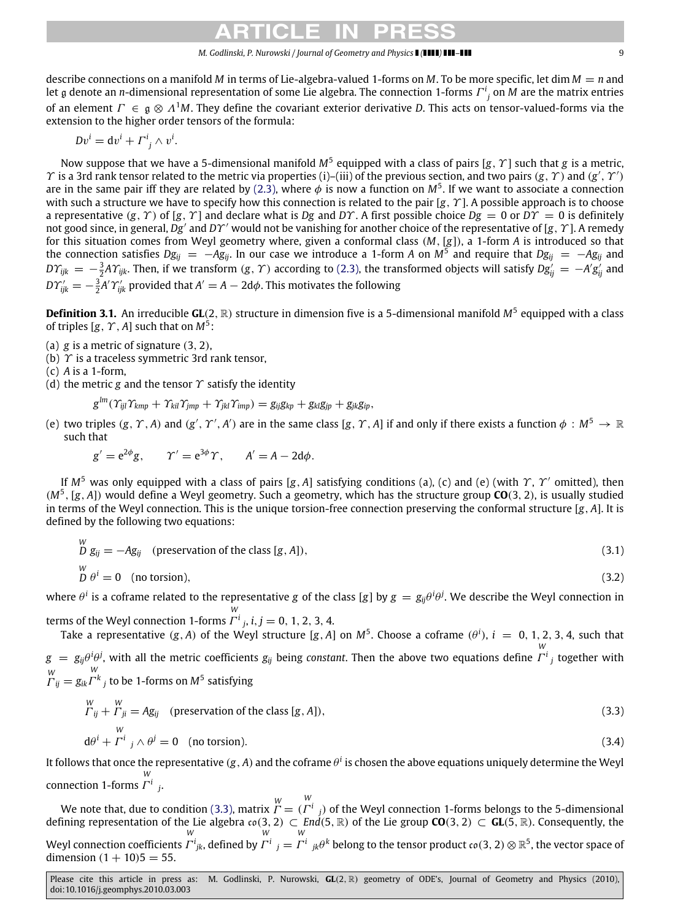#### *M. Godlinski, P. Nurowski / Journal of Geometry and Physics ( ) –* 9

describe connections on a manifold *M* in terms of Lie-algebra-valued 1-forms on *M*. To be more specific, let dim *M* = *n* and let g denote an *n-*dimensional representation of some Lie algebra. The connection 1-forms  $\varGamma^i_{\ j}$  on M are the matrix entries of an element Γ ∈ g ⊗ Λ<sup>1</sup>*M*. They define the covariant exterior derivative *D*. This acts on tensor-valued-forms via the extension to the higher order tensors of the formula:

$$
Dv^i = dv^i + \Gamma^i_{\ j} \wedge v^i.
$$

Now suppose that we have a 5-dimensional manifold *M*<sup>5</sup> equipped with a class of pairs [*g*, Υ ] such that *g* is a metric,  $\gamma$  is a 3rd rank tensor related to the metric via properties (i)–(iii) of the previous section, and two pairs (g,  $\gamma$ ) and (g',  $\gamma'$ ) are in the same pair iff they are related by [\(2.3\),](#page-7-1) where  $\phi$  is now a function on  $M^5$ . If we want to associate a connection with such a structure we have to specify how this connection is related to the pair [*g*, Υ ]. A possible approach is to choose a representative  $(g, \gamma)$  of  $[g, \gamma]$  and declare what is *Dg* and *D* $\gamma$ . A first possible choice  $Dg = 0$  or  $D\gamma = 0$  is definitely not good since, in general, Dg' and DY' would not be vanishing for another choice of the representative of [g, Y]. A remedy for this situation comes from Weyl geometry where, given a conformal class (*M*, [*g*]), a 1-form *A* is introduced so that the connection satisfies *Dgij* = −*Agij*. In our case we introduce a 1-form *A* on *M*<sup>5</sup> and require that *Dgij* = −*Agij* and  $D\varUpsilon_{ijk}~=~-\frac{3}{2}A\varUpsilon_{ijk}$ . Then, if we transform  $(g,\varUpsilon)$  according to [\(2.3\),](#page-7-1) the transformed objects will satisfy  $D\!g'_{ij}~=~-A'g'_{ij}$  and  $D\varUpsilon_{ijk}' = -\frac{3}{2}A'\varUpsilon_{ijk}'$  provided that  $A'=A-2\text{d}\phi.$  This motivates the following

**Definition 3.1.** An irreducible **GL**(2, R) structure in dimension five is a 5-dimensional manifold *M*<sup>5</sup> equipped with a class of triples [g,  $\Upsilon$ , A] such that on  $M^5$ :

- (a) *g* is a metric of signature (3, 2),
- (b)  $\Upsilon$  is a traceless symmetric 3rd rank tensor,
- (c) *A* is a 1-form,

*W*

(d) the metric *g* and the tensor  $\gamma$  satisfy the identity

$$
g^{lm}(\varUpsilon_{ijl}\varUpsilon_{kmp}+\varUpsilon_{kil}\varUpsilon_{jmp}+\varUpsilon_{jkl}\varUpsilon_{imp})=g_{ij}g_{kp}+g_{kl}g_{jp}+g_{jk}g_{ip},
$$

(e) two triples  $(g, \Upsilon, A)$  and  $(g', \Upsilon', A')$  are in the same class  $[g, \Upsilon, A]$  if and only if there exists a function  $\phi: M^5 \to \mathbb{R}$ such that

$$
g' = e^{2\phi}g
$$
,  $\Upsilon' = e^{3\phi}\Upsilon$ ,  $A' = A - 2d\phi$ .

If *M*<sup>5</sup> was only equipped with a class of pairs [g, A] satisfying conditions (a), (c) and (e) (with *Υ*, γ' omitted), then (*M*<sup>5</sup> , [*g*, *A*]) would define a Weyl geometry. Such a geometry, which has the structure group **CO**(3, 2), is usually studied in terms of the Weyl connection. This is the unique torsion-free connection preserving the conformal structure [*g*, *A*]. It is defined by the following two equations:

$$
\stackrel{\text{w}}{D} g_{ij} = -Ag_{ij} \quad \text{(preservation of the class } [g, A]), \tag{3.1}
$$

$$
\stackrel{W}{D}\theta^i = 0 \quad \text{(no torsion)},\tag{3.2}
$$

where  $\theta^i$  is a coframe related to the representative *g* of the class [*g*] by  $g\,=\,g_{ij}\theta^i\theta^j.$  We describe the Weyl connection in

terms of the Weyl connection 1-forms  $\overline{I}^i$  *j*, *i*, *j* = 0, 1, 2, 3, 4. Take a representative  $(g, A)$  of the Weyl structure  $[g, A]$  on  $M^5$ . Choose a coframe  $(\theta^i)$ ,  $i = 0, 1, 2, 3, 4$ , such that *g* =  $g_{ij}\theta^i\theta^j$ , with all the metric coefficients  $g_{ij}$  being *constant*. Then the above two equations define  $\overline{\Gamma}^i{}_j$  together with *W*

$$
\begin{aligned}\nW &F_{ij} = g_{ik} \Gamma^k{}_j \text{ to be 1-forms on } M^5 \text{ satisfying} \\
W &F_{ij} + \Gamma_{ji} = Ag_{ij} \quad \text{(preservation of the class [g, A]),}\n\end{aligned} \tag{3.3}
$$

<span id="page-8-1"></span><span id="page-8-0"></span>
$$
d\theta^{i} + \Gamma^{i}{}_{j} \wedge \theta^{j} = 0 \quad \text{(no torsion)}.
$$
\n(3.4)

It follows that once the representative  $(g, A)$  and the coframe  $\theta^i$  is chosen the above equations uniquely determine the Weyl connection 1-forms Γ *i j* . *W*

We note that, due to condition [\(3.3\),](#page-8-0) matrix  $\stackrel{W}{\Gamma} = (\stackrel{W}{\Gamma^i}{}_{j})$  of the Weyl connection 1-forms belongs to the 5-dimensional defining representation of the Lie algebra co(3, 2) ⊂ *End*(5, R) of the Lie group **CO**(3, 2) ⊂ **GL**(5, R). Consequently, the Weyl connection coefficients  $\overline{\Gamma^i}_{jk}$ , defined by  $\overline{\Gamma^i}_{\ j} = \overline{\Gamma^i}_{\ jk} \theta^k$  belong to the tensor product co(3, 2) ⊗  $\mathbb{R}^5$ , the vector space of *W W* dimension  $(1 + 10)5 = 55$ .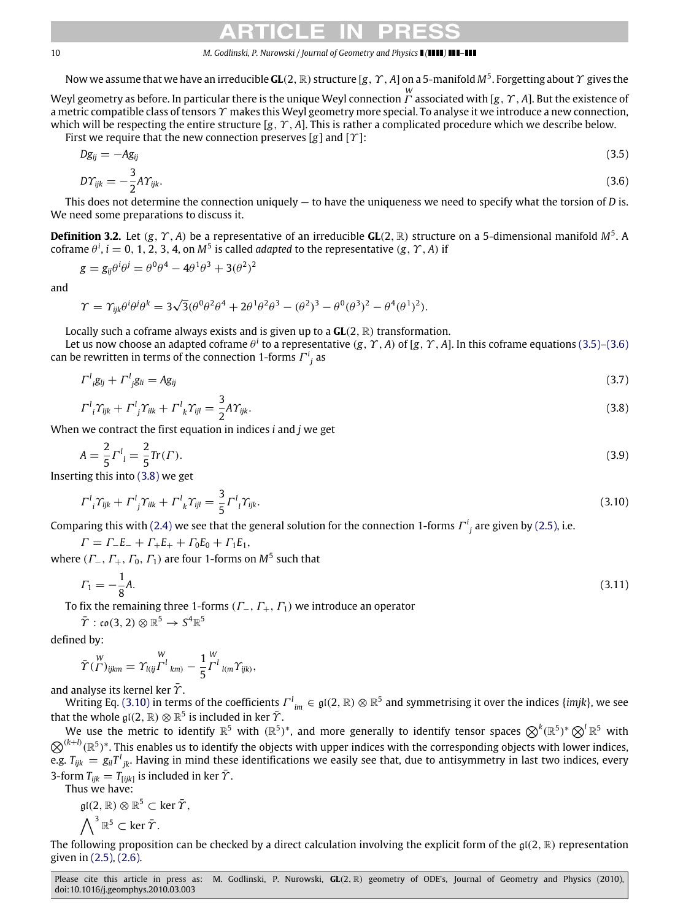10 *M. Godlinski, P. Nurowski / Journal of Geometry and Physics ( ) –*

Now we assume that we have an irreducible **GL**(2, R) structure [*g*, Υ , *A*] on a 5-manifold *M*<sup>5</sup> . Forgetting aboutΥ gives the Weyl geometry as before. In particular there is the unique Weyl connection *W* Γ associated with [*g*, Υ , *A*]. But the existence of a metric compatible class of tensors  $\gamma$  makes this Weyl geometry more special. To analyse it we introduce a new connection, which will be respecting the entire structure [*g*, Υ , *A*]. This is rather a complicated procedure which we describe below.

First we require that the new connection preserves [*g*] and [Υ ]:

<span id="page-9-1"></span><span id="page-9-0"></span>
$$
Dg_{ij} = -Ag_{ij}
$$
  
\n
$$
D\Upsilon_{ijk} = -\frac{3}{2}A\Upsilon_{ijk}.
$$
\n(3.5)

This does not determine the connection uniquely — to have the uniqueness we need to specify what the torsion of *D* is. We need some preparations to discuss it.

**Definition 3.2.** Let (*g*, Υ , *A*) be a representative of an irreducible **GL**(2, R) structure on a 5-dimensional manifold *M*<sup>5</sup> . A coframe  $\theta^i$ ,  $i = 0, 1, 2, 3, 4$ , on  $M^5$  is called *adapted* to the representative  $(g, \Upsilon, A)$  if

<span id="page-9-4"></span>
$$
g = g_{ij}\theta^i\theta^j = \theta^0\theta^4 - 4\theta^1\theta^3 + 3(\theta^2)^2
$$

and

$$
\Upsilon = \Upsilon_{ijk}\theta^{i}\theta^{j}\theta^{k} = 3\sqrt{3}(\theta^{0}\theta^{2}\theta^{4} + 2\theta^{1}\theta^{2}\theta^{3} - (\theta^{2})^{3} - \theta^{0}(\theta^{3})^{2} - \theta^{4}(\theta^{1})^{2}).
$$

Locally such a coframe always exists and is given up to a **GL**(2, R) transformation.

Let us now choose an adapted coframe  $\theta^i$  to a representative (g, Y, A) of [g, Y, A]. In this coframe equations [\(3.5\)](#page-9-0)[–\(3.6\)](#page-9-1) can be rewritten in terms of the connection 1-forms  $\Gamma^i_{\;j}$  as

$$
\Gamma^l_i g_{lj} + \Gamma^l_j g_{li} = A g_{ij} \tag{3.7}
$$

<span id="page-9-2"></span>
$$
\Gamma^l_{\ i}\gamma_{ijk} + \Gamma^l_{\ j}\gamma_{ilk} + \Gamma^l_{\ k}\gamma_{ijl} = \frac{3}{2}A\gamma_{ijk}.\tag{3.8}
$$

When we contract the first equation in indices *i* and *j* we get

$$
A = \frac{2}{5} \Gamma^l_{\ \ l} = \frac{2}{5} \text{Tr}(\Gamma). \tag{3.9}
$$

Inserting this into [\(3.8\)](#page-9-2) we get

<span id="page-9-3"></span>
$$
\Gamma^l_i \gamma_{ijk} + \Gamma^l_j \gamma_{ilk} + \Gamma^l_k \gamma_{ijl} = \frac{3}{5} \Gamma^l_i \gamma_{ijk}.
$$
\n(3.10)

Comparing this with [\(2.4\)](#page-7-2) we see that the general solution for the connection 1-forms  $\Gamma^i_{\ j}$  are given by [\(2.5\),](#page-7-3) i.e.

 $\Gamma = \Gamma_{-}E_{-} + \Gamma_{+}E_{+} + \Gamma_{0}E_{0} + \Gamma_{1}E_{1}$ 

where  $(\Gamma_-, \Gamma_+, \Gamma_0, \Gamma_1)$  are four 1-forms on  $M^5$  such that

$$
\Gamma_1 = -\frac{1}{8}A.\tag{3.11}
$$

To fix the remaining three 1-forms ( $\Gamma_-, \Gamma_+, \Gamma_1$ ) we introduce an operator

$$
\bar{\varUpsilon}: \mathfrak{co}(3,2)\otimes \mathbb{R}^5 \to S^4\mathbb{R}^5
$$

defined by:

$$
\bar{\Upsilon}(\mathop{T}\limits^W)_{ijkm}=\Upsilon_{l(ij}\mathop{T}\limits^W{}_{km)}-\frac{1}{5}\mathop{T}\limits^W{}_{l(m}\Upsilon_{ijk)},
$$

and analyse its kernel ker  $\bar{\Upsilon}$ .

Writing Eq. [\(3.10\)](#page-9-3) in terms of the coefficients  $\Gamma^l_{im}\in\mathfrak{gl}(2,\mathbb{R})\otimes\mathbb{R}^5$  and symmetrising it over the indices {*imjk*}, we see that the whole  $\mathfrak{gl}(2,\mathbb{R})\otimes\mathbb{R}^5$  is included in ker  $\tilde{\varUpsilon}$ .

We use the metric to identify  $\R^5$  with  $(\R^5)^*$ , and more generally to identify tensor spaces  $\bigotimes^k (\R^5)^* \bigotimes^l \R^5$  with  $\bigotimes^{(k+l)}(\mathbb{R}^5)^*$ . This enables us to identify the objects with upper indices with the corresponding objects with lower indices, e.g.  $T_{ijk} = g_{il}T^l_{\phantom{l}jk}$ . Having in mind these identifications we easily see that, due to antisymmetry in last two indices, every 3-form  $T_{ijk} = T_{[ijk]}$  is included in ker  $\bar{\gamma}$ .

Thus we have:

 $\mathfrak{gl}(2,\mathbb{R})\otimes \mathbb{R}^5\subset \ker \bar{\varUpsilon},$ 

$$
\bigwedge\nolimits^3 \mathbb{R}^5 \subset \ker \bar{\Upsilon}.
$$

The following proposition can be checked by a direct calculation involving the explicit form of the  $\mathfrak{gl}(2,\mathbb{R})$  representation given in [\(2.5\),](#page-7-3) [\(2.6\).](#page-7-4)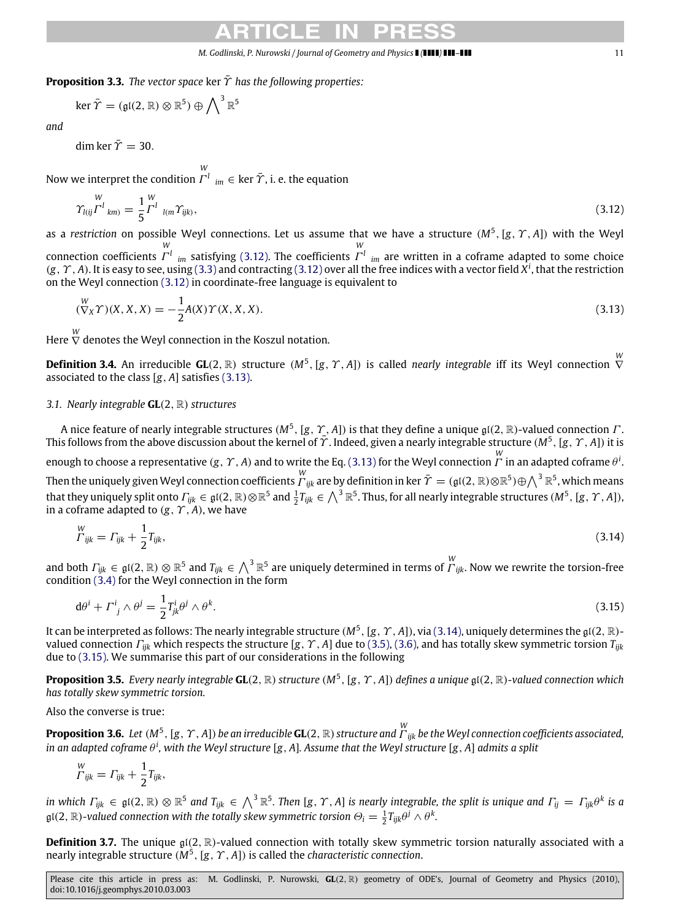#### <span id="page-10-1"></span><span id="page-10-0"></span>*M. Godlinski, P. Nurowski / Journal of Geometry and Physics ( ) –* 11

**Proposition 3.3.** *The vector space* ker  $\bar{\gamma}$  *has the following properties:* 

$$
\ker \bar{\Upsilon} = (\mathfrak{gl}(2,\mathbb{R}) \otimes \mathbb{R}^5) \oplus \bigwedge\nolimits^3 \mathbb{R}^5
$$

*and*

dim ker  $\bar{\gamma} = 30$ .

Now we interpret the condition  $\overline{I}^l_{im} \in \ker \overline{Y}$ , i. e. the equation

$$
\gamma_{(ij}\Gamma^{l}_{km}) = \frac{1}{5}\Gamma^{l}_{l(m}\gamma_{ijk)},
$$
\n(3.12)

as a *restriction* on possible Weyl connections. Let us assume that we have a structure (*M*<sup>5</sup> , [*g*, Υ , *A*]) with the Weyl connection coefficients *W* Γ *l im* satisfying [\(3.12\).](#page-10-0) The coefficients *W* Γ *l im* are written in a coframe adapted to some choice  $(g, \gamma, A)$ . It is easy to see, using [\(3.3\)](#page-8-0) and contracting [\(3.12\)](#page-10-0) over all the free indices with a vector field  $X^i$ , that the restriction on the Weyl connection [\(3.12\)](#page-10-0) in coordinate-free language is equivalent to

$$
(\overset{W}{\nabla}_X \Upsilon)(X, X, X) = -\frac{1}{2}A(X)\Upsilon(X, X, X). \tag{3.13}
$$

Here  $\stackrel{W}{\nabla}$  denotes the Weyl connection in the Koszul notation.

**Definition 3.4.** An irreducible **GL**(2, R) structure (M<sup>5</sup>, [g, Y, A]) is called *nearly integrable* iff its Weyl connection  $\stackrel{W}{\nabla}$ associated to the class [*g*, *A*] satisfies [\(3.13\).](#page-10-1)

#### *3.1. Nearly integrable* **GL**(2, R) *structures*

A nice feature of nearly integrable structures (M<sup>5</sup>, [g, Y, A]) is that they define a unique gl(2, ℝ)-valued connection Γ. This follows from the above discussion about the kernel of  $\tilde\gamma$ . Indeed, given a nearly integrable structure (M<sup>5</sup>, [g,  $\gamma$ , A]) it is enough to choose a representative (g,  $\varUpsilon$ , A) and to write the Eq. [\(3.13\)](#page-10-1) for the Weyl connection  $\stackrel{W}{\varGamma}$  in an adapted coframe  $\theta^i$ . Then the uniquely given Weyl connection coefficients  $\varGamma_{ijk}^W$  are by definition in ker  $\tilde{\varUpsilon}=(\mathfrak{gl}(2,\mathbb{R})\otimes\mathbb{R}^5)\oplus \bigwedge^3\mathbb{R}^5,$  which means that they uniquely split onto  $\Gamma_{ijk} \in \mathfrak{gl}(2,\mathbb{R})\otimes\mathbb{R}^5$  and  $\frac{1}{2}T_{ijk}\in\bigwedge^3\mathbb{R}^5.$  Thus, for all nearly integrable structures  $(M^5,[g,\varUpsilon,A]),$ in a coframe adapted to  $(g, \Upsilon, A)$ , we have

<span id="page-10-2"></span>
$$
\Gamma_{ijk} = \Gamma_{ijk} + \frac{1}{2} T_{ijk},\tag{3.14}
$$

and both  $\varGamma_{ijk}\in\mathfrak{gl}(2,\mathbb{R})\otimes\mathbb{R}^5$  and  $T_{ijk}\in\bigwedge^3\mathbb{R}^5$  are uniquely determined in terms of  $\stackrel{W}{\varGamma}_{ijk}.$  Now we rewrite the torsion-free condition [\(3.4\)](#page-8-1) for the Weyl connection in the form

<span id="page-10-3"></span>
$$
d\theta^i + \Gamma^i_{\ j} \wedge \theta^j = \frac{1}{2} T^i_{jk} \theta^j \wedge \theta^k. \tag{3.15}
$$

It can be interpreted as follows: The nearly integrable structure (M<sup>5</sup>, [g, Υ, A]), via [\(3.14\),](#page-10-2) uniquely determines the gl(2, ℝ)valued connection Γ*ijk* which respects the structure [*g*, Υ , *A*] due to [\(3.5\),](#page-9-0) [\(3.6\),](#page-9-1) and has totally skew symmetric torsion *Tijk* due to [\(3.15\).](#page-10-3) We summarise this part of our considerations in the following

<span id="page-10-4"></span>**Proposition 3.5.** *Every nearly integrable* **GL**(2, R) *structure* (*M*<sup>5</sup> , [*g*, Υ , *A*]) *defines a unique* gl(2, R)*-valued connection which has totally skew symmetric torsion.*

Also the converse is true:

**Proposition 3.6.** *Let* (*M*<sup>5</sup> , [*g*, Υ , *A*]) *be an irreducible* **GL**(2, R) *structure and W* Γ *ijk be the Weyl connection coefficients associated,*  $i$ n an adapted coframe  $\theta^i$ , with the Weyl structure [g, A]. Assume that the Weyl structure [g, A] admits a split

<span id="page-10-5"></span>
$$
\stackrel{W}{\Gamma}_{ijk}=\Gamma_{ijk}+\frac{1}{2}T_{ijk},
$$

in which  $\Gamma_{ijk} \in \mathfrak{gl}(2,\mathbb{R})\otimes \mathbb{R}^5$  and  $T_{ijk} \in \bigwedge^3 \mathbb{R}^5$ . Then [g,  $\Upsilon$ , A] is nearly integrable, the split is unique and  $\Gamma_{ij} = \Gamma_{ijk}\theta^k$  is a gl(2,  $\mathbb{R}$ )-valued connection with the totally skew symmetric torsion  $\Theta_i = \frac{1}{2} T_{ijk} \theta^j \wedge \theta^k$ .

**Definition 3.7.** The unique  $\mathfrak{gl}(2,\mathbb{R})$ -valued connection with totally skew symmetric torsion naturally associated with a nearly integrable structure (*M*<sup>5</sup> , [*g*, Υ , *A*]) is called the *characteristic connection*.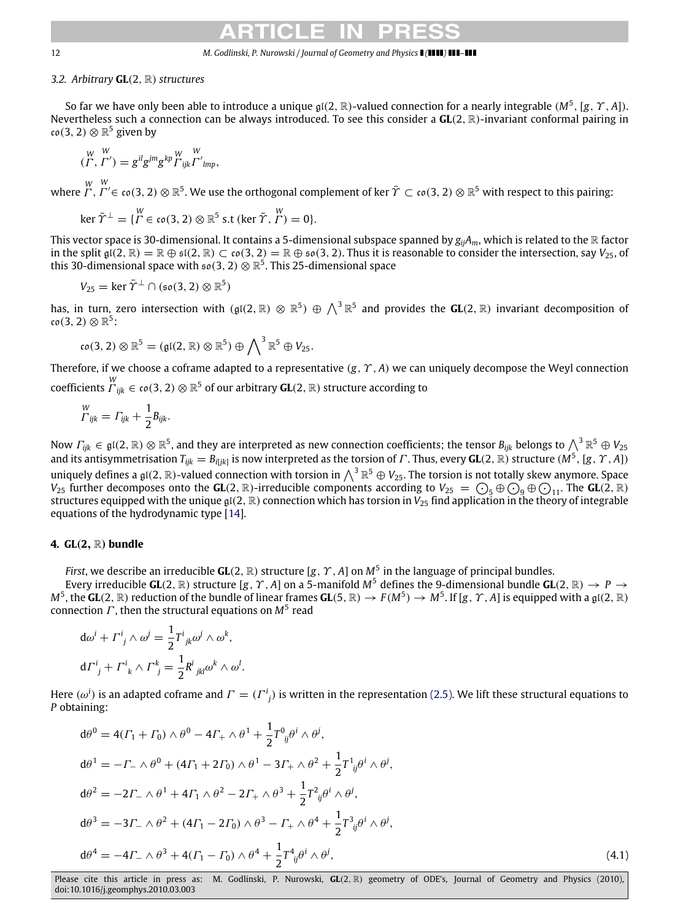#### 12 *M. Godlinski, P. Nurowski / Journal of Geometry and Physics ( ) –*

#### *3.2. Arbitrary* **GL**(2, R) *structures*

So far we have only been able to introduce a unique  $\frak{gl}(2,\Bbb R)$ -valued connection for a nearly integrable  $(M^5,[g,\Upsilon,A]).$ Nevertheless such a connection can be always introduced. To see this consider a **GL**(2, R)-invariant conformal pairing in  $\mathfrak{co}(3,2)\otimes \mathbb{R}^5$  given by

$$
(I', I') = g^{il}g^{jm}g^{kp} \, \bigvee_{ijkl}^{W} \bigvee_{lmp}^{W},
$$

where  $\mathop{I\!\!P}^W, \mathop{I\!\!P}'\in\mathfrak{co}(3,2)\otimes\mathbb{R}^5.$  We use the orthogonal complement of ker  $\tilde{Y}\subset\mathfrak{co}(3,2)\otimes\mathbb{R}^5$  with respect to this pairing:

$$
\ker \bar{T}^{\perp} = \{ \stackrel{W}{\Gamma} \in \mathfrak{co}(3, 2) \otimes \mathbb{R}^5 \text{ s.t } (\ker \bar{T}, \stackrel{W}{\Gamma}) = 0 \}.
$$

This vector space is 30-dimensional. It contains a 5-dimensional subspace spanned by *gijAm*, which is related to the R factor in the split  $\mathfrak{gl}(2,\mathbb{R}) = \mathbb{R} \oplus \mathfrak{sl}(2,\mathbb{R}) \subset \mathfrak{co}(3,2) = \mathbb{R} \oplus \mathfrak{so}(3,2)$ . Thus it is reasonable to consider the intersection, say  $V_{25}$ , of this 30-dimensional space with  $\mathfrak{so}(3, 2) \otimes \mathbb{R}^5$ . This 25-dimensional space

$$
V_{25}=\ker\bar{\varUpsilon}^{\perp}\cap(\mathfrak{so}(3,2)\otimes\mathbb{R}^5)
$$

has, in turn, zero intersection with  $(g\mathfrak{l}(2,\mathbb{R})\otimes\mathbb{R}^5)\oplus\bigwedge^3\mathbb{R}^5$  and provides the  $\mathsf{GL}(2,\mathbb{R})$  invariant decomposition of co $(3, 2) \otimes \mathbb{R}^5$ :

$$
\mathfrak{co}(3,2)\otimes \mathbb{R}^5=(\mathfrak{gl}(2,\mathbb{R})\otimes \mathbb{R}^5)\oplus \bigwedge\nolimits^3 \mathbb{R}^5\oplus V_{25}.
$$

Therefore, if we choose a coframe adapted to a representative  $(g, \Upsilon, A)$  we can uniquely decompose the Weyl connection coefficients  $\stackrel{W}{\varGamma}_{ijk}\in\mathfrak{co}(3,2)\otimes\mathbb{R}^{5}$  of our arbitrary **GL**(2,  $\mathbb R)$  structure according to

$$
\stackrel{W}{\Gamma}_{ijk}=\Gamma_{ijk}+\frac{1}{2}B_{ijk}.
$$

Now  $\varGamma_{ijk}\in\mathfrak{gl}(2,\mathbb{R})\otimes\mathbb{R}^5$ , and they are interpreted as new connection coefficients; the tensor  $B_{ijk}$  belongs to  $\bigwedge^3\mathbb{R}^5\oplus V_{25}$ and its antisymmetrisation  $T_{ijk} = B_{i[jk]}$  is now interpreted as the torsion of  $\Gamma$ . Thus, every  $GL(2, \mathbb{R})$  structure  $(M^5, [g, \Upsilon, A])$ uniquely defines a gI(2, R)-valued connection with torsion in  $\bigwedge^3\mathbb{R}^5\oplus V_{25}.$  The torsion is not totally skew anymore. Space *V*<sub>25</sub> further decomposes onto the **GL**(2, R)-irreducible components according to *V*<sub>25</sub> =  $\bigodot_5 \oplus \bigodot_9 \oplus \bigodot_{11}$ . The **GL**(2, R) structures equipped with the unique  $g(2, \mathbb{R})$  connection which has torsion in  $V_{25}$  find application in the theory of integrable equations of the hydrodynamic type [\[14\]](#page-36-5).

### <span id="page-11-0"></span>**4. GL**(**2**, R) **bundle**

*First*, we describe an irreducible **GL**(2, R) structure [*g*, Υ , *A*] on *M*<sup>5</sup> in the language of principal bundles.

Every irreducible **GL**(2,  $\mathbb{R}$ ) structure [g, Y, A] on a 5-manifold  $M^5$  defines the 9-dimensional bundle **GL**(2,  $\mathbb{R}$ )  $\rightarrow$  P  $\rightarrow$  $M^5$ , the  $GL(2,\mathbb{R})$  reduction of the bundle of linear frames  $GL(5,\mathbb{R})\to F(M^5)\to M^5.$  If [g,  $\varUpsilon$ , A] is equipped with a gl(2,  $\mathbb{R})$ connection  $\Gamma$ , then the structural equations on  $M^5$  read

$$
d\omega^{i} + \Gamma^{i}_{j} \wedge \omega^{j} = \frac{1}{2} \Gamma^{i}_{jk} \omega^{j} \wedge \omega^{k},
$$
  

$$
d\Gamma^{i}_{j} + \Gamma^{i}_{k} \wedge \Gamma^{k}_{j} = \frac{1}{2} R^{i}_{jkl} \omega^{k} \wedge \omega^{l}.
$$

Here  $(\omega^i)$  is an adapted coframe and  $\varGamma=(\varGamma^i_{~j})$  is written in the representation [\(2.5\).](#page-7-3) We lift these structural equations to *P* obtaining:

<span id="page-11-1"></span>
$$
d\theta^{0} = 4(\Gamma_{1} + \Gamma_{0}) \wedge \theta^{0} - 4\Gamma_{+} \wedge \theta^{1} + \frac{1}{2} \Gamma^{0}{}_{ij} \theta^{i} \wedge \theta^{j},
$$
  
\n
$$
d\theta^{1} = -\Gamma_{-} \wedge \theta^{0} + (4\Gamma_{1} + 2\Gamma_{0}) \wedge \theta^{1} - 3\Gamma_{+} \wedge \theta^{2} + \frac{1}{2} \Gamma^{1}{}_{ij} \theta^{i} \wedge \theta^{j},
$$
  
\n
$$
d\theta^{2} = -2\Gamma_{-} \wedge \theta^{1} + 4\Gamma_{1} \wedge \theta^{2} - 2\Gamma_{+} \wedge \theta^{3} + \frac{1}{2} \Gamma^{2}{}_{ij} \theta^{i} \wedge \theta^{j},
$$
  
\n
$$
d\theta^{3} = -3\Gamma_{-} \wedge \theta^{2} + (4\Gamma_{1} - 2\Gamma_{0}) \wedge \theta^{3} - \Gamma_{+} \wedge \theta^{4} + \frac{1}{2} \Gamma^{3}{}_{ij} \theta^{i} \wedge \theta^{j},
$$
  
\n
$$
d\theta^{4} = -4\Gamma_{-} \wedge \theta^{3} + 4(\Gamma_{1} - \Gamma_{0}) \wedge \theta^{4} + \frac{1}{2} \Gamma^{4}{}_{ij} \theta^{i} \wedge \theta^{j},
$$
\n(4.1)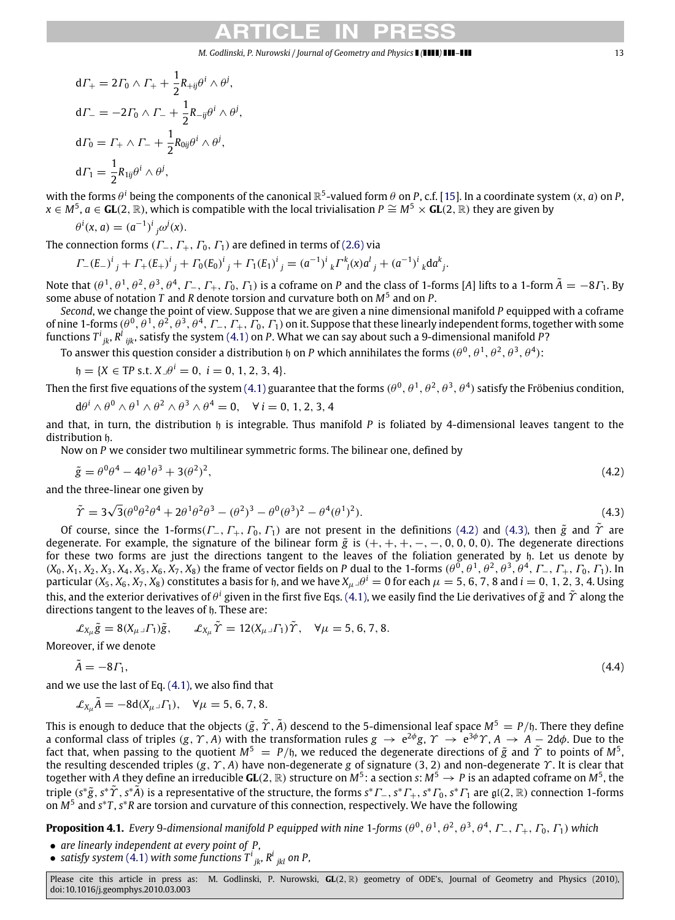#### *M. Godlinski, P. Nurowski / Journal of Geometry and Physics ( ) –* 13

$$
d\Gamma_{+} = 2\Gamma_{0} \wedge \Gamma_{+} + \frac{1}{2}R_{+ij}\theta^{i} \wedge \theta^{j},
$$
  
\n
$$
d\Gamma_{-} = -2\Gamma_{0} \wedge \Gamma_{-} + \frac{1}{2}R_{-ij}\theta^{i} \wedge \theta^{j},
$$
  
\n
$$
d\Gamma_{0} = \Gamma_{+} \wedge \Gamma_{-} + \frac{1}{2}R_{0ij}\theta^{i} \wedge \theta^{j},
$$
  
\n
$$
d\Gamma_{1} = \frac{1}{2}R_{1ij}\theta^{i} \wedge \theta^{j},
$$

with the forms  $\theta^i$  being the components of the canonical  $\mathbb{R}^5$ -valued form  $\theta$  on *P*, c.f. [\[15\]](#page-36-6). In a coordinate system (*x*, *a*) on *P*,  $x \in M^5$ ,  $a \in GL(2, \mathbb{R})$ , which is compatible with the local trivialisation  $P \cong M^5 \times GL(2, \mathbb{R})$  they are given by

$$
\theta^i(x, a) = (a^{-1})^i_{\ j}\omega^j(x).
$$

The connection forms ( $\Gamma_-, \Gamma_+, \Gamma_0, \Gamma_1$ ) are defined in terms of [\(2.6\)](#page-7-4) via

$$
\Gamma_{-}(E_{-})^{i}{}_{j} + \Gamma_{+}(E_{+})^{i}{}_{j} + \Gamma_{0}(E_{0})^{i}{}_{j} + \Gamma_{1}(E_{1})^{i}{}_{j} = (a^{-1})^{i}{}_{k}\Gamma^{k}(x)a^{l}{}_{j} + (a^{-1})^{i}{}_{k}da^{k}{}_{j}.
$$

Note that  $(\theta^1, \theta^1, \theta^2, \theta^3, \theta^4, \Gamma_-, \Gamma_+, \Gamma_0, \Gamma_1)$  is a coframe on *P* and the class of 1-forms [A] lifts to a 1-form  $\tilde{A} = -8\Gamma_1$ . By some abuse of notation *T* and *R* denote torsion and curvature both on *M*<sup>5</sup> and on *P*.

*Second*, we change the point of view. Suppose that we are given a nine dimensional manifold *P* equipped with a coframe of nine 1-forms  $(\theta^0,\theta^1,\theta^2,\theta^3,\theta^4,\Gamma_-, \Gamma_+,\Gamma_0,\Gamma_1)$  on it. Suppose that these linearly independent forms, together with some functions  $T^i_{\;\;jk}$ ,  $R^l_{\;\;ijk}$ , satisfy the system [\(4.1\)](#page-11-1) on *P*. What we can say about such a 9-dimensional manifold *P*?

To answer this question consider a distribution  $\frak h$  on  $P$  which annihilates the forms  $(\theta^0,\theta^1,\theta^2,\theta^3,\theta^4)$ :

$$
b = \{X \in \text{TP s.t. } X \lrcorner \theta^i = 0, \ i = 0, 1, 2, 3, 4\}.
$$

Then the first five equations of the system [\(4.1\)](#page-11-1) guarantee that the forms  $(\theta^0,\theta^1,\theta^2,\theta^3,\theta^4)$  satisfy the Fröbenius condition,  $d\theta^i \wedge \theta^0 \wedge \theta^1 \wedge \theta^2 \wedge \theta^3 \wedge \theta^4 = 0$ ,  $\forall i = 0, 1, 2, 3, 4$ 

and that, in turn, the distribution h is integrable. Thus manifold *P* is foliated by 4-dimensional leaves tangent to the distribution h.

Now on *P* we consider two multilinear symmetric forms. The bilinear one, defined by

$$
\tilde{g} = \theta^0 \theta^4 - 4\theta^1 \theta^3 + 3(\theta^2)^2,\tag{4.2}
$$

and the three-linear one given by

<span id="page-12-2"></span><span id="page-12-1"></span>
$$
\tilde{\Upsilon} = 3\sqrt{3}(\theta^0 \theta^2 \theta^4 + 2\theta^1 \theta^2 \theta^3 - (\theta^2)^3 - \theta^0 (\theta^3)^2 - \theta^4 (\theta^1)^2). \tag{4.3}
$$

Of course, since the 1-forms( $\Gamma_-, \Gamma_+, \Gamma_0, \Gamma_1$ ) are not present in the definitions [\(4.2\)](#page-12-1) and [\(4.3\),](#page-12-2) then  $\tilde{g}$  and  $\tilde{\Upsilon}$  are degenerate. For example, the signature of the bilinear form  $\tilde{g}$  is  $(+, +, +, -, -, 0, 0, 0, 0)$ . The degenerate directions for these two forms are just the directions tangent to the leaves of the foliation generated by h. Let us denote by  $(X_0, X_1, X_2, X_3, X_4, X_5, X_6, X_7, X_8)$  the frame of vector fields on *P* dual to the 1-forms  $(\theta^0, \theta^1, \theta^2, \theta^3, \theta^4, \Gamma_-, \Gamma_+, \Gamma_0, \Gamma_1)$ . In particular (*X*<sub>5</sub>, *X*<sub>6</sub>, *X*<sub>7</sub>, *X*<sub>8</sub>) constitutes a basis for  $\mathfrak h$ , and we have  $X_\mu\lrcorner\theta^i=0$  for each  $\mu=5,6,7,8$  and  $i=0,1,2,3,4$ . Using this, and the exterior derivatives of  $\theta^i$  given in the first five Eqs. [\(4.1\),](#page-11-1) we easily find the Lie derivatives of  $\tilde g$  and  $\tilde \gamma$  along the directions tangent to the leaves of h. These are:

$$
\mathcal{L}_{X_{\mu}}\tilde{g} = 8(X_{\mu}\lrcorner\Gamma_1)\tilde{g}, \qquad \mathcal{L}_{X_{\mu}}\tilde{\Upsilon} = 12(X_{\mu}\lrcorner\Gamma_1)\tilde{\Upsilon}, \quad \forall \mu = 5, 6, 7, 8.
$$

Moreover, if we denote

$$
\tilde{A} = -8\Gamma_1,\tag{4.4}
$$

and we use the last of Eq. [\(4.1\),](#page-11-1) we also find that

$$
\mathcal{L}_{X_{\mu}}\tilde{A} = -8d(X_{\mu} \lrcorner \Gamma_1), \quad \forall \mu = 5, 6, 7, 8.
$$

This is enough to deduce that the objects  $(\tilde{g}, \tilde{\Upsilon}, \tilde{A})$  descend to the 5-dimensional leaf space  $M^5 = P/\mathfrak{h}$ . There they define a conformal class of triples  $(g, \Upsilon, A)$  with the transformation rules  $g \to e^{2\phi}g$ ,  $\Upsilon \to e^{3\phi}\Upsilon$ ,  $A \to A - 2d\phi$ . Due to the fact that, when passing to the quotient  $M^5 = P/\mathfrak{h}$ , we reduced the degenerate directions of  $\tilde{g}$  and  $\tilde{\Upsilon}$  to points of  $M^5$ , the resulting descended triples (*g*, Υ , *A*) have non-degenerate *g* of signature (3, 2) and non-degenerate Υ . It is clear that together with A they define an irreducible **GL**(2, R) structure on  $M^5$ : a section s:  $M^5\to P$  is an adapted coframe on  $M^5$ , the *triple* (*s*<sup>\*</sup> $\tilde{g}$ , *s*<sup>\*</sup> $\tilde{A}$ ) is a representative of the structure, the forms *s*<sup>\*</sup>*Γ*<sub>-</sub>, *s*<sup>\*</sup>*Γ*<sub>1</sub>, *s*<sup>\*</sup>*Γ*<sub>0</sub>, *s*<sup>\*</sup>*Γ*<sub>1</sub> are  $\mathfrak{gl}(2,\mathbb{R})$  connection 1-forms on  $M^5$  and  $s^*T$ ,  $s^*R$  are torsion and curvature of this connection, respectively. We have the following

**Proposition 4.1.** Every 9-dimensional manifold P equipped with nine 1-forms  $(\theta^0, \theta^1, \theta^2, \theta^3, \theta^4, \Gamma_-, \Gamma_+, \Gamma_0, \Gamma_1)$  which

- <span id="page-12-0"></span>• *are linearly independent at every point of P,*
- *satisfy system* [\(4.1\)](#page-11-1) with some functions  $T^i_{\phantom{i}jk}$ ,  $R^i_{\phantom{i}jkl}$  on P,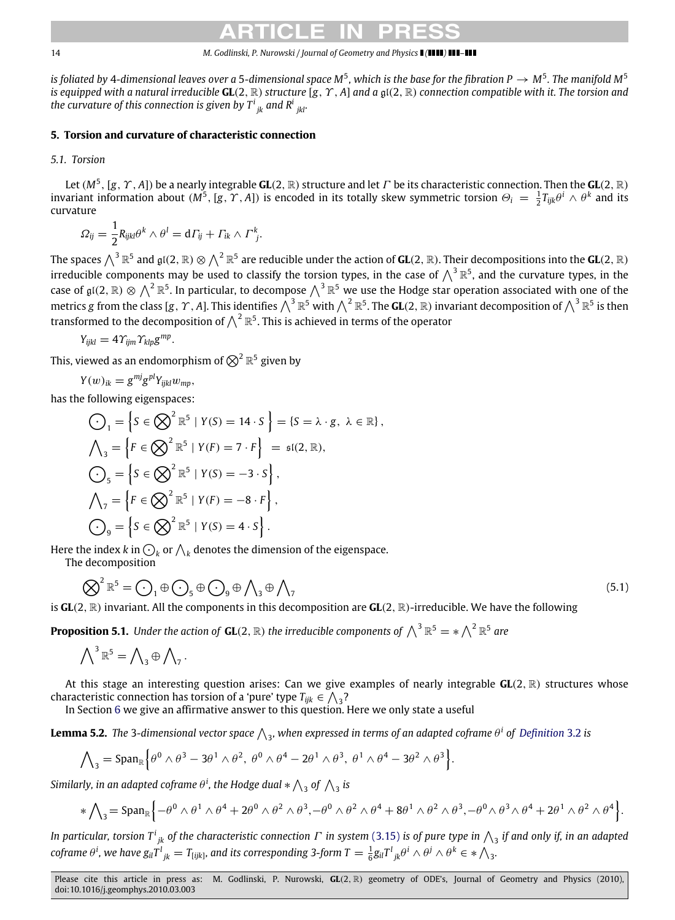#### 14 *M. Godlinski, P. Nurowski / Journal of Geometry and Physics ( ) –*

*is foliated by* 4*-dimensional leaves over a* 5*-dimensional space M*<sup>5</sup> *, which is the base for the fibration P* → *M*<sup>5</sup> *. The manifold M*<sup>5</sup> *is equipped with a natural irreducible* **GL**(2, R) *structure* [*g*, Υ , *A*] *and a* gl(2, R) *connection compatible with it. The torsion and* the curvature of this connection is given by  $T^i_{\;\; jk}$  and  $R^i_{\;\; jkl}.$ 

#### <span id="page-13-0"></span>**5. Torsion and curvature of characteristic connection**

*5.1. Torsion*

Let (*M*<sup>5</sup> , [*g*, Υ , *A*]) be a nearly integrable **GL**(2, R) structure and let Γ be its characteristic connection. Then the **GL**(2, R) invariant information about  $(M^5, [g, \Upsilon, A])$  is encoded in its totally skew symmetric torsion  $\Theta_i = \frac{1}{2}T_{ijk}\theta^i \wedge \theta^k$  and its curvature

$$
\Omega_{ij} = \frac{1}{2} R_{ijkl} \theta^k \wedge \theta^l = d\Gamma_{ij} + \Gamma_{ik} \wedge \Gamma^k_{j}.
$$

The spaces  $\bigwedge^3{\R}^5$  and  $\mathfrak{gl}(2,\R)\otimes\bigwedge^2{\R}^5$  are reducible under the action of **GL**(2,  $\R$ ). Their decompositions into the **GL**(2,  $\R$ ) irreducible components may be used to classify the torsion types, in the case of  $\bigwedge^3 \mathbb{R}^5$ , and the curvature types, in the case of  $\mathfrak{gl}(2,\mathbb{R})\otimes\bigwedge^2\mathbb{R}^5.$  In particular, to decompose  $\bigwedge^3\mathbb{R}^5$  we use the Hodge star operation associated with one of the metrics  $g$  from the class [g,  $\Upsilon$  , A]. This identifies  $\bigwedge^3 \R^5$  with  $\bigwedge^2 \R^5$ . The **GL**(2,  $\R$ ) invariant decomposition of  $\bigwedge^3 \R^5$  is then transformed to the decomposition of  $\bigwedge^2 \mathbb{R}^5.$  This is achieved in terms of the operator

$$
Y_{ijkl} = 4\gamma_{ijm}\gamma_{klp}g^{mp}.
$$

This, viewed as an endomorphism of  $\bigotimes^2 \mathbb{R}^5$  given by

$$
Y(w)_{ik} = g^{mj}g^{pl}Y_{ijkl}w_{mp},
$$

has the following eigenspaces:

$$
\begin{aligned}\n\bigodot_1 &= \left\{ S \in \bigotimes^2 \mathbb{R}^5 \mid Y(S) = 14 \cdot S \right\} = \left\{ S = \lambda \cdot g, \ \lambda \in \mathbb{R} \right\}, \\
\bigwedge_3 &= \left\{ F \in \bigotimes^2 \mathbb{R}^5 \mid Y(F) = 7 \cdot F \right\} = \mathfrak{s} \mathfrak{l} (2, \mathbb{R}), \\
\bigodot_5 &= \left\{ S \in \bigotimes^2 \mathbb{R}^5 \mid Y(S) = -3 \cdot S \right\}, \\
\bigwedge_7 &= \left\{ F \in \bigotimes^2 \mathbb{R}^5 \mid Y(F) = -8 \cdot F \right\}, \\
\bigodot_9 &= \left\{ S \in \bigotimes^2 \mathbb{R}^5 \mid Y(S) = 4 \cdot S \right\}.\n\end{aligned}
$$

Here the index  $k$  in  $\bigcirc_k$  or  $\bigwedge_k$  denotes the dimension of the eigenspace.

The decomposition

<span id="page-13-1"></span>
$$
\bigotimes^2 \mathbb{R}^5 = \bigodot_1 \oplus \bigodot_5 \oplus \bigodot_9 \oplus \bigwedge_3 \oplus \bigwedge_7 \tag{5.1}
$$

is **GL**(2, R) invariant. All the components in this decomposition are **GL**(2, R)-irreducible. We have the following

**Proposition 5.1.** Under the action of  $GL(2, \mathbb{R})$  the irreducible components of  $\bigwedge^3 \mathbb{R}^5 = * \bigwedge^2 \mathbb{R}^5$  are

$$
\bigwedge\nolimits^3{\mathbb R}^5=\bigwedge\nolimits_3\oplus\bigwedge\nolimits_7\cdot
$$

At this stage an interesting question arises: Can we give examples of nearly integrable **GL**(2, R) structures whose characteristic connection has torsion of a 'pure' type  $T_{ijk} \in \bigwedge_3$ ?

In Section [6](#page-17-0) we give an affirmative answer to this question. Here we only state a useful

**Lemma 5.2.** The 3-dimensional vector space  $\bigwedge_3$ , when expressed in terms of an adapted coframe  $\theta^i$  of [Definition](#page-9-4) 3.2 is

<span id="page-13-2"></span>
$$
\bigwedge_{3} = \mathrm{Span}_{\mathbb{R}} \Big\{ \theta^{0} \wedge \theta^{3} - 3\theta^{1} \wedge \theta^{2}, \ \theta^{0} \wedge \theta^{4} - 2\theta^{1} \wedge \theta^{3}, \ \theta^{1} \wedge \theta^{4} - 3\theta^{2} \wedge \theta^{3} \Big\}.
$$

Similarly, in an adapted coframe  $\theta^i$ , the Hodge dual  $*\bigwedge_3$  of  $\bigwedge_3$  is

$$
*\bigwedge\nolimits_3= \mathrm{Span}_\mathbb{R}\Big\{-\theta^0\wedge\theta^1\wedge\theta^4+2\theta^0\wedge\theta^2\wedge\theta^3,-\theta^0\wedge\theta^2\wedge\theta^4+8\theta^1\wedge\theta^2\wedge\theta^3,-\theta^0\wedge\theta^3\wedge\theta^4+2\theta^1\wedge\theta^2\wedge\theta^4\Big\}.
$$

In particular, torsion T<sup>i</sup>  $_{jk}$  of the characteristic connection  $\varGamma$  in system [\(3.15\)](#page-10-3) is of pure type in  $\bigwedge_3$  if and only if, in an adapted coframe  $\theta^i$ , we have  $g_{il}T^l_{\phantom{l}jk}=T_{[ijk]}$ , and its corresponding 3-form  $T=\frac{1}{6}g_{il}T^l_{\phantom{l}jk}\theta^i\wedge\theta^j\wedge\theta^k\in *\bigwedge_3.$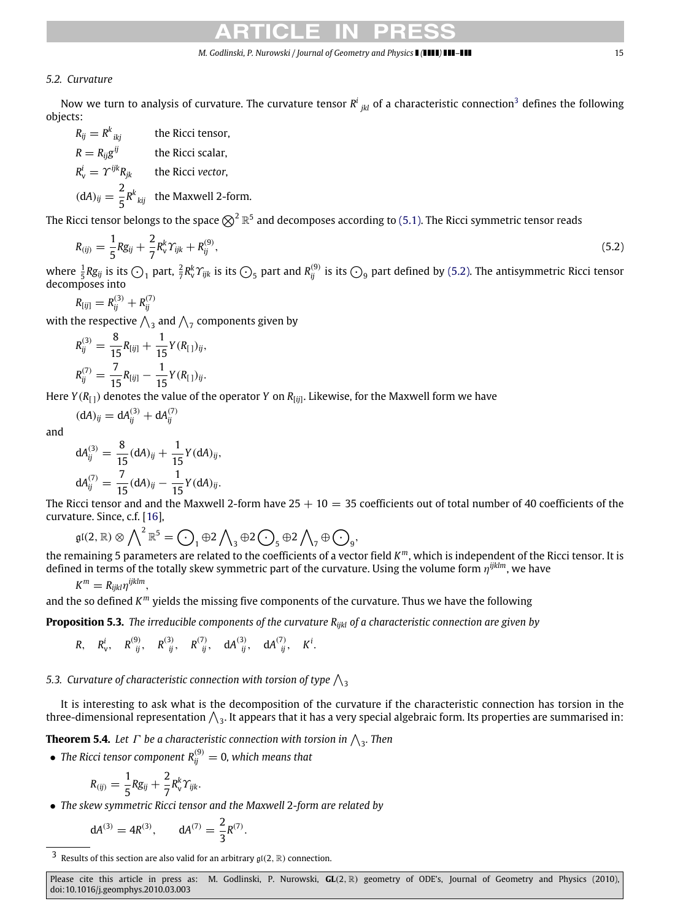#### <span id="page-14-2"></span>*M. Godlinski, P. Nurowski / Journal of Geometry and Physics ( ) –* 15

#### *5.2. Curvature*

Now we turn to analysis of curvature. The curvature tensor  $R^i_{\;\; jkl}$  of a characteristic connection<sup>[3](#page-14-1)</sup> defines the following objects:

 $R_{ij} = R^k$ *ikj* the Ricci tensor,  $R = R_{ii}g^{ij}$ the Ricci scalar,  $R_v^i = \gamma$ *ijkRjk* the Ricci *vector*,  $(dA)_{ij} = \frac{2}{5}$  $\frac{2}{5}R^k_{kij}$  the Maxwell 2-form.

The Ricci tensor belongs to the space  $\bigotimes^2{\Bbb R}^5$  and decomposes according to [\(5.1\).](#page-13-1) The Ricci symmetric tensor reads

$$
R_{(ij)} = \frac{1}{5} R g_{ij} + \frac{2}{7} R_v^k \gamma_{ijk} + R_{ij}^{(9)}, \qquad (5.2)
$$

where  $\frac{1}{5}Rg_{ij}$  is its  $\bigcirc_1$  part,  $\frac{2}{7}R_v^k\gamma_{ijk}$  is its  $\bigcirc_5$  part and  $R_{ij}^{(9)}$  is its  $\bigcirc_9$  part defined by [\(5.2\).](#page-14-2) The antisymmetric Ricci tensor decomposes into

$$
R_{[ij]} = R_{ij}^{(3)} + R_{ij}^{(7)}
$$

with the respective  $\bigwedge_3$  and  $\bigwedge_7$  components given by

$$
R_{ij}^{(3)} = \frac{8}{15}R_{[ij]} + \frac{1}{15}Y(R_{[1})_{ij},
$$
  

$$
R_{ij}^{(7)} = \frac{7}{15}R_{[ij]} - \frac{1}{15}Y(R_{[1})_{ij}.
$$

Here *Y*(*R*[ ]) denotes the value of the operator *Y* on *R*[*ij*] . Likewise, for the Maxwell form we have

$$
(\mathrm{d}A)_{ij} = \mathrm{d}A_{ij}^{(3)} + \mathrm{d}A_{ij}^{(7)}
$$

and

$$
dA_{ij}^{(3)} = \frac{8}{15} (dA)_{ij} + \frac{1}{15} Y (dA)_{ij},
$$
  

$$
dA_{ij}^{(7)} = \frac{7}{15} (dA)_{ij} - \frac{1}{15} Y (dA)_{ij}.
$$

The Ricci tensor and and the Maxwell 2-form have  $25 + 10 = 35$  coefficients out of total number of 40 coefficients of the curvature. Since, c.f. [\[16\]](#page-36-7),

$$
\mathfrak{gl}(2,\mathbb{R})\otimes\bigwedge{}^2\mathbb{R}^5=\bigodot_1\oplus2\bigwedge_3\oplus2\bigodot_5\oplus2\bigwedge_7\oplus\bigodot_9,
$$

the remaining 5 parameters are related to the coefficients of a vector field *K <sup>m</sup>*, which is independent of the Ricci tensor. It is defined in terms of the totally skew symmetric part of the curvature. Using the volume form η *ijklm*, we have

$$
K^m = R_{ijkl} \eta^{ijklm},
$$

and the so defined  $K^m$  yields the missing five components of the curvature. Thus we have the following

**Proposition 5.3.** *The irreducible components of the curvature Rijkl of a characteristic connection are given by*

<span id="page-14-3"></span>
$$
R, \t R_v^i, \t R_{ij}^{(9)}, \t R_{ij}^{(3)}, \t R_{ij}^{(7)}, \t dA_{ij}^{(3)}, \t dA_{ij}^{(7)}, \t K^i.
$$

### 5.3. Curvature of characteristic connection with torsion of type  $\bigwedge_{3}$

It is interesting to ask what is the decomposition of the curvature if the characteristic connection has torsion in the three-dimensional representation  $\bigwedge_3.$  It appears that it has a very special algebraic form. Its properties are summarised in:

**Theorem 5.4.** Let  $\varGamma$  be a characteristic connection with torsion in  $\bigwedge_{3}$ . Then

 $\bullet$  The Ricci tensor component  $R_{ij}^{(9)} = 0$ , which means that

<span id="page-14-0"></span>
$$
R_{(ij)}=\frac{1}{5}Rg_{ij}+\frac{2}{7}R_{\rm v}^k\Upsilon_{ijk}.
$$

• *The skew symmetric Ricci tensor and the Maxwell* 2*-form are related by*

$$
dA^{(3)} = 4R^{(3)}, \qquad dA^{(7)} = \frac{2}{3}R^{(7)}.
$$

<span id="page-14-1"></span><sup>&</sup>lt;sup>3</sup> Results of this section are also valid for an arbitrary  $\mathfrak{gl}(2,\mathbb{R})$  connection.

Please cite this article in press as: M. Godlinski, P. Nurowski, **GL**(2, R) geometry of ODE's, Journal of Geometry and Physics (2010), doi:10.1016/j.geomphys.2010.03.003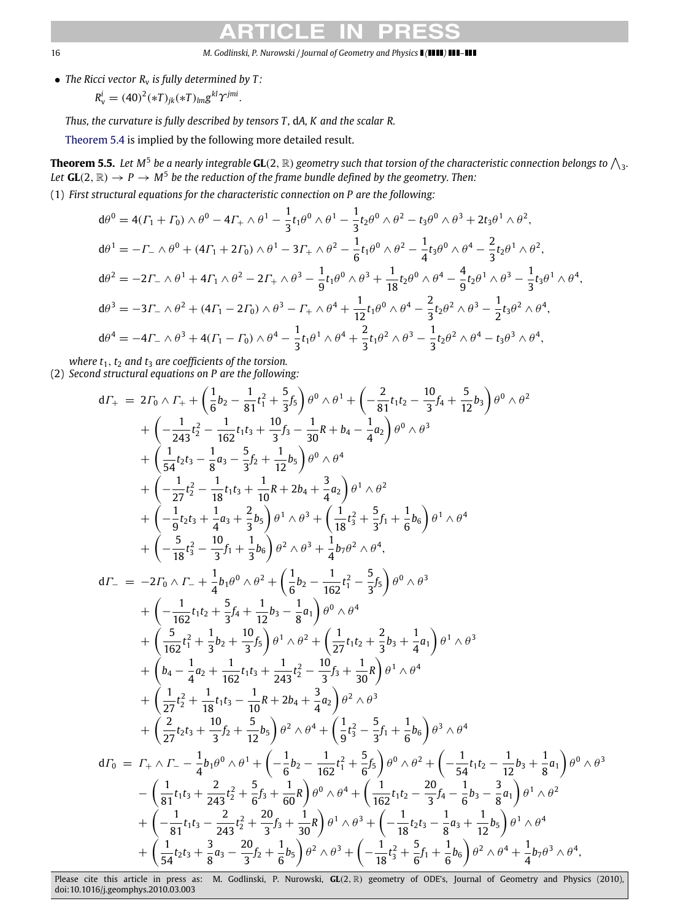16 *M. Godlinski, P. Nurowski / Journal of Geometry and Physics ( ) –*

• *The Ricci vector R*<sup>v</sup> *is fully determined by T :*

$$
R_{v}^{i} = (40)^{2}(*T)_{jk}(*T)_{lm}g^{kl}\Upsilon^{jmi}.
$$

*Thus, the curvature is fully described by tensors T ,* d*A, K and the scalar R.*

<span id="page-15-0"></span>[Theorem 5.4](#page-14-0) is implied by the following more detailed result.

**Theorem 5.5.** Let M<sup>5</sup> be a nearly integrable **GL**(2,  $\R$ ) geometry such that torsion of the characteristic connection belongs to  $\bigwedge_3$ . Let  $GL(2,\mathbb{R})\to P\to M^5$  be the reduction of the frame bundle defined by the geometry. Then:

(1) *First structural equations for the characteristic connection on P are the following:*

$$
d\theta^{0} = 4(\Gamma_{1} + \Gamma_{0}) \wedge \theta^{0} - 4\Gamma_{+} \wedge \theta^{1} - \frac{1}{3}t_{1}\theta^{0} \wedge \theta^{1} - \frac{1}{3}t_{2}\theta^{0} \wedge \theta^{2} - t_{3}\theta^{0} \wedge \theta^{3} + 2t_{3}\theta^{1} \wedge \theta^{2},
$$
  
\n
$$
d\theta^{1} = -\Gamma_{-} \wedge \theta^{0} + (4\Gamma_{1} + 2\Gamma_{0}) \wedge \theta^{1} - 3\Gamma_{+} \wedge \theta^{2} - \frac{1}{6}t_{1}\theta^{0} \wedge \theta^{2} - \frac{1}{4}t_{3}\theta^{0} \wedge \theta^{4} - \frac{2}{3}t_{2}\theta^{1} \wedge \theta^{2},
$$
  
\n
$$
d\theta^{2} = -2\Gamma_{-} \wedge \theta^{1} + 4\Gamma_{1} \wedge \theta^{2} - 2\Gamma_{+} \wedge \theta^{3} - \frac{1}{9}t_{1}\theta^{0} \wedge \theta^{3} + \frac{1}{18}t_{2}\theta^{0} \wedge \theta^{4} - \frac{4}{9}t_{2}\theta^{1} \wedge \theta^{3} - \frac{1}{3}t_{3}\theta^{1} \wedge \theta^{4},
$$
  
\n
$$
d\theta^{3} = -3\Gamma_{-} \wedge \theta^{2} + (4\Gamma_{1} - 2\Gamma_{0}) \wedge \theta^{3} - \Gamma_{+} \wedge \theta^{4} + \frac{1}{12}t_{1}\theta^{0} \wedge \theta^{4} - \frac{2}{3}t_{2}\theta^{2} \wedge \theta^{3} - \frac{1}{2}t_{3}\theta^{2} \wedge \theta^{4},
$$
  
\n
$$
d\theta^{4} = -4\Gamma_{-} \wedge \theta^{3} + 4(\Gamma_{1} - \Gamma_{0}) \wedge \theta^{4} - \frac{1}{3}t_{1}\theta^{1} \wedge \theta^{4} + \frac{2}{3}t_{1}\theta^{2} \wedge \theta^{3} - \frac{1}{3}t_{2}\theta^{2} \wedge \theta^{4} - t_{3}\theta^{3} \wedge \theta^{4},
$$

*where*  $t_1$ *,*  $t_2$  *and*  $t_3$  *are coefficients of the torsion.* 

(2) *Second structural equations on P are the following:*

$$
d\Gamma_{+} = 2\Gamma_{0} \wedge \Gamma_{+} + \left(\frac{1}{6}b_{2} - \frac{1}{81}t_{1}^{2} + \frac{5}{3}t_{3}\right)\theta^{0} \wedge \theta^{1} + \left(-\frac{2}{81}t_{1}t_{2} - \frac{10}{3}f_{4} + \frac{5}{12}b_{3}\right)\theta^{0} \wedge \theta^{2} + \left(-\frac{1}{243}t_{2}^{2} - \frac{1}{162}t_{1}t_{3} + \frac{10}{3}f_{3} - \frac{1}{30}R + b_{4} - \frac{1}{4}a_{2}\right)\theta^{0} \wedge \theta^{3} + \left(\frac{1}{54}t_{2}t_{3} - \frac{1}{8}a_{3} - \frac{5}{3}f_{2} + \frac{1}{12}b_{5}\right)\theta^{0} \wedge \theta^{4} + \left(-\frac{1}{27}t_{2}^{2} - \frac{1}{18}t_{1}t_{3} + \frac{1}{10}R + 2b_{4} + \frac{3}{4}a_{2}\right)\theta^{1} \wedge \theta^{2} + \left(-\frac{1}{9}t_{2}t_{3} + \frac{1}{4}a_{3} + \frac{2}{3}b_{3}\right)\theta^{1} \wedge \theta^{3} + \left(\frac{1}{18}t_{3}^{2} + \frac{5}{3}f_{1} + \frac{1}{6}b_{6}\right)\theta^{1} \wedge \theta^{4} + \left(-\frac{5}{18}t_{3}^{2} - \frac{10}{3}f_{1} + \frac{1}{3}b_{6}\right)\theta^{2} \wedge \theta^{3} + \frac{1}{4}b_{7}\theta^{2} \wedge \theta^{4}, d\Gamma_{-} = -2\Gamma_{0} \wedge \Gamma_{-} + \frac{1}{4}b_{1}\theta^{0} \wedge \theta^{2} + \left(\frac{1}{6}b_{2} - \frac{1}{162}t_{1}^{2} - \frac{5}{3}f_{5}\right)\theta^{0} \wedge \theta^{3} + \left(-\frac{1}{162}t_{1}t_{2} + \frac{5}{3}f_{4} + \frac{1}{12}b_{3} - \frac{1}{8}a_{1}\right)\theta^{0} \wedge
$$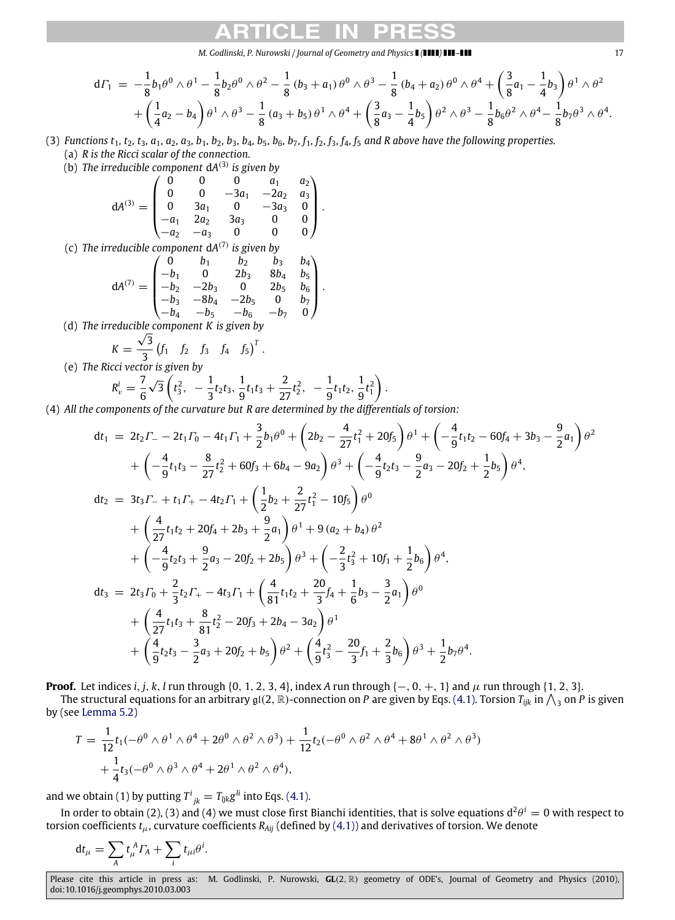*M. Godlinski, P. Nurowski / Journal of Geometry and Physics ( ) –* 17

$$
d\Gamma_1 = -\frac{1}{8}b_1\theta^0 \wedge \theta^1 - \frac{1}{8}b_2\theta^0 \wedge \theta^2 - \frac{1}{8}(b_3 + a_1)\theta^0 \wedge \theta^3 - \frac{1}{8}(b_4 + a_2)\theta^0 \wedge \theta^4 + \left(\frac{3}{8}a_1 - \frac{1}{4}b_3\right)\theta^1 \wedge \theta^2 + \left(\frac{1}{4}a_2 - b_4\right)\theta^1 \wedge \theta^3 - \frac{1}{8}(a_3 + b_5)\theta^1 \wedge \theta^4 + \left(\frac{3}{8}a_3 - \frac{1}{4}b_5\right)\theta^2 \wedge \theta^3 - \frac{1}{8}b_6\theta^2 \wedge \theta^4 - \frac{1}{8}b_7\theta^3 \wedge \theta^4.
$$

(3) Functions  $t_1$ ,  $t_2$ ,  $t_3$ ,  $a_1$ ,  $a_2$ ,  $a_3$ ,  $b_1$ ,  $b_2$ ,  $b_3$ ,  $b_4$ ,  $b_5$ ,  $b_6$ ,  $b_7$ ,  $f_1$ ,  $f_2$ ,  $f_3$ ,  $f_4$ ,  $f_5$  and R above have the following properties.

.

.

- (a) *R is the Ricci scalar of the connection.*
- (b) *The irreducible component* d*A* (3) *is given by*

$$
dA^{(3)} = \begin{pmatrix} 0 & 0 & 0 & a_1 & a_2 \\ 0 & 0 & -3a_1 & -2a_2 & a_3 \\ 0 & 3a_1 & 0 & -3a_3 & 0 \\ -a_1 & 2a_2 & 3a_3 & 0 & 0 \\ -a_2 & -a_3 & 0 & 0 & 0 \end{pmatrix}
$$

(c) The irreducible component  $dA^{(7)}$  is given by

$$
dA^{(7)} = \begin{pmatrix} 0 & b_1 & b_2 & b_3 & b_4 \\ -b_1 & 0 & 2b_3 & 8b_4 & b_5 \\ -b_2 & -2b_3 & 0 & 2b_5 & b_6 \\ -b_3 & -8b_4 & -2b_5 & 0 & b_7 \\ -b_4 & -b_5 & -b_6 & -b_7 & 0 \end{pmatrix}
$$

(d) *The irreducible component K is given by* √

$$
K = \frac{\sqrt{3}}{3} \begin{pmatrix} f_1 & f_2 & f_3 & f_4 & f_5 \end{pmatrix}^T.
$$

3 (e) *The Ricci vector is given by* √

$$
R_v^i = \frac{7}{6}\sqrt{3}\left(t_3^2, -\frac{1}{3}t_2t_3, \frac{1}{9}t_1t_3 + \frac{2}{27}t_2^2, -\frac{1}{9}t_1t_2, \frac{1}{9}t_1^2\right).
$$

(4) *All the components of the curvature but R are determined by the differentials of torsion:*

$$
dt_1 = 2t_2\Gamma_- - 2t_1\Gamma_0 - 4t_1\Gamma_1 + \frac{3}{2}b_1\theta^0 + \left(2b_2 - \frac{4}{27}t_1^2 + 20f_5\right)\theta^1 + \left(-\frac{4}{9}t_1t_2 - 60f_4 + 3b_3 - \frac{9}{2}a_1\right)\theta^2
$$
  
+  $\left(-\frac{4}{9}t_1t_3 - \frac{8}{27}t_2^2 + 60f_3 + 6b_4 - 9a_2\right)\theta^3 + \left(-\frac{4}{9}t_2t_3 - \frac{9}{2}a_3 - 20f_2 + \frac{1}{2}b_5\right)\theta^4$ ,  

$$
dt_2 = 3t_3\Gamma_- + t_1\Gamma_+ - 4t_2\Gamma_1 + \left(\frac{1}{2}b_2 + \frac{2}{27}t_1^2 - 10f_5\right)\theta^0
$$
  
+  $\left(\frac{4}{27}t_1t_2 + 20f_4 + 2b_3 + \frac{9}{2}a_1\right)\theta^1 + 9(a_2 + b_4)\theta^2$   
+  $\left(-\frac{4}{9}t_2t_3 + \frac{9}{2}a_3 - 20f_2 + 2b_5\right)\theta^3 + \left(-\frac{2}{3}t_3^2 + 10f_1 + \frac{1}{2}b_6\right)\theta^4$ ,  

$$
dt_3 = 2t_3\Gamma_0 + \frac{2}{3}t_2\Gamma_+ - 4t_3\Gamma_1 + \left(\frac{4}{81}t_1t_2 + \frac{20}{3}f_4 + \frac{1}{6}b_3 - \frac{3}{2}a_1\right)\theta^0
$$
  
+  $\left(\frac{4}{27}t_1t_3 + \frac{8}{81}t_2^2 - 20f_3 + 2b_4 - 3a_2\right)\theta^1$   
+  $\left(\frac{4}{9}t_2t_3 - \frac{3}{2}a_3 + 20f_2 + b_5\right)\theta^2 + \left(\frac{4}{9}t_3^2 - \frac{20}{3}f_1 + \frac{2}{3}b_6\right)\theta^3 + \frac{1}{2}b_7\theta$ 

**Proof.** Let indices *i*, *j*, *k*, *l* run through {0, 1, 2, 3, 4}, index *A* run through  $\{-, 0, +, 1\}$  and  $\mu$  run through {1, 2, 3}.

The structural equations for an arbitrary gl(2,  $\R$ )-connection on  $P$  are given by Eqs. [\(4.1\).](#page-11-1) Torsion  $T_{ijk}$  in  $\bigwedge_3$  on  $P$  is given by (see [Lemma 5.2\)](#page-13-2)

$$
T = \frac{1}{12}t_1(-\theta^0 \wedge \theta^1 \wedge \theta^4 + 2\theta^0 \wedge \theta^2 \wedge \theta^3) + \frac{1}{12}t_2(-\theta^0 \wedge \theta^2 \wedge \theta^4 + 8\theta^1 \wedge \theta^2 \wedge \theta^3) + \frac{1}{4}t_3(-\theta^0 \wedge \theta^3 \wedge \theta^4 + 2\theta^1 \wedge \theta^2 \wedge \theta^4),
$$

and we obtain (1) by putting  $T^i_{\phantom{i}jk} = T_{ljk}g^{li}$  into Eqs. [\(4.1\).](#page-11-1)

In order to obtain (2), (3) and (4) we must close first Bianchi identities, that is solve equations d $^2\theta^i=0$  with respect to torsion coefficients *t*µ, curvature coefficients *RAij* (defined by [\(4.1\)\)](#page-11-1) and derivatives of torsion. We denote

$$
dt_{\mu} = \sum_{A} t_{\mu}^{A} \Gamma_{A} + \sum_{i} t_{\mu i} \theta^{i}.
$$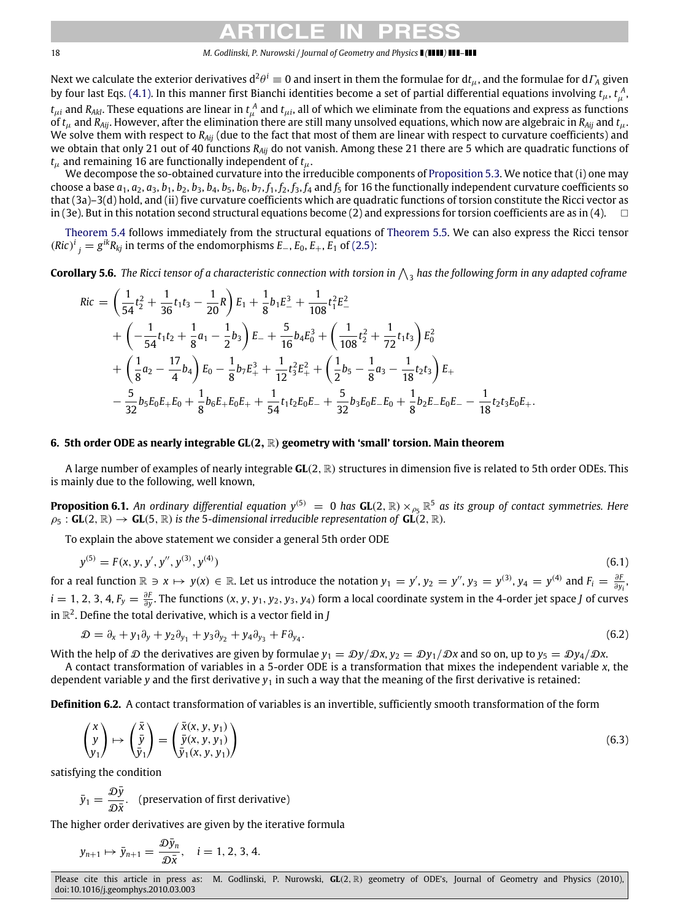#### 18 *M. Godlinski, P. Nurowski / Journal of Geometry and Physics ( ) –*

Next we calculate the exterior derivatives d $^2\theta^i\equiv0$  and insert in them the formulae for dt $_\mu$ , and the formulae for d $\varGamma_A$  given by four last Eqs. [\(4.1\).](#page-11-1) In this manner first Bianchi identities become a set of partial differential equations involving  $t_\mu$ ,  $t^A_\mu$ ,  $t_{\mu i}$  and  $R_{Akl}$ . These equations are linear in  $t_\mu^A$  and  $t_{\mu i}$ , all of which we eliminate from the equations and express as functions of  $t_\mu$  and  $R_{Aij}$ . However, after the elimination there are still many unsolved equations, which now are algebraic in  $R_{Aij}$  and  $t_\mu$ . We solve them with respect to *RAij* (due to the fact that most of them are linear with respect to curvature coefficients) and we obtain that only 21 out of 40 functions *RAij* do not vanish. Among these 21 there are 5 which are quadratic functions of  $t<sub>u</sub>$  and remaining 16 are functionally independent of  $t<sub>u</sub>$ .

We decompose the so-obtained curvature into the irreducible components of [Proposition 5.3.](#page-14-3) We notice that (i) one may choose a base  $a_1, a_2, a_3, b_1, b_2, b_3, b_4, b_5, b_6, b_7, f_1, f_2, f_3, f_4$  and  $f_5$  for 16 the functionally independent curvature coefficients so that (3a)–3(d) hold, and (ii) five curvature coefficients which are quadratic functions of torsion constitute the Ricci vector as in (3e). But in this notation second structural equations become (2) and expressions for torsion coefficients are as in (4).  $\Box$ 

[Theorem 5.4](#page-14-0) follows immediately from the structural equations of [Theorem 5.5.](#page-15-0) We can also express the Ricci tensor  $(Ric)^i$ <sub>*j*</sub> =  $g^{ik}R_{kj}$  in terms of the endomorphisms  $E_-, E_0, E_+, E_1$  of [\(2.5\):](#page-7-3)

 ${\sf Corollary~5.6.}$  The Ricci tensor of a characteristic connection with torsion in  $\bigwedge_3$  has the following form in any adapted coframe

$$
Ric = \left(\frac{1}{54}t_2^2 + \frac{1}{36}t_1t_3 - \frac{1}{20}R\right)E_1 + \frac{1}{8}b_1E_2^3 + \frac{1}{108}t_1^2E_2^2
$$
  
+  $\left(-\frac{1}{54}t_1t_2 + \frac{1}{8}a_1 - \frac{1}{2}b_3\right)E_- + \frac{5}{16}b_4E_0^3 + \left(\frac{1}{108}t_2^2 + \frac{1}{72}t_1t_3\right)E_0^2$   
+  $\left(\frac{1}{8}a_2 - \frac{17}{4}b_4\right)E_0 - \frac{1}{8}b_7E_1^3 + \frac{1}{12}t_3^2E_1^2 + \left(\frac{1}{2}b_5 - \frac{1}{8}a_3 - \frac{1}{18}t_2t_3\right)E_+ - \frac{5}{32}b_5E_0E_+E_0 + \frac{1}{8}b_6E_+E_0E_+ + \frac{1}{54}t_1t_2E_0E_- + \frac{5}{32}b_3E_0E_-E_0 + \frac{1}{8}b_2E_-E_0E_- - \frac{1}{18}t_2t_3E_0E_+.$ 

#### <span id="page-17-0"></span>**6. 5th order ODE as nearly integrable GL**(**2**, R) **geometry with 'small' torsion. Main theorem**

A large number of examples of nearly integrable **GL**(2, R) structures in dimension five is related to 5th order ODEs. This is mainly due to the following, well known,

**Proposition 6.1.** An ordinary differential equation  $y^{(5)} = 0$  has  $GL(2, \mathbb{R}) \times_{\rho_5} \mathbb{R}^5$  as its group of contact symmetries. Here  $\rho_5 : GL(2, \mathbb{R}) \to GL(5, \mathbb{R})$  *is the 5-dimensional irreducible representation of*  $GL(2, \mathbb{R})$ *.* 

<span id="page-17-3"></span>To explain the above statement we consider a general 5th order ODE

$$
y^{(5)} = F(x, y, y', y'', y^{(3)}, y^{(4)})
$$
\n(6.1)

for a real function  $\mathbb{R} \ni x \mapsto y(x) \in \mathbb{R}$ . Let us introduce the notation  $y_1 = y', y_2 = y'', y_3 = y^{(3)}, y_4 = y^{(4)}$  and  $F_i = \frac{\partial F}{\partial y_i}$  $i=1,2,3,4$ ,  $F_y=\frac{\partial F}{\partial y}$ . The functions  $(x,y,y_1,y_2,y_3,y_4)$  form a local coordinate system in the 4-order jet space *J* of curves in R 2 . Define the total derivative, which is a vector field in *J*

<span id="page-17-1"></span>
$$
\mathcal{D} = \partial_x + y_1 \partial_y + y_2 \partial_{y_1} + y_3 \partial_{y_2} + y_4 \partial_{y_3} + F \partial_{y_4}.
$$
\n
$$
(6.2)
$$

With the help of D the derivatives are given by formulae  $y_1 = Dy/Dx$ ,  $y_2 = Dy_1/Dx$  and so on, up to  $y_5 = Dy_4/Dx$ . A contact transformation of variables in a 5-order ODE is a transformation that mixes the independent variable *x*, the dependent variable *y* and the first derivative  $y_1$  in such a way that the meaning of the first derivative is retained:

**Definition 6.2.** A contact transformation of variables is an invertible, sufficiently smooth transformation of the form

<span id="page-17-2"></span>
$$
\begin{pmatrix} x \\ y \\ y_1 \end{pmatrix} \mapsto \begin{pmatrix} \bar{x} \\ \bar{y} \\ \bar{y}_1 \end{pmatrix} = \begin{pmatrix} \bar{x}(x, y, y_1) \\ \bar{y}(x, y, y_1) \\ \bar{y}_1(x, y, y_1) \end{pmatrix}
$$
(6.3)

satisfying the condition

$$
\bar{y}_1 = \frac{\mathcal{D}\bar{y}}{\mathcal{D}\bar{x}}.
$$
 (preservation of first derivative)

The higher order derivatives are given by the iterative formula

$$
y_{n+1} \mapsto \bar{y}_{n+1} = \frac{\mathfrak{D}\bar{y}_n}{\mathfrak{D}\bar{x}}, \quad i = 1, 2, 3, 4.
$$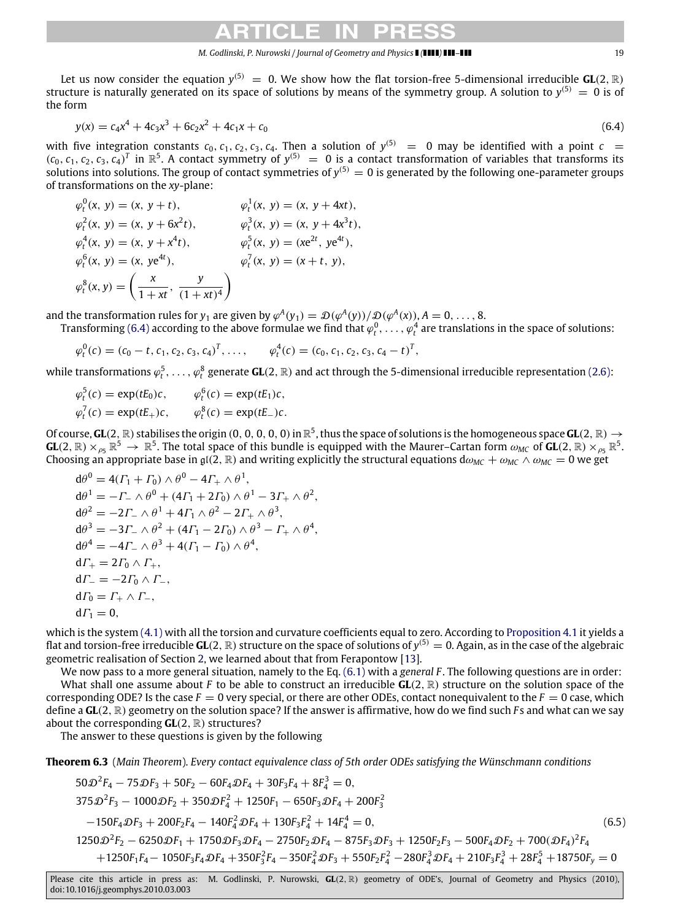#### <span id="page-18-1"></span>*M. Godlinski, P. Nurowski / Journal of Geometry and Physics ( ) –* 19

Let us now consider the equation  $y^{(5)}~=~0.$  We show how the flat torsion-free 5-dimensional irreducible **GL**(2,  $\R$ ) structure is naturally generated on its space of solutions by means of the symmetry group. A solution to  $y^{(5)} = 0$  is of the form

$$
y(x) = c_4 x^4 + 4c_3 x^3 + 6c_2 x^2 + 4c_1 x + c_0
$$
\n(6.4)

with five integration constants  $c_0, c_1, c_2, c_3, c_4$ . Then a solution of  $y^{(5)} = 0$  may be identified with a point  $c =$  $(c_0, c_1, c_2, c_3, c_4)^T$  in  $\mathbb{R}^5$ . A contact symmetry of  $y^{(5)} = 0$  is a contact transformation of variables that transforms its solutions into solutions. The group of contact symmetries of  $y^{(5)} = 0$  is generated by the following one-parameter groups of transformations on the *xy*-plane:

$$
\varphi_t^0(x, y) = (x, y + t), \qquad \varphi_t^1(x, y) = (x, y + 4xt),
$$
  
\n
$$
\varphi_t^2(x, y) = (x, y + 6x^2t), \qquad \varphi_t^3(x, y) = (x, y + 4x^3t),
$$
  
\n
$$
\varphi_t^4(x, y) = (x, y + x^4t), \qquad \varphi_t^5(x, y) = (xe^{2t}, ye^{4t}),
$$
  
\n
$$
\varphi_t^6(x, y) = (x, ye^{4t}), \qquad \varphi_t^7(x, y) = (x + t, y),
$$
  
\n
$$
\varphi_t^8(x, y) = \left(\frac{x}{1 + xt}, \frac{y}{(1 + xt)^4}\right)
$$

and the transformation rules for  $y_1$  are given by  $\varphi^A(y_1) = \mathcal{D}(\varphi^A(y))/\mathcal{D}(\varphi^A(x))$ ,  $A = 0, \ldots, 8$ .

Transforming [\(6.4\)](#page-18-1) according to the above formulae we find that  $\varphi_t^0,\dots,\varphi_t^4$  are translations in the space of solutions:

$$
\varphi_t^0(c) = (c_0 - t, c_1, c_2, c_3, c_4)^T, \dots, \qquad \varphi_t^4(c) = (c_0, c_1, c_2, c_3, c_4 - t)^T,
$$

while transformations  $\varphi^5_t$  ,  $\ldots$  ,  $\varphi^8_t$  generate **GL**(2,  $\R$ ) and act through the 5-dimensional irreducible representation [\(2.6\):](#page-7-4)

$$
\varphi_t^5(c) = \exp(tE_0)c, \qquad \varphi_t^6(c) = \exp(tE_1)c,
$$
  

$$
\varphi_t^7(c) = \exp(tE_+c), \qquad \varphi_t^8(c) = \exp(tE_-c).
$$

Of course,  $GL(2, \mathbb{R})$  stabilises the origin  $(0, 0, 0, 0, 0)$  in  $\mathbb{R}^5$ , thus the space of solutions is the homogeneous space  $GL(2, \mathbb{R}) \to$  $\mathbf{GL}(2,\,\mathbb{R})\times_{\rho_5}\mathbb{R}^5\,\to\,\mathbb{R}^5.$  The total space of this bundle is equipped with the Maurer–Cartan form  $\omega_\mathsf{MC}$  of  $\mathbf{GL}(2,\,\mathbb{R})\times_{\rho_5}\mathbb{R}^5.$ Choosing an appropriate base in  $\mathfrak{gl}(2,\mathbb{R})$  and writing explicitly the structural equations d $\omega_{MC} + \omega_{MC} \wedge \omega_{MC} = 0$  we get

$$
d\theta^{0} = 4(\Gamma_{1} + \Gamma_{0}) \wedge \theta^{0} - 4\Gamma_{+} \wedge \theta^{1},
$$
  
\n
$$
d\theta^{1} = -\Gamma_{-} \wedge \theta^{0} + (4\Gamma_{1} + 2\Gamma_{0}) \wedge \theta^{1} - 3\Gamma_{+} \wedge \theta^{2},
$$
  
\n
$$
d\theta^{2} = -2\Gamma_{-} \wedge \theta^{1} + 4\Gamma_{1} \wedge \theta^{2} - 2\Gamma_{+} \wedge \theta^{3},
$$
  
\n
$$
d\theta^{3} = -3\Gamma_{-} \wedge \theta^{2} + (4\Gamma_{1} - 2\Gamma_{0}) \wedge \theta^{3} - \Gamma_{+} \wedge \theta^{4},
$$
  
\n
$$
d\theta^{4} = -4\Gamma_{-} \wedge \theta^{3} + 4(\Gamma_{1} - \Gamma_{0}) \wedge \theta^{4},
$$
  
\n
$$
d\Gamma_{+} = 2\Gamma_{0} \wedge \Gamma_{+},
$$
  
\n
$$
d\Gamma_{+} = -2\Gamma_{0} \wedge \Gamma_{-},
$$
  
\n
$$
d\Gamma_{0} = \Gamma_{+} \wedge \Gamma_{-},
$$
  
\n
$$
d\Gamma_{1} = 0,
$$

which is the system [\(4.1\)](#page-11-1) with all the torsion and curvature coefficients equal to zero. According to [Proposition 4.1](#page-12-0) it yields a flat and torsion-free irreducible **GL**(2,  $\R$ ) structure on the space of solutions of  $y^{(5)}=0$ . Again, as in the case of the algebraic geometric realisation of Section [2,](#page-5-0) we learned about that from Ferapontow [\[13\]](#page-36-4).

We now pass to a more general situation, namely to the Eq. [\(6.1\)](#page-17-1) with a *general F* . The following questions are in order: What shall one assume about *F* to be able to construct an irreducible **GL**(2, R) structure on the solution space of the corresponding ODE? Is the case  $F = 0$  very special, or there are other ODEs, contact nonequivalent to the  $F = 0$  case, which define a **GL**(2, R) geometry on the solution space? If the answer is affirmative, how do we find such *F* s and what can we say about the corresponding **GL**(2, R) structures?

The answer to these questions is given by the following

**Theorem 6.3** (*Main Theorem*). *Every contact equivalence class of 5th order ODEs satisfying the Wünschmann conditions*

<span id="page-18-2"></span><span id="page-18-0"></span>
$$
50\mathcal{D}^{2}F_{4} - 75\mathcal{D}F_{3} + 50F_{2} - 60F_{4}\mathcal{D}F_{4} + 30F_{3}F_{4} + 8F_{4}^{3} = 0,
$$
  
\n
$$
375\mathcal{D}^{2}F_{3} - 1000\mathcal{D}F_{2} + 350\mathcal{D}F_{4}^{2} + 1250F_{1} - 650F_{3}\mathcal{D}F_{4} + 200F_{3}^{2}
$$
  
\n
$$
-150F_{4}\mathcal{D}F_{3} + 200F_{2}F_{4} - 140F_{4}^{2}\mathcal{D}F_{4} + 130F_{3}F_{4}^{2} + 14F_{4}^{4} = 0,
$$
  
\n
$$
1250\mathcal{D}^{2}F_{2} - 6250\mathcal{D}F_{1} + 1750\mathcal{D}F_{3}\mathcal{D}F_{4} - 2750F_{2}\mathcal{D}F_{4} - 875F_{3}\mathcal{D}F_{3} + 1250F_{2}F_{3} - 500F_{4}\mathcal{D}F_{2} + 700(\mathcal{D}F_{4})^{2}F_{4}
$$
  
\n
$$
+1250F_{1}F_{4} - 1050F_{3}F_{4}\mathcal{D}F_{4} + 350F_{3}^{2}F_{4} - 350F_{4}^{2}\mathcal{D}F_{3} + 550F_{2}F_{4}^{2} - 280F_{4}^{3}\mathcal{D}F_{4} + 210F_{3}F_{4}^{3} + 28F_{4}^{5} + 18750F_{y} = 0
$$
  
\n(6.5)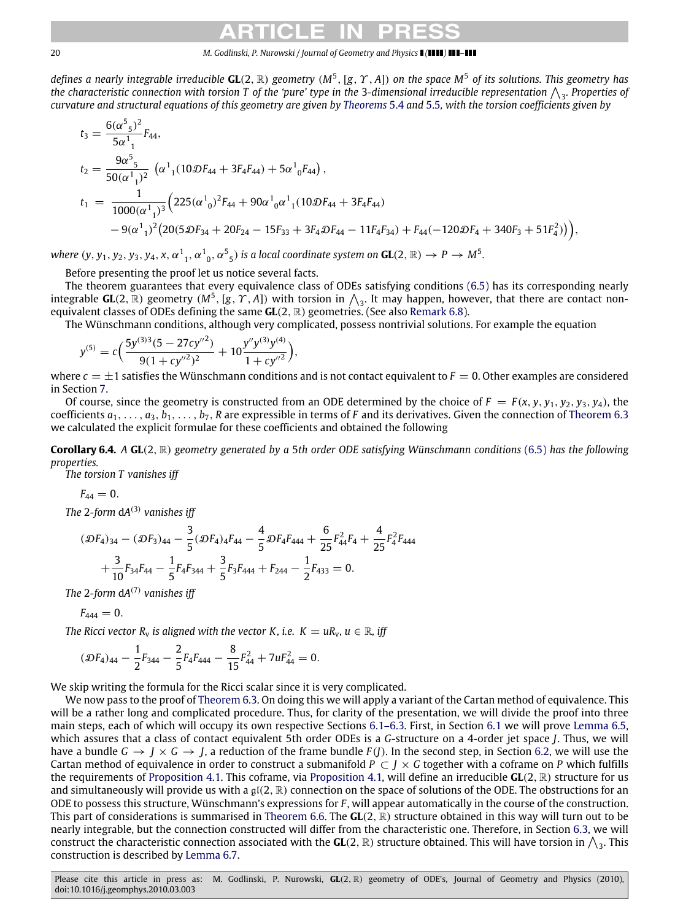#### 20 *M. Godlinski, P. Nurowski / Journal of Geometry and Physics ( ) –*

*defines a nearly integrable irreducible* **GL**(2, R) *geometry* (*M*<sup>5</sup> , [*g*, Υ , *A*]) *on the space M*<sup>5</sup> *of its solutions. This geometry has* the characteristic connection with torsion T of the 'pure' type in the 3-dimensional irreducible representation  $\bigwedge_3$ . Properties of *curvature and structural equations of this geometry are given by [Theorems](#page-14-0)* 5.4 and [5.5](#page-15-0)*, with the torsion coefficients given by*

$$
t_3 = \frac{6(\alpha^5 s)^2}{5\alpha^1 1} F_{44},
$$
  
\n
$$
t_2 = \frac{9\alpha^5 s}{50(\alpha^1 1)^2} (\alpha^1 1(10\mathcal{D}F_{44} + 3F_4F_{44}) + 5\alpha^1 0F_{44}),
$$
  
\n
$$
t_1 = \frac{1}{1000(\alpha^1 1)^3} (225(\alpha^1 0)^2 F_{44} + 90\alpha^1 0^1 1(10\mathcal{D}F_{44} + 3F_4F_{44}) - 9(\alpha^1 1)^2 (20(5\mathcal{D}F_{34} + 20F_{24} - 15F_{33} + 3F_4\mathcal{D}F_{44} - 11F_4F_{34}) + F_{44}(-120\mathcal{D}F_4 + 340F_3 + 51F_4^2)),
$$

where  $(y, y_1, y_2, y_3, y_4, x, \alpha^1{}_1, \alpha^1{}_0, \alpha^5{}_5)$  is a local coordinate system on  $GL(2, \mathbb{R}) \to P \to M^5$ .

Before presenting the proof let us notice several facts.

The theorem guarantees that every equivalence class of ODEs satisfying conditions [\(6.5\)](#page-18-2) has its corresponding nearly integrable  $GL(2,\mathbb{R})$  geometry  $(M^5,[g,\Upsilon,A])$  with torsion in  $\bigwedge_3$ . It may happen, however, that there are contact nonequivalent classes of ODEs defining the same **GL**(2, R) geometries. (See also [Remark 6.8\)](#page-24-1).

The Wünschmann conditions, although very complicated, possess nontrivial solutions. For example the equation

$$
y^{(5)} = c \Big( \frac{5y^{(3)3}(5 - 27cy^{1/2})}{9(1 + cy^{1/2})^2} + 10 \frac{y''y^{(3)}y^{(4)}}{1 + cy^{1/2}} \Big),
$$

where  $c = \pm 1$  satisfies the Wünschmann conditions and is not contact equivalent to  $F = 0$ . Other examples are considered in Section [7.](#page-24-0)

Of course, since the geometry is constructed from an ODE determined by the choice of  $F = F(x, y, y_1, y_2, y_3, y_4)$ , the coefficients  $a_1, \ldots, a_3, b_1, \ldots, b_7$ , *R* are expressible in terms of *F* and its derivatives. Given the connection of [Theorem 6.3](#page-18-0) we calculated the explicit formulae for these coefficients and obtained the following

**Corollary 6.4.** *A* **GL**(2, R) *geometry generated by a* 5*th order ODE satisfying Wünschmann conditions* [\(6.5\)](#page-18-2) *has the following properties.*

*The torsion T vanishes iff*

<span id="page-19-0"></span>
$$
F_{44}=0.
$$

*The* 2*-form* d*A* (3) *vanishes iff*

$$
(\mathcal{D}F_4)_{34} - (\mathcal{D}F_3)_{44} - \frac{3}{5}(\mathcal{D}F_4)_{4}F_{44} - \frac{4}{5}\mathcal{D}F_4F_{444} + \frac{6}{25}F_{44}^2F_4 + \frac{4}{25}F_4^2F_{444} + \frac{3}{10}F_{34}F_{44} - \frac{1}{5}F_4F_{344} + \frac{3}{5}F_3F_{444} + F_{244} - \frac{1}{2}F_{433} = 0.
$$

*The* 2*-form* d*A* (7) *vanishes iff*

 $F_{\text{444}} = 0.$ 

*The Ricci vector R<sub>v</sub> is aligned with the vector K, i.e.*  $K = uR_v$ *,*  $u \in \mathbb{R}$ *, iff* 

$$
(\mathcal{D}F_4)_{44} - \frac{1}{2}F_{344} - \frac{2}{5}F_4F_{444} - \frac{8}{15}F_{44}^2 + 7uF_{44}^2 = 0.
$$

We skip writing the formula for the Ricci scalar since it is very complicated.

We now pass to the proof of [Theorem 6.3.](#page-18-0) On doing this we will apply a variant of the Cartan method of equivalence. This will be a rather long and complicated procedure. Thus, for clarity of the presentation, we will divide the proof into three main steps, each of which will occupy its own respective Sections [6.1–6.3.](#page-20-0) First, in Section [6.1](#page-20-0) we will prove [Lemma 6.5,](#page-20-1) which assures that a class of contact equivalent 5th order ODEs is a *G*-structure on a 4-order jet space *J*. Thus, we will have a bundle  $G \to J \times G \to J$ , a reduction of the frame bundle  $F(J)$ . In the second step, in Section [6.2,](#page-20-2) we will use the Cartan method of equivalence in order to construct a submanifold  $P \subset J \times G$  together with a coframe on *P* which fulfills the requirements of [Proposition 4.1.](#page-12-0) This coframe, via [Proposition 4.1,](#page-12-0) will define an irreducible **GL**(2, R) structure for us and simultaneously will provide us with a  $\mathfrak{gl}(2,\mathbb{R})$  connection on the space of solutions of the ODE. The obstructions for an ODE to possess this structure, Wünschmann's expressions for *F* , will appear automatically in the course of the construction. This part of considerations is summarised in [Theorem 6.6.](#page-23-0) The **GL**(2, R) structure obtained in this way will turn out to be nearly integrable, but the connection constructed will differ from the characteristic one. Therefore, in Section [6.3,](#page-23-1) we will construct the characteristic connection associated with the  $GL(2, \mathbb{R})$  structure obtained. This will have torsion in  $\bigwedge_3$ . This construction is described by [Lemma 6.7.](#page-24-2)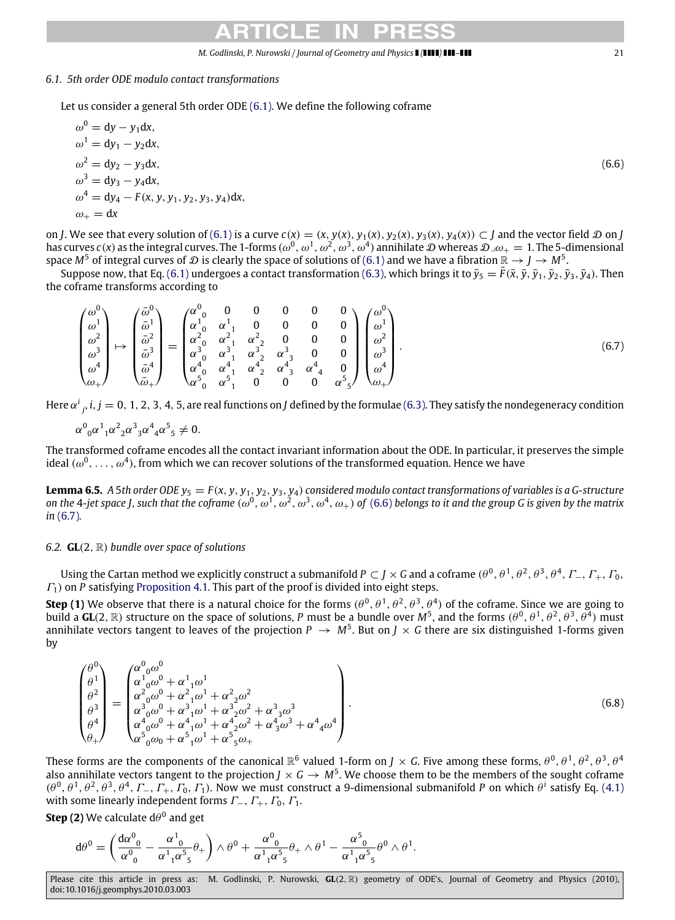#### <span id="page-20-4"></span><span id="page-20-3"></span>*M. Godlinski, P. Nurowski / Journal of Geometry and Physics ( ) –* 21

#### <span id="page-20-0"></span>*6.1. 5th order ODE modulo contact transformations*

Let us consider a general 5th order ODE [\(6.1\).](#page-17-1) We define the following coframe

$$
\omega^{0} = dy - y_{1}dx,\n\omega^{1} = dy_{1} - y_{2}dx,\n\omega^{2} = dy_{2} - y_{3}dx,\n\omega^{3} = dy_{3} - y_{4}dx,\n\omega^{4} = dy_{4} - F(x, y, y_{1}, y_{2}, y_{3}, y_{4})dx,\n\omega_{+} = dx
$$
\n(6.6)

on *J*. We see that every solution of [\(6.1\)](#page-17-1) is a curve  $c(x) = (x, y(x), y_1(x), y_2(x), y_3(x), y_4(x)) \subset J$  and the vector field  $\mathcal D$  on *J* has curves  $c$  (x) as the integral curves. The 1-forms  $(\omega^0,\,\omega^1,\,\omega^2,\,\omega^3,\,\omega^4)$  annihilate  $\cal D$  whereas  $\cal D$   $\omega_+=1.$  The 5-dimensional space  $M^5$  of integral curves of  $\cal D$  is clearly the space of solutions of [\(6.1\)](#page-17-1) and we have a fibration  $\R\to J\to M^5$ .

Suppose now, that Eq. [\(6.1\)](#page-17-1) undergoes a contact transformation [\(6.3\),](#page-17-2) which brings it to  $\bar{y}_5 = \bar{F}(\bar{x}, \bar{y}, \bar{y}_1, \bar{y}_2, \bar{y}_3, \bar{y}_4)$ . Then the coframe transforms according to

$$
\begin{pmatrix}\n\omega^0 \\
\omega^1 \\
\omega^2 \\
\omega^3 \\
\omega^4 \\
\omega^4\n\end{pmatrix}\n\mapsto\n\begin{pmatrix}\n\bar{\omega}^0 \\
\bar{\omega}^1 \\
\bar{\omega}^2 \\
\bar{\omega}^3 \\
\bar{\omega}^4 \\
\bar{\omega}_+^4\n\end{pmatrix}\n=\n\begin{pmatrix}\n\alpha^0 & 0 & 0 & 0 & 0 & 0 \\
\alpha^1 & \alpha^1 & 0 & 0 & 0 & 0 \\
\alpha^2 & \alpha^2 & 0 & 0 & 0 & 0 \\
\alpha^2 & \alpha^2 & \alpha^2 & 0 & 0 & 0 \\
\alpha^3 & \alpha^3 & \alpha^3 & 0 & 0 & 0 \\
\alpha^4 & \alpha^4 & \alpha^4 & \alpha^4 & \alpha^4 & 0 \\
\alpha^4 & \alpha^4 & \alpha^4 & \alpha^4 & \alpha^4 & 0 \\
\alpha^5 & \alpha^5 & \alpha^5 & 0 & 0 & 0 & \alpha^5\n\end{pmatrix}\n\begin{pmatrix}\n\omega^0 \\
\omega^1 \\
\omega^2 \\
\omega^3 \\
\omega^4 \\
\omega^5\n\end{pmatrix}.
$$
\n(6.7)

Here  $\alpha^i{}_j$ ,  $i,j=0,\,1,\,2,\,3,\,4,\,5,$  are real functions on *J* defined by the formulae [\(6.3\).](#page-17-2) They satisfy the nondegeneracy condition

$$
\alpha^{0}_{\ 0}\alpha^{1}_{\ 1}\alpha^{2}_{\ 2}\alpha^{3}_{\ 3}\alpha^{4}_{\ 4}\alpha^{5}_{\ 5}\neq 0.
$$

The transformed coframe encodes all the contact invariant information about the ODE. In particular, it preserves the simple ideal  $(\omega^0, \ldots, \omega^4)$ , from which we can recover solutions of the transformed equation. Hence we have

<span id="page-20-1"></span>**Lemma 6.5.** *A* 5*th* order ODE  $y_5 = F(x, y, y_1, y_2, y_3, y_4)$  considered modulo contact transformations of variables is a G-structure on the 4-jet space J, such that the coframe  $(\omega^0,\omega^1,\omega^2,\omega^3,\omega^4,\omega_+)$  of [\(6.6\)](#page-20-3) belongs to it and the group G is given by the matrix *in* [\(6.7\)](#page-20-4)*.*

### <span id="page-20-2"></span>*6.2.* **GL**(2, R) *bundle over space of solutions*

Using the Cartan method we explicitly construct a submanifold P  $\subset$  J  $\times$  G and a coframe  $(\theta^0,\theta^1,\theta^2,\theta^3,\theta^4,$   $\Gamma_-$ ,  $\Gamma_+$ ,  $\Gamma_0$ , Γ1) on *P* satisfying [Proposition 4.1.](#page-12-0) This part of the proof is divided into eight steps.

**Step (1)** We observe that there is a natural choice for the forms  $(\theta^0, \theta^1, \theta^2, \theta^3, \theta^4)$  of the coframe. Since we are going to build a  $GL(2, \mathbb{R})$  structure on the space of solutions, *P* must be a bundle over  $M^5$ , and the forms  $(\theta^0, \theta^1, \theta^2, \theta^3, \theta^4)$  must annihilate vectors tangent to leaves of the projection  $P \to M^5$ . But on  $J \times G$  there are six distinguished 1-forms given by

<span id="page-20-5"></span>
$$
\begin{pmatrix}\n\theta^{0} \\
\theta^{1} \\
\theta^{2} \\
\theta^{3} \\
\theta^{4} \\
\theta^{4} \\
\theta^{4}\n\end{pmatrix} = \begin{pmatrix}\n\alpha^{0}{}_{0}\omega^{0} \\
\alpha^{1}{}_{0}\omega^{0} + \alpha^{1}{}_{1}\omega^{1} \\
\alpha^{2}{}_{0}\omega^{0} + \alpha^{2}{}_{1}\omega^{1} + \alpha^{2}{}_{2}\omega^{2} \\
\alpha^{3}{}_{0}\omega^{0} + \alpha^{3}{}_{1}\omega^{1} + \alpha^{3}{}_{2}\omega^{2} + \alpha^{3}{}_{3}\omega^{3} \\
\alpha^{4}{}_{0}\omega^{0} + \alpha^{4}{}_{1}\omega^{1} + \alpha^{4}{}_{2}\omega^{2} + \alpha^{4}{}_{3}\omega^{3} + \alpha^{4}{}_{4}\omega^{4} \\
\alpha^{4}{}_{0}\omega^{0} + \alpha^{4}{}_{1}\omega^{1} + \alpha^{4}{}_{2}\omega^{2} + \alpha^{4}{}_{3}\omega^{3} + \alpha^{4}{}_{4}\omega^{4}\n\end{pmatrix}.
$$
\n(6.8)

These forms are the components of the canonical  $\R^6$  valued 1-form on *J*  $\times$  *G*. Five among these forms,  $\theta^0, \theta^1, \theta^2, \theta^3, \theta^4$ also annihilate vectors tangent to the projection  $J \times G \to M^5$ . We choose them to be the members of the sought coframe  $(\theta^0, \theta^1, \theta^2, \theta^3, \theta^4, \Gamma_-, \Gamma_+, \Gamma_0, \Gamma_1)$ . Now we must construct a 9-dimensional submanifold *P* on which  $\theta^i$  satisfy Eq. [\(4.1\)](#page-11-1) with some linearly independent forms  $\Gamma_-, \Gamma_+, \Gamma_0, \Gamma_1$ .

 $\mathbf{Step~(2)}$  We calculate  $\mathrm{d}\theta^0$  and get

$$
\mathrm{d}\theta^0=\left(\frac{\mathrm{d}\alpha^0_{\phantom{0}0}}{\alpha^0_{\phantom{0}0}}-\frac{\alpha^1_{\phantom{0}0}}{\alpha^1_{\phantom{1}1}\alpha^5_{\phantom{5}5}}\theta_+\right)\wedge\theta^0+\frac{\alpha^0_{\phantom{0}0}}{\alpha^1_{\phantom{1}1}\alpha^5_{\phantom{5}5}}\theta_+\wedge\theta^1-\frac{\alpha^5_{\phantom{0}0}}{\alpha^1_{\phantom{1}1}\alpha^5_{\phantom{5}5}}\theta^0\wedge\theta^1.
$$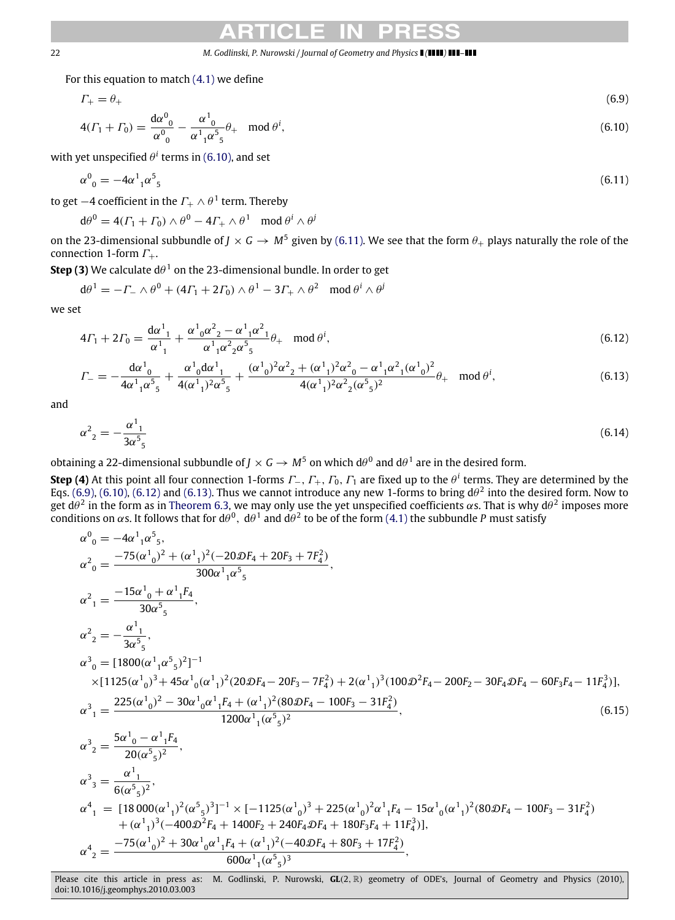#### *M. Godlinski, P. Nurowski / Journal of Geometry and Physics ( ) –*

For this equation to match [\(4.1\)](#page-11-1) we define

<span id="page-21-2"></span><span id="page-21-0"></span>
$$
\Gamma_{+} = \theta_{+}
$$
\n(6.9)\n
$$
4(\Gamma_{1} + \Gamma_{0}) = \frac{d\alpha^{0}}{\alpha^{0}} - \frac{\alpha^{1}{}_{0}}{\alpha^{1}{}_{1}\alpha^{5}}\theta_{+} \mod \theta^{i},
$$
\n(6.10)

with yet unspecified  $\theta^i$  terms in [\(6.10\),](#page-21-0) and set

$$
\alpha^0_{\ \,0} = -4\alpha^1_{\ \,1}\alpha^5_{\ \,5} \tag{6.11}
$$

to get  $-4$  coefficient in the  $\varGamma_+\wedge\theta^1$  term. Thereby

<span id="page-21-1"></span>
$$
d\theta^0 = 4(\Gamma_1 + \Gamma_0) \wedge \theta^0 - 4\Gamma_+ \wedge \theta^1 \mod \theta^i \wedge \theta^j
$$

on the 23-dimensional subbundle of *J*  $\times$  *G*  $\to$  *M*<sup>5</sup> given by [\(6.11\).](#page-21-1) We see that the form  $\theta_+$  plays naturally the role of the connection 1-form  $\Gamma_{+}$ .

 $\mathop{\mathsf{Step}}\nolimits{3}$ ) We calculate d $\theta^1$  on the 23-dimensional bundle. In order to get

 ${\rm d}\theta^1=-\varGamma_-\wedge\theta^0+(4\varGamma_1+2\varGamma_0)\wedge\theta^1-3\varGamma_+\wedge\theta^2\mod\theta^i\wedge\theta^j$ 

we set

<span id="page-21-3"></span>
$$
4\Gamma_1 + 2\Gamma_0 = \frac{d\alpha^1}{\alpha^1_1} + \frac{\alpha^1_0\alpha^2_2 - \alpha^1_1\alpha^2_1}{\alpha^1_1\alpha^2_2\alpha^5_5} \theta_+ \mod \theta^i,
$$
\n(6.12)

<span id="page-21-4"></span>
$$
\Gamma_{-} = -\frac{d\alpha^{1}_{0}}{4\alpha^{1}_{1}\alpha^{5}_{5}} + \frac{\alpha^{1}_{0}d\alpha^{1}_{1}}{4(\alpha^{1}_{1})^{2}\alpha^{5}_{5}} + \frac{(\alpha^{1}_{0})^{2}\alpha^{2}_{2} + (\alpha^{1}_{1})^{2}\alpha^{2}_{0} - \alpha^{1}_{1}\alpha^{2}_{1}(\alpha^{1}_{0})^{2}}{4(\alpha^{1}_{1})^{2}\alpha^{2}_{2}(\alpha^{5}_{5})^{2}}\theta_{+} \mod \theta^{i},
$$
\n(6.13)

and

<span id="page-21-6"></span>
$$
\alpha^2_{2} = -\frac{\alpha^1_{1}}{3\alpha^5_{5}}\tag{6.14}
$$

obtaining a 22-dimensional subbundle of *J*  $\times$  *G*  $\rightarrow$  *M*<sup>5</sup> on which d $\theta^0$  and d $\theta^1$  are in the desired form.

**Step (4)** At this point all four connection 1-forms  $\varGamma_-, \varGamma_+, \varGamma_0, \varGamma_1$  are fixed up to the  $\theta^i$  terms. They are determined by the Eqs. [\(6.9\),](#page-21-2) [\(6.10\),](#page-21-0) [\(6.12\)](#page-21-3) and [\(6.13\).](#page-21-4) Thus we cannot introduce any new 1-forms to bring  $d\theta^2$  into the desired form. Now to get d $\theta^2$  in the form as in [Theorem 6.3,](#page-18-0) we may only use the yet unspecified coefficients  $\alpha$ s. That is why d $\theta^2$  imposes more conditions on  $\alpha$ s. It follows that for  $d\theta^0$ ,  $d\theta^1$  and  $d\theta^2$  to be of the form [\(4.1\)](#page-11-1) the subbundle *P* must satisfy

<span id="page-21-5"></span>
$$
\alpha^{0}_{0} = -4\alpha^{1}_{1}\alpha^{5}_{5},
$$
\n
$$
\alpha^{2}_{0} = \frac{-75(\alpha^{1}_{0})^{2} + (\alpha^{1}_{1})^{2}(-20.0F_{4} + 20F_{3} + 7F_{4}^{2})}{300\alpha^{1}_{1}\alpha^{5}_{5}},
$$
\n
$$
\alpha^{2}_{1} = \frac{-15\alpha^{1}_{0} + \alpha^{1}_{1}F_{4}}{30\alpha^{5}_{5}},
$$
\n
$$
\alpha^{2}_{2} = -\frac{\alpha^{1}_{1}}{3\alpha^{5}_{5}},
$$
\n
$$
\alpha^{3}_{0} = [1800(\alpha^{1}_{1}\alpha^{5}_{5})^{2}]^{-1}
$$
\n
$$
\times [1125(\alpha^{1}_{0})^{3} + 45\alpha^{1}_{0}(\alpha^{1}_{1})^{2}(20.0F_{4} - 20F_{3} - 7F_{4}^{2}) + 2(\alpha^{1}_{1})^{3}(100.02^{2}F_{4} - 200F_{2} - 30F_{4} \mathcal{D}F_{4} - 11F_{4}^{3})],
$$
\n
$$
\alpha^{3}_{1} = \frac{225(\alpha^{1}_{0})^{2} - 30\alpha^{1}_{0}\alpha^{1}_{1}F_{4} + (\alpha^{1}_{1})^{2}(80.0F_{4} - 100F_{3} - 31F_{4}^{2})}{1200\alpha^{1}_{1}(\alpha^{5}_{5})^{2}},
$$
\n
$$
\alpha^{3}_{2} = \frac{5\alpha^{1}_{0} - \alpha^{1}_{1}F_{4}}{20(\alpha^{5}_{5})^{2}},
$$
\n
$$
\alpha^{3}_{3} = \frac{\alpha^{1}_{1}}{6(\alpha^{5}_{5})^{2}},
$$
\n
$$
\alpha^{3}_{1} = [18000(\alpha^{1}_{1})^{2}(\alpha^{5}_{5})^{3}]^{-1} \times [-1125(\alpha^{1}_{0})^{3} + 225(\alpha^{1}_{0})^{2}\alpha^{1}_{1}F_{4} - 15\alpha^{1}_{0}(\alpha^{1}_{1})^{2}(80.0F_{4} - 100F_{3} - 31F_{4}^{2}) + (\alpha^{1}_{1})^{3}(-400.02^{2}F_{4} + 1400F_{2} + 240F_{
$$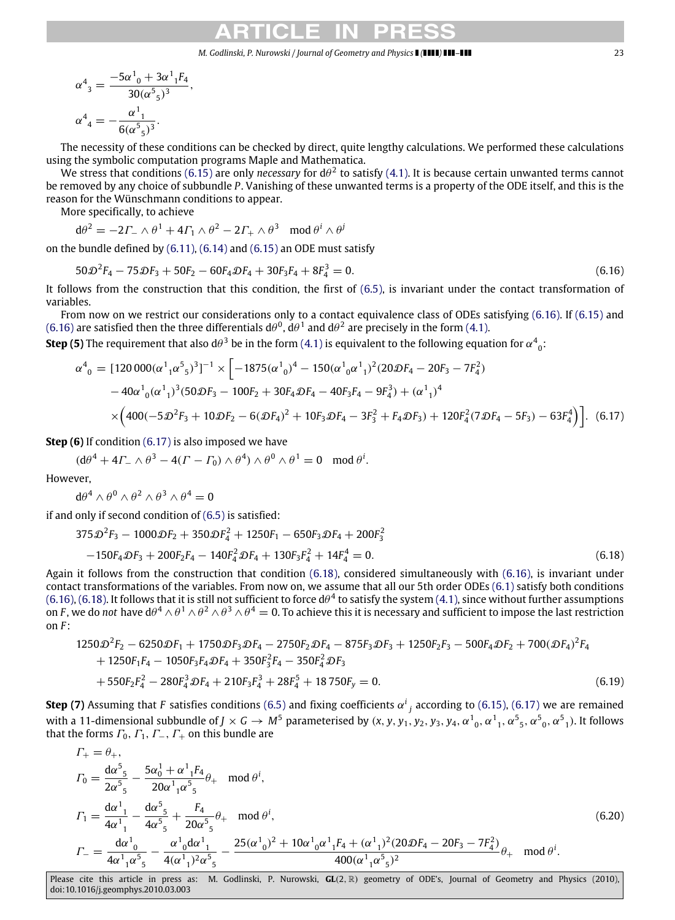#### *M. Godlinski, P. Nurowski / Journal of Geometry and Physics ( ) –* 23

$$
\alpha_{3}^{4} = \frac{-5\alpha_{0}^{1} + 3\alpha_{1}^{1}F_{4}}{30(\alpha_{5}^{5})^{3}}
$$

$$
\alpha_{4}^{4} = -\frac{\alpha_{1}^{1}}{6(\alpha_{5}^{5})^{3}}.
$$

The necessity of these conditions can be checked by direct, quite lengthy calculations. We performed these calculations using the symbolic computation programs Maple and Mathematica.

We stress that conditions [\(6.15\)](#page-21-5) are only *necessary* for d $\theta^2$  to satisfy [\(4.1\).](#page-11-1) It is because certain unwanted terms cannot be removed by any choice of subbundle *P*. Vanishing of these unwanted terms is a property of the ODE itself, and this is the reason for the Wünschmann conditions to appear.

More specifically, to achieve

$$
d\theta^2 = -2\Gamma_-\wedge \theta^1 + 4\Gamma_1\wedge \theta^2 - 2\Gamma_+\wedge \theta^3 \mod \theta^i \wedge \theta^j
$$

<span id="page-22-1"></span><span id="page-22-0"></span>,

on the bundle defined by [\(6.11\),](#page-21-1) [\(6.14\)](#page-21-6) and [\(6.15\)](#page-21-5) an ODE must satisfy

$$
50\mathcal{D}^2F_4 - 75\mathcal{D}F_3 + 50F_2 - 60F_4\mathcal{D}F_4 + 30F_3F_4 + 8F_4^3 = 0.
$$
\n
$$
(6.16)
$$

It follows from the construction that this condition, the first of [\(6.5\),](#page-18-2) is invariant under the contact transformation of variables.

From now on we restrict our considerations only to a contact equivalence class of ODEs satisfying [\(6.16\).](#page-22-0) If [\(6.15\)](#page-21-5) and [\(6.16\)](#page-22-0) are satisfied then the three differentials d $\theta^0$ , d $\theta^1$  and d $\theta^2$  are precisely in the form [\(4.1\).](#page-11-1)

**Step (5)** The requirement that also d $\theta^3$  be in the form [\(4.1\)](#page-11-1) is equivalent to the following equation for  $\alpha^4_{\;\;0}$ :

$$
\alpha^{4}_{0} = [120\,000(\alpha^{1}_{1}\alpha^{5}_{5})^{3}]^{-1} \times [-1875(\alpha^{1}_{0})^{4} - 150(\alpha^{1}_{0}\alpha^{1}_{1})^{2}(20\mathcal{D}F_{4} - 20F_{3} - 7F_{4}^{2})
$$
  
\n
$$
-40\alpha^{1}_{0}(\alpha^{1}_{1})^{3}(50\mathcal{D}F_{3} - 100F_{2} + 30F_{4}\mathcal{D}F_{4} - 40F_{3}F_{4} - 9F_{4}^{3}) + (\alpha^{1}_{1})^{4}
$$
  
\n
$$
\times \Big(400(-5\mathcal{D}^{2}F_{3} + 10\mathcal{D}F_{2} - 6(\mathcal{D}F_{4})^{2} + 10F_{3}\mathcal{D}F_{4} - 3F_{3}^{2} + F_{4}\mathcal{D}F_{3}) + 120F_{4}^{2}(7\mathcal{D}F_{4} - 5F_{3}) - 63F_{4}^{4}\Big)\Big].
$$
 (6.17)

**Step (6)** If condition [\(6.17\)](#page-22-1) is also imposed we have

 $(d\theta^4 + 4\Gamma_- \wedge \theta^3 - 4(\Gamma - \Gamma_0) \wedge \theta^4) \wedge \theta^0 \wedge \theta^1 = 0 \mod \theta^i.$ 

However,

 $d\theta^4 \wedge \theta^0 \wedge \theta^2 \wedge \theta^3 \wedge \theta^4 = 0$ 

if and only if second condition of [\(6.5\)](#page-18-2) is satisfied:

<span id="page-22-2"></span>
$$
375\mathcal{D}^2F_3 - 1000\mathcal{D}F_2 + 350\mathcal{D}F_4^2 + 1250F_1 - 650F_3\mathcal{D}F_4 + 200F_3^2
$$
  
-150F<sub>4</sub> $\mathcal{D}F_3 + 200F_2F_4 - 140F_4^2\mathcal{D}F_4 + 130F_3F_4^2 + 14F_4^4 = 0.$  (6.18)

Again it follows from the construction that condition [\(6.18\),](#page-22-2) considered simultaneously with [\(6.16\),](#page-22-0) is invariant under contact transformations of the variables. From now on, we assume that all our 5th order ODEs [\(6.1\)](#page-17-1) satisfy both conditions [\(6.16\),](#page-22-0) [\(6.18\).](#page-22-2) It follows that it is still not sufficient to force d $\theta^4$  to satisfy the system [\(4.1\),](#page-11-1) since without further assumptions on *F*, we do *not* have d $\theta^4\wedge\theta^1\wedge\theta^2\wedge\theta^3\wedge\theta^4=0.$  To achieve this it is necessary and sufficient to impose the last restriction on *F* :

$$
1250\mathcal{D}^2F_2 - 6250\mathcal{D}F_1 + 1750\mathcal{D}F_3\mathcal{D}F_4 - 2750F_2\mathcal{D}F_4 - 875F_3\mathcal{D}F_3 + 1250F_2F_3 - 500F_4\mathcal{D}F_2 + 700(\mathcal{D}F_4)^2F_4 + 1250F_1F_4 - 1050F_3F_4\mathcal{D}F_4 + 350F_3^2F_4 - 350F_4^2\mathcal{D}F_3 + 550F_2F_4^2 - 280F_4^3\mathcal{D}F_4 + 210F_3F_4^3 + 28F_4^5 + 18750F_y = 0.
$$
 (6.19)

**Step (7)** Assuming that *F* satisfies conditions [\(6.5\)](#page-18-2) and fixing coefficients  $\alpha^i_{\ j}$  according to [\(6.15\),](#page-21-5) [\(6.17\)](#page-22-1) we are remained with a 11-dimensional subbundle of  $J \times G \to M^5$  parameterised by  $(x, y, y_1, y_2, y_3, y_4, \alpha^1{}_0, \alpha^1{}_1, \alpha^5{}_5, \alpha^5{}_0, \alpha^5{}_1)$ . It follows that the forms  $\Gamma_0$ ,  $\Gamma_1$ ,  $\Gamma_-, \Gamma_+$  on this bundle are

<span id="page-22-3"></span>
$$
\Gamma_{+} = \theta_{+},
$$
\n
$$
\Gamma_{0} = \frac{d\alpha^{5}_{5}}{2\alpha^{5}_{5}} - \frac{5\alpha_{0}^{1} + \alpha^{1}_{1}F_{4}}{20\alpha^{1}_{1}\alpha^{5}_{5}}\theta_{+} \mod \theta^{i},
$$
\n
$$
\Gamma_{1} = \frac{d\alpha^{1}_{1}}{4\alpha^{1}_{1}} - \frac{d\alpha^{5}_{5}}{4\alpha^{5}_{5}} + \frac{F_{4}}{20\alpha^{5}_{5}}\theta_{+} \mod \theta^{i},
$$
\n
$$
\Gamma_{-} = \frac{d\alpha^{1}_{0}}{4\alpha^{1}_{1}\alpha^{5}_{5}} - \frac{\alpha^{1}_{0}d\alpha^{1}_{1}}{4(\alpha^{1}_{1})^{2}\alpha^{5}_{5}} - \frac{25(\alpha^{1}_{0})^{2} + 10\alpha^{1}_{0}\alpha^{1}_{1}F_{4} + (\alpha^{1}_{1})^{2}(20\mathcal{D}F_{4} - 20F_{3} - 7F_{4}^{2})}{400(\alpha^{1}_{1}\alpha^{5}_{5})^{2}}\theta_{+} \mod \theta^{i}.
$$
\n
$$
(6.20)
$$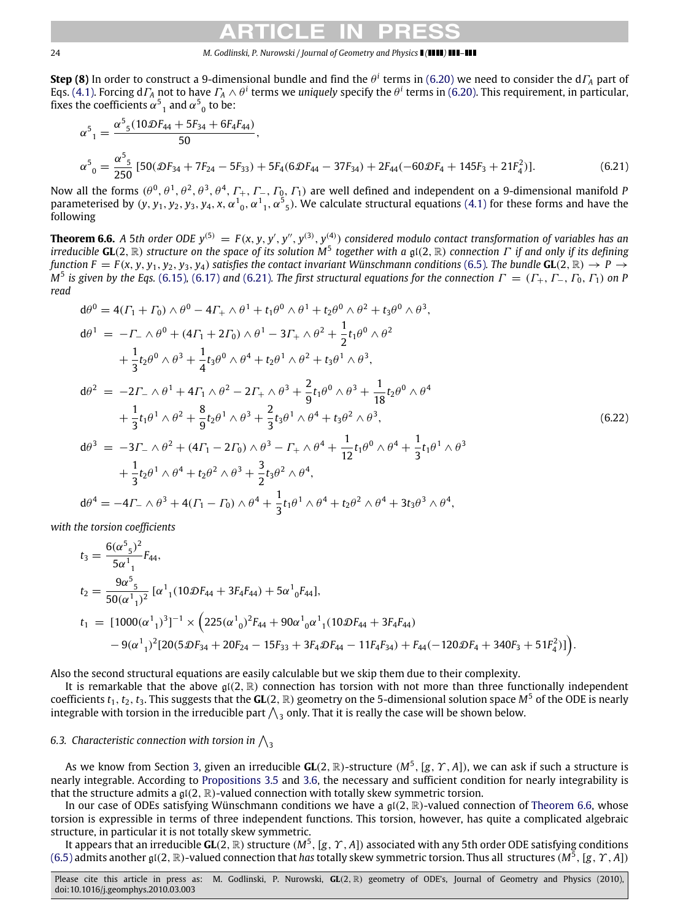#### *M. Godlinski, P. Nurowski / Journal of Geometry and Physics ( ) –*

**Step (8)** In order to construct a 9-dimensional bundle and find the  $θ^i$  terms in [\(6.20\)](#page-22-3) we need to consider the dΓ<sub>A</sub> part of Eqs. [\(4.1\).](#page-11-1) Forcing d $\Gamma_A$  not to have  $\Gamma_A\wedge\theta^i$  terms we *uniquely* specify the  $\theta^i$  terms in [\(6.20\).](#page-22-3) This requirement, in particular, fixes the coefficients  $\alpha^5$ <sub>1</sub> and  $\alpha^5$ <sub>0</sub> to be:

<span id="page-23-2"></span>
$$
\alpha^{5}{}_{1} = \frac{\alpha^{5}{}_{5}(10\mathcal{D}F_{44} + 5F_{34} + 6F_{4}F_{44})}{50},
$$
\n
$$
\alpha^{5}{}_{0} = \frac{\alpha^{5}{}_{5}}{250}[50(\mathcal{D}F_{34} + 7F_{24} - 5F_{33}) + 5F_{4}(6\mathcal{D}F_{44} - 37F_{34}) + 2F_{44}(-60\mathcal{D}F_{4} + 145F_{3} + 21F_{4}^{2})].
$$
\n(6.21)

Now all the forms  $(\theta^0,\theta^1,\theta^2,\theta^3,\theta^4,\Gamma_+, \Gamma_-, \Gamma_0,\Gamma_1)$  are well defined and independent on a 9-dimensional manifold P parameterised by  $(y, y_1, y_2, y_3, y_4, x, \alpha^1_{0}, \alpha^1_{1}, \alpha^5_{5})$ . We calculate structural equations [\(4.1\)](#page-11-1) for these forms and have the following

<span id="page-23-0"></span>**Theorem 6.6.** A 5th order ODE  $y^{(5)} = F(x, y, y', y'', y^{(3)}, y^{(4)})$  considered modulo contact transformation of variables has an *irreducible* **GL**(2, R) *structure on the space of its solution M*<sup>5</sup> *together with a* gl(2, R) *connection* Γ *if and only if its defining function*  $F = F(x, y, y_1, y_2, y_3, y_4)$  *satisfies the contact invariant Wünschmann conditions* [\(6.5\)](#page-18-2). The bundle **GL**(2, R)  $\rightarrow$  *P*  $\rightarrow$ *M*<sup>5</sup> is given by the Eqs. [\(6.15\)](#page-21-5), [\(6.17\)](#page-22-1) and [\(6.21\)](#page-23-2). The first structural equations for the connection  $\Gamma = (\Gamma_+, \Gamma_-, \Gamma_0, \Gamma_1)$  on P *read*

<span id="page-23-3"></span>
$$
d\theta^{0} = 4(\Gamma_{1} + \Gamma_{0}) \wedge \theta^{0} - 4\Gamma_{+} \wedge \theta^{1} + t_{1}\theta^{0} \wedge \theta^{1} + t_{2}\theta^{0} \wedge \theta^{2} + t_{3}\theta^{0} \wedge \theta^{3},
$$
  
\n
$$
d\theta^{1} = -\Gamma_{-} \wedge \theta^{0} + (4\Gamma_{1} + 2\Gamma_{0}) \wedge \theta^{1} - 3\Gamma_{+} \wedge \theta^{2} + \frac{1}{2}t_{1}\theta^{0} \wedge \theta^{2}
$$
  
\n
$$
+ \frac{1}{3}t_{2}\theta^{0} \wedge \theta^{3} + \frac{1}{4}t_{3}\theta^{0} \wedge \theta^{4} + t_{2}\theta^{1} \wedge \theta^{2} + t_{3}\theta^{1} \wedge \theta^{3},
$$
  
\n
$$
d\theta^{2} = -2\Gamma_{-} \wedge \theta^{1} + 4\Gamma_{1} \wedge \theta^{2} - 2\Gamma_{+} \wedge \theta^{3} + \frac{2}{9}t_{1}\theta^{0} \wedge \theta^{3} + \frac{1}{18}t_{2}\theta^{0} \wedge \theta^{4}
$$
  
\n
$$
+ \frac{1}{3}t_{1}\theta^{1} \wedge \theta^{2} + \frac{8}{9}t_{2}\theta^{1} \wedge \theta^{3} + \frac{2}{3}t_{3}\theta^{1} \wedge \theta^{4} + t_{3}\theta^{2} \wedge \theta^{3},
$$
  
\n
$$
d\theta^{3} = -3\Gamma_{-} \wedge \theta^{2} + (4\Gamma_{1} - 2\Gamma_{0}) \wedge \theta^{3} - \Gamma_{+} \wedge \theta^{4} + \frac{1}{12}t_{1}\theta^{0} \wedge \theta^{4} + \frac{1}{3}t_{1}\theta^{1} \wedge \theta^{3}
$$
  
\n
$$
+ \frac{1}{3}t_{2}\theta^{1} \wedge \theta^{4} + t_{2}\theta^{2} \wedge \theta^{3} + \frac{3}{2}t_{3}\theta^{2} \wedge \theta^{4},
$$
  
\n
$$
d\theta^{4} = -4\Gamma_{-} \wedge \theta^{3} + 4(\Gamma_{1} - \Gamma_{0}) \wedge \theta^{4} + \frac{1}{
$$

*with the torsion coefficients*

$$
t_3 = \frac{6(\alpha^5 s)^2}{5\alpha^1_1} F_{44},
$$
  
\n
$$
t_2 = \frac{9\alpha^5}{50(\alpha^1_1)^2} [\alpha^1_1 (10\mathcal{D}F_{44} + 3F_4F_{44}) + 5\alpha^1_0F_{44}],
$$
  
\n
$$
t_1 = [1000(\alpha^1_1)^3]^{-1} \times (225(\alpha^1_0)^2F_{44} + 90\alpha^1_0\alpha^1_1 (10\mathcal{D}F_{44} + 3F_4F_{44}) - 9(\alpha^1_1)^2 [20(5\mathcal{D}F_{34} + 20F_{24} - 15F_{33} + 3F_4\mathcal{D}F_{44} - 11F_4F_{34}) + F_{44}(-120\mathcal{D}F_4 + 340F_3 + 51F_4^2)].
$$

Also the second structural equations are easily calculable but we skip them due to their complexity.

It is remarkable that the above  $\mathfrak{gl}(2,\mathbb{R})$  connection has torsion with not more than three functionally independent coefficients  $t_1, t_2, t_3$ . This suggests that the **GL**(2, R) geometry on the 5-dimensional solution space  $M^5$  of the ODE is nearly integrable with torsion in the irreducible part  $\bigwedge_3$  only. That it is really the case will be shown below.

### <span id="page-23-1"></span>6.3. Characteristic connection with torsion in  $\bigwedge_{3}$

As we know from Section [3,](#page-7-0) given an irreducible **GL**(2, R)-structure (*M*<sup>5</sup> , [*g*, Υ , *A*]), we can ask if such a structure is nearly integrable. According to [Propositions 3.5](#page-10-4) and [3.6,](#page-10-5) the necessary and sufficient condition for nearly integrability is that the structure admits a  $\mathfrak{gl}(2,\mathbb{R})$ -valued connection with totally skew symmetric torsion.

In our case of ODEs satisfying Wünschmann conditions we have a  $\mathfrak{gl}(2,\mathbb{R})$ -valued connection of [Theorem 6.6,](#page-23-0) whose torsion is expressible in terms of three independent functions. This torsion, however, has quite a complicated algebraic structure, in particular it is not totally skew symmetric.

It appears that an irreducible **GL**(2, R) structure (*M*<sup>5</sup> , [*g*, Υ , *A*]) associated with any 5th order ODE satisfying conditions [\(6.5\)](#page-18-2) admits another gI(2,  $\R$ )-valued connection that *has* totally skew symmetric torsion. Thus all structures  $(M^5, [g,\varUpsilon,A])$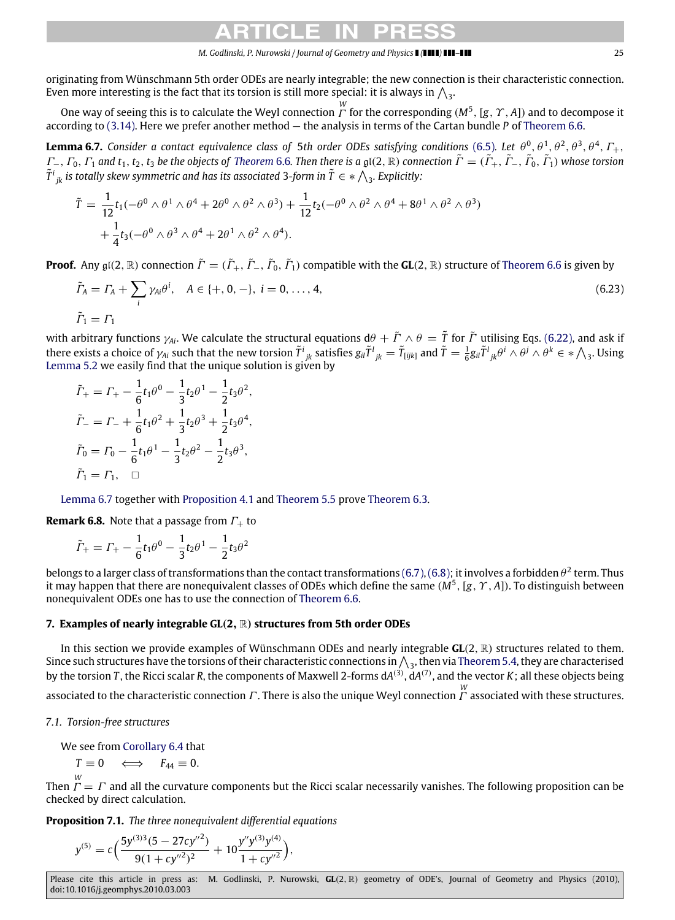*M. Godlinski, P. Nurowski / Journal of Geometry and Physics ( ) –* 25

originating from Wünschmann 5th order ODEs are nearly integrable; the new connection is their characteristic connection. Even more interesting is the fact that its torsion is still more special: it is always in  $\bigwedge_{3}$ .

One way of seeing this is to calculate the Weyl connection  $\stackrel{W}{\Gamma}$  for the corresponding (M<sup>5</sup>, [g,  $\Upsilon$ , A]) and to decompose it according to [\(3.14\).](#page-10-2) Here we prefer another method — the analysis in terms of the Cartan bundle *P* of [Theorem 6.6.](#page-23-0)

<span id="page-24-2"></span>**Lemma 6.7.** Consider a contact equivalence class of 5th order ODEs satisfying conditions [\(6.5\)](#page-18-2). Let  $\theta^0$ ,  $\theta^1$ ,  $\theta^2$ ,  $\theta^3$ ,  $\theta^4$ ,  $\Gamma_+$ ,  $\Gamma_-, \Gamma_0, \Gamma_1$  and  $t_1, t_2, t_3$  be the objects of [Theorem](#page-23-0) 6.6. Then there is a gl(2,  $\mathbb R)$  connection  $\tilde\Gamma=(\tilde\Gamma_+,\tilde\Gamma_-,\tilde\Gamma_0,\tilde\Gamma_1)$  whose torsion  $\tilde{T}^i_{~jk}$  is totally skew symmetric and has its associated 3-form in  $\tilde{T}\in \ast \bigwedge_{3^\star}$ . Explicitly:

$$
\tilde{T} = \frac{1}{12}t_1(-\theta^0 \wedge \theta^1 \wedge \theta^4 + 2\theta^0 \wedge \theta^2 \wedge \theta^3) + \frac{1}{12}t_2(-\theta^0 \wedge \theta^2 \wedge \theta^4 + 8\theta^1 \wedge \theta^2 \wedge \theta^3) \n+ \frac{1}{4}t_3(-\theta^0 \wedge \theta^3 \wedge \theta^4 + 2\theta^1 \wedge \theta^2 \wedge \theta^4).
$$

**Proof.** Any gl(2,  $\mathbb R$ ) connection  $\tilde\Gamma=(\tilde\Gamma_+,\tilde\Gamma_-,\tilde\Gamma_0,\tilde\Gamma_1)$  compatible with the **GL**(2,  $\mathbb R$ ) structure of [Theorem 6.6](#page-23-0) is given by

$$
\tilde{\varGamma}_A = \varGamma_A + \sum_i \gamma_{Ai} \theta^i, \quad A \in \{+, 0, -\}, \ i = 0, \dots, 4,
$$
\n
$$
\tilde{\varGamma}_1 = \varGamma_1
$$
\n(6.23)

with arbitrary functions  $\gamma_{Ai}$ . We calculate the structural equations  $d\theta + \tilde{\Gamma} \wedge \theta = \tilde{T}$  for  $\tilde{\Gamma}$  utilising Eqs. [\(6.22\),](#page-23-3) and ask if there exists a choice of  $\gamma_{Ai}$  such that the new torsion  $\tilde{T}^i_{\phantom{i}jk}$  satisfies  ${g_{il}}\tilde{T}^l_{\phantom{i}jk}=\tilde{T}_{[ijk]}$  and  $\tilde{T}=\frac{1}{6}{g_{il}}\tilde{T}^l_{\phantom{i}jk}\theta^i\wedge\theta^j\wedge\theta^k\in *\bigwedge_\mathbf{3}.$  Using [Lemma 5.2](#page-13-2) we easily find that the unique solution is given by

$$
\tilde{\Gamma}_{+} = \Gamma_{+} - \frac{1}{6}t_{1}\theta^{0} - \frac{1}{3}t_{2}\theta^{1} - \frac{1}{2}t_{3}\theta^{2},
$$
\n
$$
\tilde{\Gamma}_{-} = \Gamma_{-} + \frac{1}{6}t_{1}\theta^{2} + \frac{1}{3}t_{2}\theta^{3} + \frac{1}{2}t_{3}\theta^{4},
$$
\n
$$
\tilde{\Gamma}_{0} = \Gamma_{0} - \frac{1}{6}t_{1}\theta^{1} - \frac{1}{3}t_{2}\theta^{2} - \frac{1}{2}t_{3}\theta^{3},
$$
\n
$$
\tilde{\Gamma}_{1} = \Gamma_{1}, \quad \Box
$$

[Lemma 6.7](#page-24-2) together with [Proposition 4.1](#page-12-0) and [Theorem 5.5](#page-15-0) prove [Theorem 6.3.](#page-18-0)

**Remark 6.8.** Note that a passage from  $\Gamma_+$  to

<span id="page-24-1"></span>
$$
\tilde{\Gamma}_{+} = \Gamma_{+} - \frac{1}{6}t_{1}\theta^{0} - \frac{1}{3}t_{2}\theta^{1} - \frac{1}{2}t_{3}\theta^{2}
$$

belongs to a larger class of transformations than the contact transformations [\(6.7\),](#page-20-4) [\(6.8\);](#page-20-5) it involves a forbidden  $\theta^2$  term. Thus it may happen that there are nonequivalent classes of ODEs which define the same (*M*<sup>5</sup> , [*g*, Υ , *A*]). To distinguish between nonequivalent ODEs one has to use the connection of [Theorem 6.6.](#page-23-0)

#### <span id="page-24-0"></span>**7. Examples of nearly integrable GL**(**2**, R) **structures from 5th order ODEs**

In this section we provide examples of Wünschmann ODEs and nearly integrable **GL**(2, R) structures related to them. Since such structures have the torsions of their characteristic connections in  $\bigwedge_3$ , then via [Theorem 5.4,](#page-14-0) they are characterised by the torsion *T*, the Ricci scalar *R*, the components of Maxwell 2-forms dA<sup>(3)</sup>, dA<sup>(7)</sup>, and the vector *K*; all these objects being associated to the characteristic connection Γ . There is also the unique Weyl connection *W* Γ associated with these structures.

#### *7.1. Torsion-free structures*

We see from [Corollary 6.4](#page-19-0) that

 $T \equiv 0 \iff F_{44} \equiv 0.$ 

Then  $\stackrel{W}{\Gamma}= \Gamma$  and all the curvature components but the Ricci scalar necessarily vanishes. The following proposition can be checked by direct calculation.

**Proposition 7.1.** *The three nonequivalent differential equations*

<span id="page-24-3"></span>
$$
y^{(5)} = c \Big( \frac{5y^{(3)3}(5 - 27cy^{1/2})}{9(1 + cy^{1/2})^2} + 10 \frac{y''y^{(3)}y^{(4)}}{1 + cy^{1/2}} \Big),
$$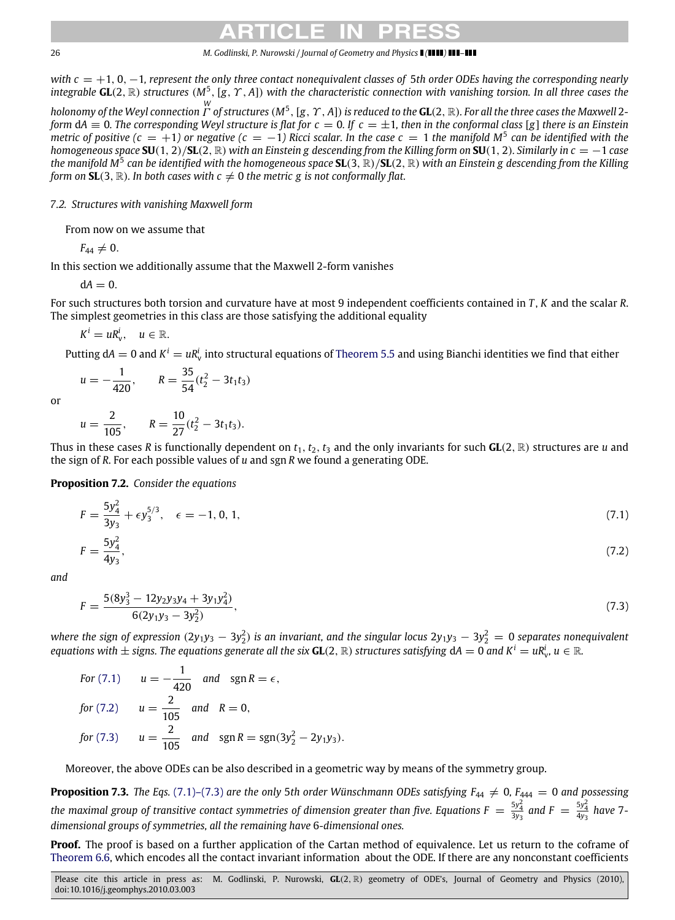#### 26 *M. Godlinski, P. Nurowski / Journal of Geometry and Physics ( ) –*

*with c* = +1, 0, −1*, represent the only three contact nonequivalent classes of* 5*th order ODEs having the corresponding nearly integrable* **GL**(2, R) *structures* (*M*<sup>5</sup> , [*g*, Υ , *A*]) *with the characteristic connection with vanishing torsion. In all three cases the*

*holonomy of the Weyl connection W* Γ *of structures* (*M*<sup>5</sup> , [*g*, Υ , *A*])*is reduced to the* **GL**(2, R)*. For all the three cases the Maxwell* 2 *form*  $dA \equiv 0$ *. The corresponding Weyl structure is flat for*  $c = 0$ *. If*  $c = \pm 1$ *<i>, then in the conformal class* [*g*] *there is an Einstein metric of positive (c* =  $+1$ ) or negative (c =  $-1$ ) Ricci scalar. In the case c = 1 the manifold M<sup>5</sup> can be identified with the *homogeneous space* **SU**(1, 2)/**SL**(2, R) *with an Einstein g descending from the Killing form on* **SU**(1, 2)*. Similarly in c* = −1 *case the manifold M*<sup>5</sup> *can be identified with the homogeneous space* **SL**(3, R)/**SL**(2, R) *with an Einstein g descending from the Killing form on* **SL**(3,  $\mathbb{R}$ )*. In both cases with c*  $\neq$  0 *the metric g is not conformally flat.* 

#### *7.2. Structures with vanishing Maxwell form*

From now on we assume that

 $F_{44} \neq 0$ .

In this section we additionally assume that the Maxwell 2-form vanishes

 $dA = 0$ .

For such structures both torsion and curvature have at most 9 independent coefficients contained in *T* , *K* and the scalar *R*. The simplest geometries in this class are those satisfying the additional equality

$$
K^i = uR^i_v, \quad u \in \mathbb{R}.
$$

Putting  $dA = 0$  and  $K^i = uR^i$ , into structural equations of [Theorem 5.5](#page-15-0) and using Bianchi identities we find that either

$$
u=-\frac{1}{420}, \qquad R=\frac{35}{54}(t_2^2-3t_1t_3)
$$

or

 $\iota$ 

<span id="page-25-0"></span>
$$
u = \frac{2}{105}, \qquad R = \frac{10}{27}(t_2^2 - 3t_1t_3).
$$

Thus in these cases *R* is functionally dependent on  $t_1$ ,  $t_2$ ,  $t_3$  and the only invariants for such **GL**(2,  $\mathbb{R}$ ) structures are *u* and the sign of *R*. For each possible values of *u* and sgn *R* we found a generating ODE.

**Proposition 7.2.** *Consider the equations*

$$
F = \frac{5y_4^2}{3y_3} + \epsilon y_3^{5/3}, \quad \epsilon = -1, 0, 1,
$$
\n(7.1)

$$
F = \frac{5y_4^2}{4y_3},\tag{7.2}
$$

*and*

<span id="page-25-2"></span><span id="page-25-1"></span>
$$
F = \frac{5(8y_3^3 - 12y_2y_3y_4 + 3y_1y_4^2)}{6(2y_1y_3 - 3y_2^2)},
$$
\n(7.3)

where the sign of expression  $(2y_1y_3-3y_2^2)$  is an invariant, and the singular locus  $2y_1y_3-3y_2^2=0$  separates nonequivalent  $e$ quations with  $\pm$  signs. The equations generate all the six **GL**(2,  $\R$ ) structures satisfying  $dA = 0$  and  $K^i = uR^i_v, u \in \R$ .

For (7.1) 
$$
u = -\frac{1}{420}
$$
 and  $sgn R = \epsilon$ ,  
\nfor (7.2)  $u = \frac{2}{105}$  and  $R = 0$ ,  
\nfor (7.3)  $u = \frac{2}{105}$  and  $sgn R = sgn(3y_2^2 - 2y_1y_3)$ .

Moreover, the above ODEs can be also described in a geometric way by means of the symmetry group.

**Proposition 7.3.** *The Eqs.* [\(7.1\)–\(7.3\)](#page-25-0) are the only 5th order Wünschmann ODEs satisfying  $F_{44} \neq 0$ ,  $F_{444} = 0$  and possessing *the maximal group of transitive contact symmetries of dimension greater than five. Equations*  $F = \frac{5y_4^2}{3y_3}$  *and*  $F = \frac{5y_4^2}{4y_3}$  *have 7dimensional groups of symmetries, all the remaining have* 6*-dimensional ones.*

**Proof.** The proof is based on a further application of the Cartan method of equivalence. Let us return to the coframe of [Theorem 6.6,](#page-23-0) which encodes all the contact invariant information about the ODE. If there are any nonconstant coefficients

Please cite this article in press as: M. Godlinski, P. Nurowski, **GL**(2, R) geometry of ODE's, Journal of Geometry and Physics (2010), doi:10.1016/j.geomphys.2010.03.003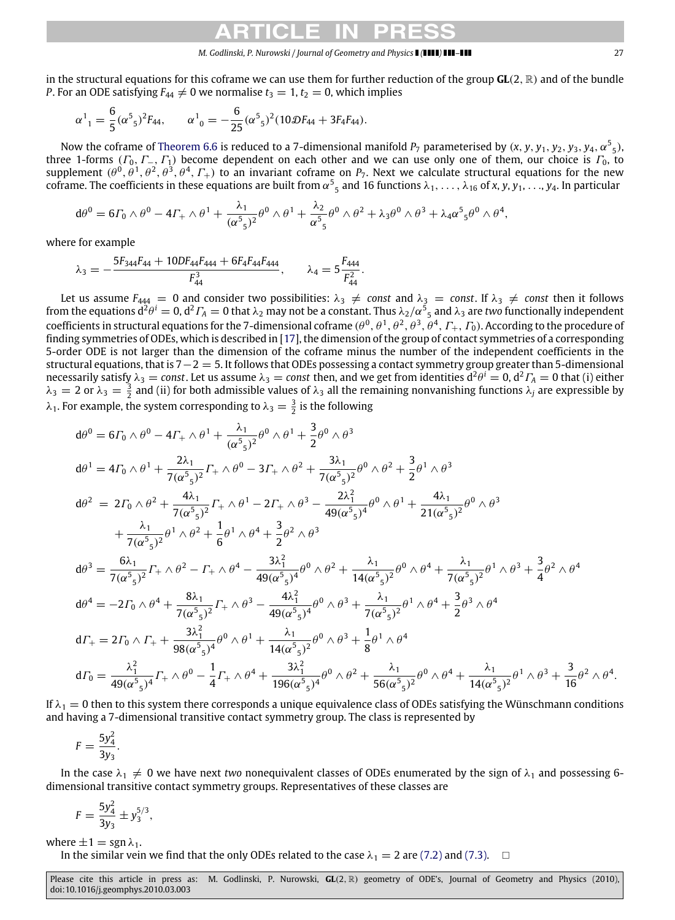#### *M. Godlinski, P. Nurowski / Journal of Geometry and Physics ( ) –* 27

 .

in the structural equations for this coframe we can use them for further reduction of the group **GL**(2, R) and of the bundle *P*. For an ODE satisfying  $F_{44} \neq 0$  we normalise  $t_3 = 1, t_2 = 0$ , which implies

$$
{\alpha^1}_1 = \frac{6}{5}({\alpha^5}_5)^2F_{44}, \qquad {\alpha^1}_0 = -\frac{6}{25}({\alpha^5}_5)^2(10\mathcal{D}F_{44} + 3F_4F_{44}).
$$

Now the coframe of [Theorem 6.6](#page-23-0) is reduced to a 7-dimensional manifold  $P_7$  parameterised by  $(x, y, y_1, y_2, y_3, y_4, \alpha^5$ <sub>5</sub>), three 1-forms  $(\Gamma_0, \Gamma_-, \Gamma_1)$  become dependent on each other and we can use only one of them, our choice is  $\Gamma_0$ , to supplement  $(\theta^0, \theta^1, \theta^2, \theta^3, \theta^4, \Gamma_+)$  to an invariant coframe on  $P_7$ . Next we calculate structural equations for the new coframe. The coefficients in these equations are built from  $\alpha^5$ <sub>5</sub> and 16 functions λ<sub>1</sub>, . . . , λ<sub>16</sub> of x, y, y<sub>1</sub>, . . ., y<sub>4</sub>. In particular

$$
d\theta^0 = 6\Gamma_0 \wedge \theta^0 - 4\Gamma_+ \wedge \theta^1 + \frac{\lambda_1}{(\alpha^5 s)^2} \theta^0 \wedge \theta^1 + \frac{\lambda_2}{\alpha^5 s} \theta^0 \wedge \theta^2 + \lambda_3 \theta^0 \wedge \theta^3 + \lambda_4 \alpha^5 s \theta^0 \wedge \theta^4,
$$

where for example

$$
\lambda_3 = -\frac{5F_{344}F_{44} + 10DF_{44}F_{444} + 6F_4F_{44}F_{444}}{F_{44}^3}, \qquad \lambda_4 = 5\frac{F_{444}}{F_{44}^2}.
$$

Let us assume  $F_{444} = 0$  and consider two possibilities:  $\lambda_3 \neq const$  and  $\lambda_3 = const$ . If  $\lambda_3 \neq const$  then it follows from the equations d<sup>2</sup> $\theta^i=0$ , d<sup>2</sup> $\varGamma_A=0$  that  $\lambda_2$  may not be a constant. Thus  $\lambda_2/\alpha^5{}_5$  and  $\lambda_3$  are *two* functionally independent coefficients in structural equations for the 7-dimensional coframe  $(\theta^0,\theta^1,\theta^2,\theta^3,\theta^4,\varGamma_+,\varGamma_0)$ . According to the procedure of finding symmetries of ODEs, which is described in [\[17\]](#page-36-8), the dimension of the group of contact symmetries of a corresponding 5-order ODE is not larger than the dimension of the coframe minus the number of the independent coefficients in the structural equations, that is  $7-2 = 5$ . It follows that ODEs possessing a contact symmetry group greater than 5-dimensional necessarily satisfy  $\lambda_3=$  *const*. Let us assume  $\lambda_3=$  *const* then, and we get from identities d $^2\theta^i=0$ , d $^2\varGamma_A=0$  that (i) either  $\lambda_3=2$  or  $\lambda_3=\frac{3}{2}$  and (ii) for both admissible values of  $\lambda_3$  all the remaining nonvanishing functions  $\lambda_j$  are expressible by  $\lambda_1$ . For example, the system corresponding to  $\lambda_3 = \frac{3}{2}$  is the following

$$
d\theta^{0} = 6\Gamma_{0} \wedge \theta^{0} - 4\Gamma_{+} \wedge \theta^{1} + \frac{\lambda_{1}}{(\alpha^{5}_{5})^{2}} \theta^{0} \wedge \theta^{1} + \frac{3}{2} \theta^{0} \wedge \theta^{3}
$$
  
\n
$$
d\theta^{1} = 4\Gamma_{0} \wedge \theta^{1} + \frac{2\lambda_{1}}{7(\alpha^{5}_{5})^{2}} \Gamma_{+} \wedge \theta^{0} - 3\Gamma_{+} \wedge \theta^{2} + \frac{3\lambda_{1}}{7(\alpha^{5}_{5})^{2}} \theta^{0} \wedge \theta^{2} + \frac{3}{2} \theta^{1} \wedge \theta^{3}
$$
  
\n
$$
d\theta^{2} = 2\Gamma_{0} \wedge \theta^{2} + \frac{4\lambda_{1}}{7(\alpha^{5}_{5})^{2}} \Gamma_{+} \wedge \theta^{1} - 2\Gamma_{+} \wedge \theta^{3} - \frac{2\lambda_{1}^{2}}{49(\alpha^{5}_{5})^{4}} \theta^{0} \wedge \theta^{1} + \frac{4\lambda_{1}}{21(\alpha^{5}_{5})^{2}} \theta^{0} \wedge \theta^{3}
$$
  
\n
$$
+ \frac{\lambda_{1}}{7(\alpha^{5}_{5})^{2}} \theta^{1} \wedge \theta^{2} + \frac{1}{6} \theta^{1} \wedge \theta^{4} + \frac{3}{2} \theta^{2} \wedge \theta^{3}
$$
  
\n
$$
d\theta^{3} = \frac{6\lambda_{1}}{7(\alpha^{5}_{5})^{2}} \Gamma_{+} \wedge \theta^{2} - \Gamma_{+} \wedge \theta^{4} - \frac{3\lambda_{1}^{2}}{49(\alpha^{5}_{5})^{4}} \theta^{0} \wedge \theta^{2} + \frac{\lambda_{1}}{14(\alpha^{5}_{5})^{2}} \theta^{0} \wedge \theta^{4} + \frac{\lambda_{1}}{7(\alpha^{5}_{5})^{2}} \theta^{1} \wedge \theta^{3} + \frac{3}{4} \theta^{2} \wedge \theta^{4}
$$
  
\n
$$
d\theta^{4} = -2\Gamma_{0} \wedge \theta^{4} + \frac{8\lambda_{1}}{7(\alpha^{5}_{5})^{2}} \Gamma_{+} \wedge \theta^{3} - \frac{4\lambda_{1}^{2}}{49(\alpha^{5}_{5
$$

If  $\lambda_1 = 0$  then to this system there corresponds a unique equivalence class of ODEs satisfying the Wünschmann conditions and having a 7-dimensional transitive contact symmetry group. The class is represented by

$$
F=\frac{5y_4^2}{3y_3}.
$$

In the case  $\lambda_1 \neq 0$  we have next *two* nonequivalent classes of ODEs enumerated by the sign of  $\lambda_1$  and possessing 6dimensional transitive contact symmetry groups. Representatives of these classes are

$$
F = \frac{5y_4^2}{3y_3} \pm y_3^{5/3},
$$

where  $\pm 1 = \text{sgn } \lambda_1$ .

In the similar vein we find that the only ODEs related to the case  $\lambda_1 = 2$  are [\(7.2\)](#page-25-1) and [\(7.3\).](#page-25-2)  $\Box$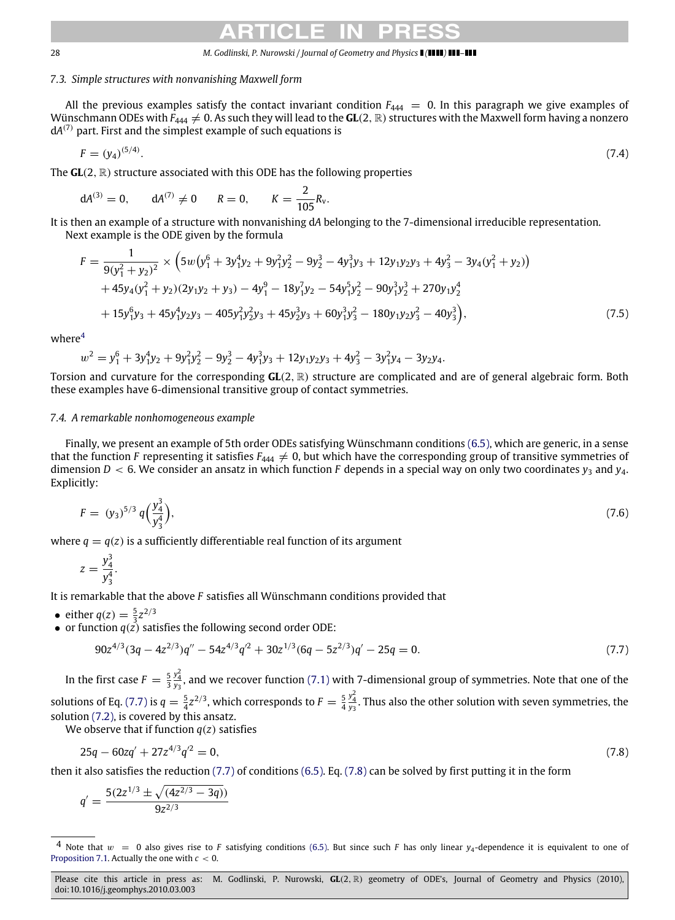#### 28 *M. Godlinski, P. Nurowski / Journal of Geometry and Physics ( ) –*

#### *7.3. Simple structures with nonvanishing Maxwell form*

All the previous examples satisfy the contact invariant condition  $F_{444} = 0$ . In this paragraph we give examples of Wünschmann ODEs with  $F_{444} \neq 0$ . As such they will lead to the **GL**(2, R) structures with the Maxwell form having a nonzero d*A* (7) part. First and the simplest example of such equations is

$$
F = (y_4)^{(5/4)}.\tag{7.4}
$$

The **GL**(2, R) structure associated with this ODE has the following properties

$$
dA^{(3)} = 0, \qquad dA^{(7)} \neq 0 \qquad R = 0, \qquad K = \frac{2}{105}R_v.
$$

It is then an example of a structure with nonvanishing d*A* belonging to the 7-dimensional irreducible representation. Next example is the ODE given by the formula

$$
F = \frac{1}{9(y_1^2 + y_2)^2} \times \left(5w(y_1^6 + 3y_1^4y_2 + 9y_1^2y_2^2 - 9y_2^3 - 4y_1^3y_3 + 12y_1y_2y_3 + 4y_3^2 - 3y_4(y_1^2 + y_2)\right) + 45y_4(y_1^2 + y_2)(2y_1y_2 + y_3) - 4y_1^9 - 18y_1^7y_2 - 54y_1^5y_2^2 - 90y_1^3y_2^3 + 270y_1y_2^4 + 15y_1^6y_3 + 45y_1^4y_2y_3 - 405y_1^2y_2^2y_3 + 45y_2^3y_3 + 60y_1^3y_3^2 - 180y_1y_2y_3^2 - 40y_3^3
$$
 (7.5)

where<sup>[4](#page-27-0)</sup>

$$
w^2 = y_1^6 + 3y_1^4y_2 + 9y_1^2y_2^2 - 9y_2^3 - 4y_1^3y_3 + 12y_1y_2y_3 + 4y_3^2 - 3y_1^2y_4 - 3y_2y_4.
$$

Torsion and curvature for the corresponding **GL**(2, R) structure are complicated and are of general algebraic form. Both these examples have 6-dimensional transitive group of contact symmetries.

#### *7.4. A remarkable nonhomogeneous example*

Finally, we present an example of 5th order ODEs satisfying Wünschmann conditions [\(6.5\),](#page-18-2) which are generic, in a sense that the function *F* representing it satisfies  $F_{444} \neq 0$ , but which have the corresponding group of transitive symmetries of dimension  $D < 6$ . We consider an ansatz in which function *F* depends in a special way on only two coordinates  $y_3$  and  $y_4$ . Explicitly:

<span id="page-27-3"></span>
$$
F = (y_3)^{5/3} q \left( \frac{y_4^3}{y_3^4} \right), \tag{7.6}
$$

where  $q = q(z)$  is a sufficiently differentiable real function of its argument

$$
z=\frac{y_4^3}{y_3^4}.
$$

It is remarkable that the above *F* satisfies all Wünschmann conditions provided that

• either  $q(z) = \frac{5}{3}z^{2/3}$ 

• check  $q(z) = \frac{3}{3}z$  satisfies the following second order ODE:

<span id="page-27-2"></span><span id="page-27-1"></span>
$$
90z^{4/3}(3q - 4z^{2/3})q'' - 54z^{4/3}q'^2 + 30z^{1/3}(6q - 5z^{2/3})q' - 25q = 0.
$$
\n(7.7)

In the first case  $F = \frac{5}{3}$  $\frac{y_4^2}{y_3}$ , and we recover function [\(7.1\)](#page-25-0) with 7-dimensional group of symmetries. Note that one of the solutions of Eq. [\(7.7\)](#page-27-1) is  $q = \frac{5}{4}z^{2/3}$ , which corresponds to  $F = \frac{5}{4}$  $\frac{y_4^2}{y_3}$ . Thus also the other solution with seven symmetries, the solution [\(7.2\),](#page-25-1) is covered by this ansatz.

We observe that if function *q*(*z*) satisfies

$$
25q - 60zq' + 27z^{4/3}q^{2} = 0,
$$
\n(7.8)

then it also satisfies the reduction  $(7.7)$  of conditions  $(6.5)$ . Eq.  $(7.8)$  can be solved by first putting it in the form

$$
q' = \frac{5(2z^{1/3} \pm \sqrt{(4z^{2/3} - 3q)})}{9z^{2/3}}
$$

<span id="page-27-0"></span><sup>4</sup> Note that  $w = 0$  also gives rise to *F* satisfying conditions [\(6.5\).](#page-18-2) But since such *F* has only linear  $y_4$ -dependence it is equivalent to one of [Proposition 7.1.](#page-24-3) Actually the one with *c* < 0.

Please cite this article in press as: M. Godlinski, P. Nurowski, **GL**(2, R) geometry of ODE's, Journal of Geometry and Physics (2010), doi:10.1016/j.geomphys.2010.03.003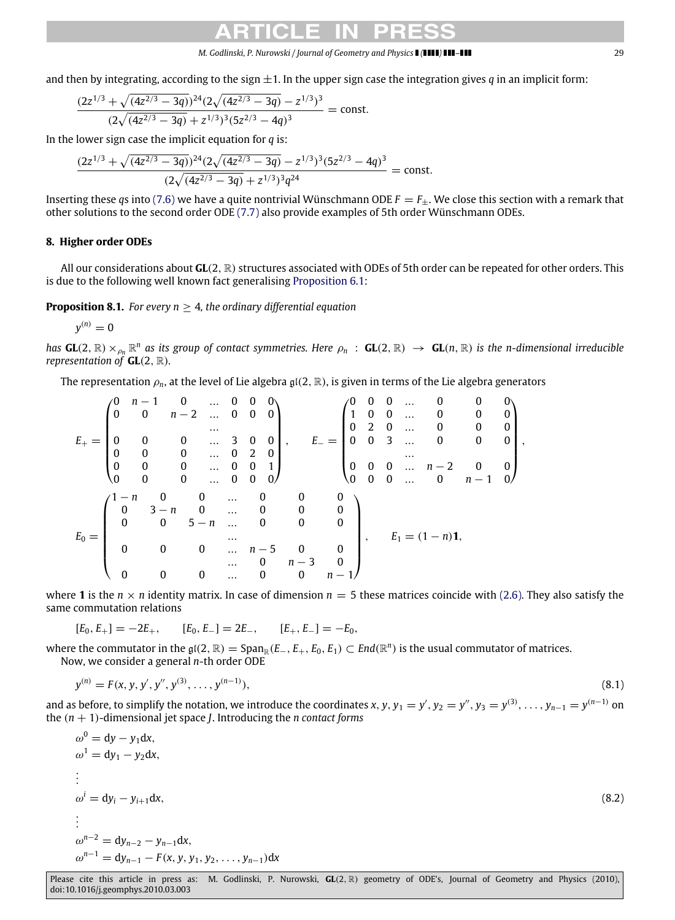#### *M. Godlinski, P. Nurowski / Journal of Geometry and Physics ( ) –* 29

and then by integrating, according to the sign  $\pm 1$ . In the upper sign case the integration gives *q* in an implicit form:

$$
\frac{(2z^{1/3} + \sqrt{(4z^{2/3} - 3q)})^{24}(2\sqrt{(4z^{2/3} - 3q)} - z^{1/3})^3}{(2\sqrt{(4z^{2/3} - 3q)} + z^{1/3})^3(5z^{2/3} - 4q)^3} = \text{const.}
$$

In the lower sign case the implicit equation for *q* is:

$$
\frac{(2z^{1/3} + \sqrt{(4z^{2/3} - 3q)})^{24}(2\sqrt{(4z^{2/3} - 3q)} - z^{1/3})^3(5z^{2/3} - 4q)^3}{(2\sqrt{(4z^{2/3} - 3q)} + z^{1/3})^3q^{24}} = \text{const.}
$$

Inserting these *qs* into [\(7.6\)](#page-27-3) we have a quite nontrivial Wünschmann ODE  $F = F_{\pm}$ . We close this section with a remark that other solutions to the second order ODE [\(7.7\)](#page-27-1) also provide examples of 5th order Wünschmann ODEs.

#### <span id="page-28-0"></span>**8. Higher order ODEs**

All our considerations about **GL**(2, R) structures associated with ODEs of 5th order can be repeated for other orders. This is due to the following well known fact generalising [Proposition 6.1:](#page-17-3)

**Proposition 8.1.** *For every n*  $\geq$  4*, the ordinary differential equation* 

<span id="page-28-2"></span>
$$
y^{(n)}=0
$$

*has*  $GL(2, \mathbb{R}) \times_{\rho_n} \mathbb{R}^n$  as its group of contact symmetries. Here  $\rho_n$  :  $GL(2, \mathbb{R}) \to GL(n, \mathbb{R})$  is the n-dimensional irreducible *representation of* **GL**(2, R)*.*

The representation  $\rho_n$ , at the level of Lie algebra  $\mathfrak{gl}(2,\mathbb{R})$ , is given in terms of the Lie algebra generators

$$
E_{+} = \begin{pmatrix} 0 & n-1 & 0 & \dots & 0 & 0 & 0 \\ 0 & 0 & n-2 & \dots & 0 & 0 & 0 \\ 0 & 0 & 0 & \dots & 3 & 0 & 0 \\ 0 & 0 & 0 & \dots & 0 & 2 & 0 \\ 0 & 0 & 0 & \dots & 0 & 0 & 1 \\ 0 & 0 & 0 & \dots & 0 & 0 & 0 \end{pmatrix}, \qquad E_{-} = \begin{pmatrix} 0 & 0 & 0 & \dots & 0 & 0 & 0 \\ 1 & 0 & 0 & \dots & 0 & 0 & 0 \\ 0 & 2 & 0 & \dots & 0 & 0 & 0 \\ 0 & 0 & 3 & \dots & 0 & 0 & 0 \\ 0 & 0 & 0 & \dots & n-2 & 0 & 0 \\ 0 & 0 & 0 & \dots & 0 & n-1 & 0 \end{pmatrix}
$$

$$
E_{0} = \begin{pmatrix} 1-n & 0 & 0 & \dots & 0 & 0 & 0 \\ 0 & 3-n & 0 & \dots & 0 & 0 & 0 \\ 0 & 0 & 5-n & \dots & 0 & 0 & 0 \\ 0 & 0 & 0 & \dots & n-5 & 0 & 0 \\ 0 & \dots & n-5 & 0 & 0 & 0 \\ 0 & 0 & 0 & \dots & 0 & n-1 \end{pmatrix}, \qquad E_{1} = (1-n)1,
$$

where **1** is the  $n \times n$  identity matrix. In case of dimension  $n = 5$  these matrices coincide with [\(2.6\).](#page-7-4) They also satisfy the same commutation relations

$$
[E_0, E_+] = -2E_+, \qquad [E_0, E_-] = 2E_-, \qquad [E_+, E_-] = -E_0,
$$

where the commutator in the  $\mathfrak{gl}(2,\mathbb{R})=\text{Span}_{\mathbb{R}}(E_-,E_+,E_0,E_1)\subset \text{End}(\mathbb{R}^n)$  is the usual commutator of matrices. Now, we consider a general *n*-th order ODE

$$
y^{(n)} = F(x, y, y', y'', y^{(3)}, \dots, y^{(n-1)}),
$$
\n(8.1)

and as before, to simplify the notation, we introduce the coordinates *x*, *y*, *y*<sub>1</sub> = *y'*, *y*<sub>2</sub> = *y''*, *y*<sub>3</sub> = *y*<sup>(3)</sup>, . . . . , *y*<sub>n-1</sub> = *y*<sup>(n-1)</sup> on the (*n* + 1)-dimensional jet space *J*. Introducing the *n contact forms*

$$
\omega^{0} = dy - y_{1}dx,
$$
  
\n
$$
\omega^{1} = dy_{1} - y_{2}dx,
$$
  
\n
$$
\vdots
$$
  
\n
$$
\omega^{i} = dy_{i} - y_{i+1}dx,
$$
  
\n
$$
\vdots
$$
  
\n
$$
\omega^{n-2} = dy_{n-2} - y_{n-1}dx,
$$
  
\n
$$
\omega^{n-1} = dy_{n-1} - F(x, y, y_{1}, y_{2}, ..., y_{n-1})dx
$$
 (8.2)

Please cite this article in press as: M. Godlinski, P. Nurowski, **GL**(2, R) geometry of ODE's, Journal of Geometry and Physics (2010), doi:10.1016/j.geomphys.2010.03.003

<span id="page-28-3"></span><span id="page-28-1"></span>,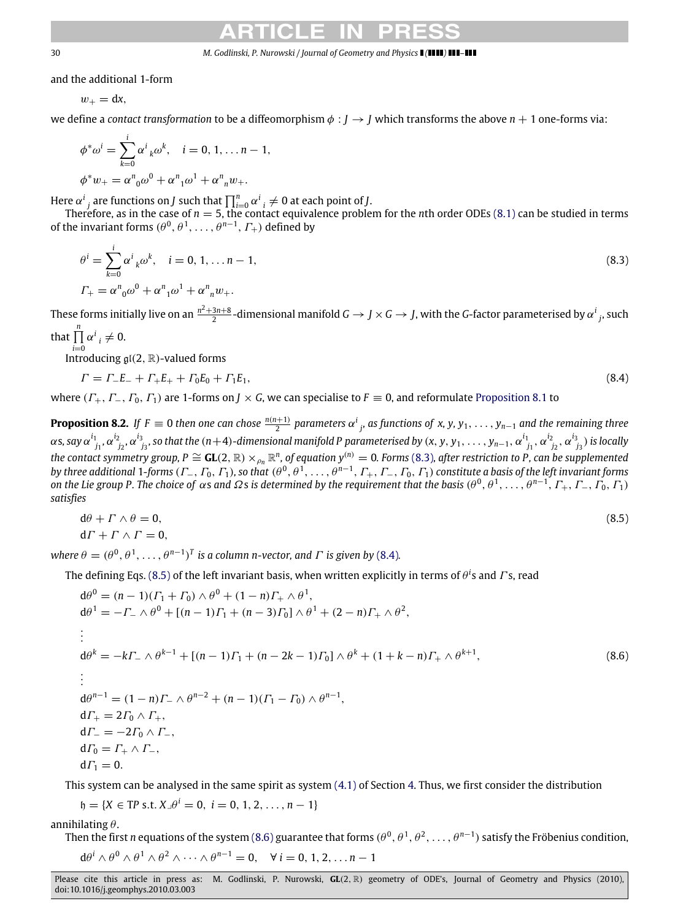#### 30 *M. Godlinski, P. Nurowski / Journal of Geometry and Physics ( ) –*

and the additional 1-form

 $w_+ = dx$ ,

we define a *contact transformation* to be a diffeomorphism  $\phi: I \to I$  which transforms the above  $n + 1$  one-forms via:

$$
\phi^* \omega^i = \sum_{k=0}^i {\alpha^i}_{k} \omega^k, \quad i = 0, 1, \dots n-1,
$$
  

$$
\phi^* w_+ = {\alpha^n}_{0} \omega^0 + {\alpha^n}_{1} \omega^1 + {\alpha^n}_{n} w_+.
$$

Here  $\alpha^{i}{}_{j}$  are functions on *J* such that  $\prod_{i=0}^{n} \alpha^{i}{}_{i} \neq 0$  at each point of *J*.

Therefore, as in the case of *n* = 5, the contact equivalence problem for the *n*th order ODEs [\(8.1\)](#page-28-1) can be studied in terms of the invariant forms  $(\theta^0, \theta^1, \dots, \theta^{n-1}, \Gamma_+)$  defined by

<span id="page-29-0"></span>
$$
\theta^{i} = \sum_{k=0}^{i} \alpha^{i}{}_{k} \omega^{k}, \quad i = 0, 1, \dots n - 1,
$$
  

$$
\Gamma_{+} = \alpha^{n}{}_{0} \omega^{0} + \alpha^{n}{}_{1} \omega^{1} + \alpha^{n}{}_{n} w_{+}.
$$
 (8.3)

These forms initially live on an  $\frac{n^2+3n+8}{2}$  -dimensional manifold  $G\to J\times G\to J$ , with the *G*-factor parameterised by  $\alpha^i_{\:\:j}$ , such

that 
$$
\prod_{i=0}^n \alpha^i_{i} \neq 0.
$$

Introducing  $\mathfrak{gl}(2,\mathbb{R})$ -valued forms

<span id="page-29-4"></span><span id="page-29-1"></span>
$$
\Gamma = \Gamma_{-}E_{-} + \Gamma_{+}E_{+} + \Gamma_{0}E_{0} + \Gamma_{1}E_{1}, \tag{8.4}
$$

where  $(\Gamma_+, \Gamma_-, \Gamma_0, \Gamma_1)$  are 1-forms on  $\gamma \times G$ , we can specialise to  $F \equiv 0$ , and reformulate [Proposition 8.1](#page-28-2) to

**Proposition 8.2.** If  $F \equiv 0$  then one can chose  $\frac{n(n+1)}{2}$  parameters  $\alpha^i_{j'}$  as functions of x, y, y<sub>1</sub>, . . . , y<sub>n–1</sub> and the remaining three  $\alpha$ s, say  $\alpha^{i_1}_{\;\;j_1},\alpha^{i_2}_{\;\;j_2},\alpha^{i_3}_{\;\;j_3}$ , so that the (n+4)-dimensional manifold P parameterised by (x, y, y,  $\ldots$  , y $_{n-1},\alpha^{i_1}_{\;\;j_1},\alpha^{i_2}_{\;\;j_2},\alpha^{i_3}_{\;\;j_3})$  is locally  $\det$  *the contact symmetry group, P*  $\cong$  **GL**(2,  $\mathbb{R}) \times_{\rho_n} \mathbb{R}^n$ , of equation y<sup>(n)</sup> = 0. Forms [\(8.3\)](#page-29-0), after restriction to P, can be supplemented by three additional 1-forms (F\_, F<sub>0</sub>, F<sub>1</sub>), so that  $(\theta^0,\theta^1,\dots,\theta^{n-1},$  F<sub>+</sub>, F\_, F<sub>0</sub>, F<sub>1</sub>) constitute a basis of the left invariant forms *on the Lie group P. The choice of*  $\alpha$ *s and*  $\Omega$ *s is determined by the requirement that the basis*  $(\theta^0, \theta^1, \ldots, \theta^{n-1}, \Gamma_+, \Gamma_-, \Gamma_0, \Gamma_1)$ *satisfies*

<span id="page-29-2"></span>
$$
d\theta + \Gamma \wedge \theta = 0, \tag{8.5}
$$
  
\n
$$
d\Gamma + \Gamma \wedge \Gamma = 0,
$$

where  $\theta = (\theta^0, \theta^1, \dots, \theta^{n-1})^T$  *is a column n-vector, and*  $\Gamma$  *is given by* [\(8.4\)](#page-29-1)*.* 

The defining Eqs. [\(8.5\)](#page-29-2) of the left invariant basis, when written explicitly in terms of θ *i* s and Γ s, read

<span id="page-29-3"></span>
$$
d\theta^{0} = (n-1)(\Gamma_{1} + \Gamma_{0}) \wedge \theta^{0} + (1-n)\Gamma_{+} \wedge \theta^{1},
$$
  
\n
$$
d\theta^{1} = -\Gamma_{-} \wedge \theta^{0} + [(n-1)\Gamma_{1} + (n-3)\Gamma_{0}] \wedge \theta^{1} + (2-n)\Gamma_{+} \wedge \theta^{2},
$$
  
\n
$$
\vdots
$$
  
\n
$$
d\theta^{k} = -k\Gamma_{-} \wedge \theta^{k-1} + [(n-1)\Gamma_{1} + (n-2k-1)\Gamma_{0}] \wedge \theta^{k} + (1+k-n)\Gamma_{+} \wedge \theta^{k+1},
$$
  
\n
$$
\vdots
$$
  
\n
$$
d\theta^{n-1} = (1-n)\Gamma_{-} \wedge \theta^{n-2} + (n-1)(\Gamma_{1} - \Gamma_{0}) \wedge \theta^{n-1},
$$
  
\n
$$
d\Gamma_{+} = 2\Gamma_{0} \wedge \Gamma_{+},
$$
  
\n
$$
d\Gamma_{-} = -2\Gamma_{0} \wedge \Gamma_{-},
$$
  
\n
$$
d\Gamma_{0} = \Gamma_{+} \wedge \Gamma_{-},
$$
  
\n
$$
d\Gamma_{1} = 0.
$$
  
\n(8.6)

This system can be analysed in the same spirit as system [\(4.1\)](#page-11-1) of Section [4.](#page-11-0) Thus, we first consider the distribution

 $h = {X \in \text{TP s.t. } X \lrcorner \theta^i = 0, i = 0, 1, 2, \ldots, n-1}$ 

annihilating  $\theta$ .

Then the first *n* equations of the system [\(8.6\)](#page-29-3) guarantee that forms ( $\theta^0, \theta^1, \theta^2, \ldots, \theta^{n-1}$ ) satisfy the Fröbenius condition,

$$
d\theta^{i} \wedge \theta^{0} \wedge \theta^{1} \wedge \theta^{2} \wedge \cdots \wedge \theta^{n-1} = 0, \quad \forall i = 0, 1, 2, \ldots n-1
$$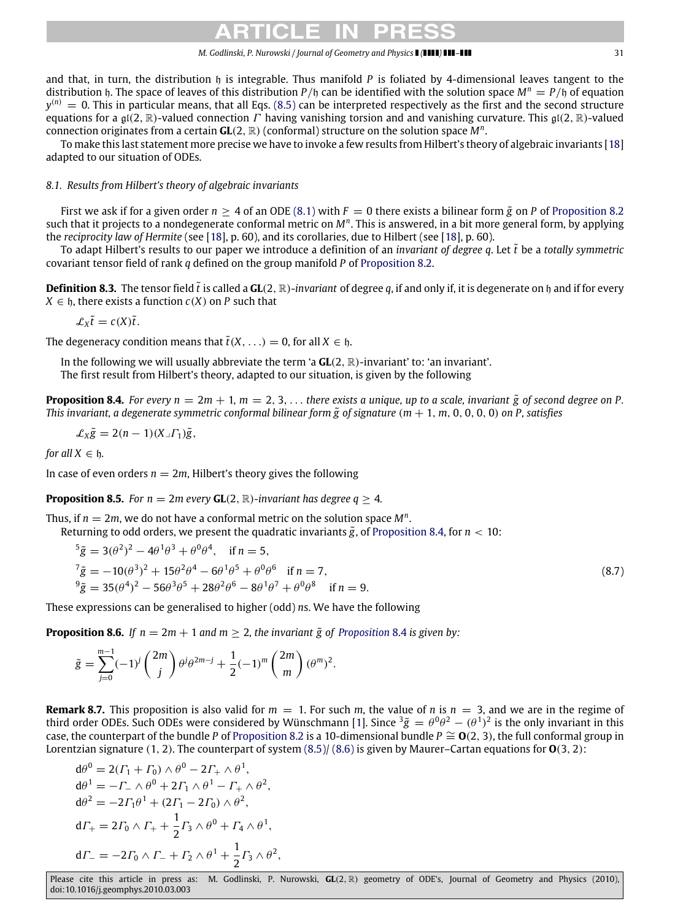#### *M. Godlinski, P. Nurowski / Journal of Geometry and Physics ( ) –* 31

and that, in turn, the distribution h is integrable. Thus manifold *P* is foliated by 4-dimensional leaves tangent to the distribution h. The space of leaves of this distribution *P*/h can be identified with the solution space *M<sup>n</sup>* = *P*/h of equation  $y^{(n)}\,=\,0.$  This in particular means, that all Eqs. [\(8.5\)](#page-29-2) can be interpreted respectively as the first and the second structure equations for a  $\alpha(2, \mathbb{R})$ -valued connection  $\Gamma$  having vanishing torsion and and vanishing curvature. This  $\alpha(2, \mathbb{R})$ -valued connection originates from a certain **GL**(2, R) (conformal) structure on the solution space *M<sup>n</sup>* .

To make this last statement more precise we have to invoke a few results from Hilbert's theory of algebraic invariants [\[18\]](#page-36-9) adapted to our situation of ODEs.

#### *8.1. Results from Hilbert's theory of algebraic invariants*

First we ask if for a given order  $n > 4$  of an ODE [\(8.1\)](#page-28-1) with  $F = 0$  there exists a bilinear form  $\tilde{g}$  on P of [Proposition 8.2](#page-29-4) such that it projects to a nondegenerate conformal metric on *M<sup>n</sup>* . This is answered, in a bit more general form, by applying the *reciprocity law of Hermite* (see [\[18\]](#page-36-9), p. 60), and its corollaries, due to Hilbert (see [\[18\]](#page-36-9), p. 60).

To adapt Hilbert's results to our paper we introduce a definition of an *invariant of degree q*. Let *t*˜ be a *totally symmetric* covariant tensor field of rank *q* defined on the group manifold *P* of [Proposition 8.2.](#page-29-4)

**Definition 8.3.** The tensor field  $\tilde{t}$  is called a  $GL(2, \mathbb{R})$ -*invariant* of degree *q*, if and only if, it is degenerate on h and if for every  $X \in \mathfrak{h}$ , there exists a function  $c(X)$  on *P* such that

$$
\mathcal{L}_X \tilde{t} = c(X)\tilde{t}.
$$

The degeneracy condition means that  $\tilde{t}(X, \ldots) = 0$ , for all  $X \in \mathfrak{h}$ .

In the following we will usually abbreviate the term 'a **GL**(2, R)-invariant' to: 'an invariant'. The first result from Hilbert's theory, adapted to our situation, is given by the following

**Proposition 8.4.** *For every n* = 2*m* + 1, *m* = 2, 3, ... *there exists a unique, up to a scale, invariant*  $\tilde{g}$  of second degree on P. *This invariant, a degenerate symmetric conformal bilinear form*  $\tilde{g}$  of signature ( $m + 1, m, 0, 0, 0, 0$ ) on P, satisfies

<span id="page-30-0"></span>
$$
\mathcal{L}_X \tilde{g} = 2(n-1)(X \lrcorner \Gamma_1) \tilde{g},
$$

*for all*  $X \in \mathfrak{h}$ *.* 

 $\overline{a}$ 

In case of even orders  $n = 2m$ , Hilbert's theory gives the following

<span id="page-30-2"></span><span id="page-30-1"></span> $\sim$  100  $\sim$ 

**Proposition 8.5.** *For n* = 2*m every* **GL**(2, R)*-invariant has degree q*  $\geq$  4*.* 

Thus, if  $n = 2m$ , we do not have a conformal metric on the solution space  $M<sup>n</sup>$ .

Returning to odd orders, we present the quadratic invariants  $\tilde{g}$ , of [Proposition 8.4,](#page-30-0) for  $n < 10$ :

$$
{}^{5}\tilde{g} = 3(\theta^{2})^{2} - 4\theta^{1}\theta^{3} + \theta^{0}\theta^{4}, \text{ if } n = 5,
$$
  
\n
$$
{}^{7}\tilde{g} = -10(\theta^{3})^{2} + 15\theta^{2}\theta^{4} - 6\theta^{1}\theta^{5} + \theta^{0}\theta^{6} \text{ if } n = 7,
$$
  
\n
$$
{}^{9}\tilde{g} = 35(\theta^{4})^{2} - 56\theta^{3}\theta^{5} + 28\theta^{2}\theta^{6} - 8\theta^{1}\theta^{7} + \theta^{0}\theta^{8} \text{ if } n = 9.
$$
\n(8.7)

These expressions can be generalised to higher (odd) *n*s. We have the following

**[Proposition](#page-30-0) 8.6.** *If*  $n = 2m + 1$  *and*  $m \geq 2$ *, the invariant*  $\tilde{g}$  *of Proposition* 8.4 *is given by:* 

$$
\tilde{g} = \sum_{j=0}^{m-1} (-1)^j {2m \choose j} \theta^j \theta^{2m-j} + \frac{1}{2} (-1)^m {2m \choose m} (\theta^m)^2.
$$

**Remark 8.7.** This proposition is also valid for  $m = 1$ . For such  $m$ , the value of  $n$  is  $n = 3$ , and we are in the regime of third order ODEs. Such ODEs were considered by Wünschmann [\[1\]](#page-35-0). Since  $^3 \tilde{g} = \theta^0 \theta^2 - (\theta^1)^2$  is the only invariant in this case, the counterpart of the bundle *P* of [Proposition 8.2](#page-29-4) is a 10-dimensional bundle  $P \cong O(2, 3)$ , the full conformal group in Lorentzian signature (1, 2). The counterpart of system [\(8.5\)/](#page-29-2) [\(8.6\)](#page-29-3) is given by Maurer–Cartan equations for **O**(3, 2):

$$
d\theta^{0} = 2(\Gamma_{1} + \Gamma_{0}) \wedge \theta^{0} - 2\Gamma_{+} \wedge \theta^{1},
$$
  
\n
$$
d\theta^{1} = -\Gamma_{-} \wedge \theta^{0} + 2\Gamma_{1} \wedge \theta^{1} - \Gamma_{+} \wedge \theta^{2},
$$
  
\n
$$
d\theta^{2} = -2\Gamma_{1}\theta^{1} + (2\Gamma_{1} - 2\Gamma_{0}) \wedge \theta^{2},
$$
  
\n
$$
d\Gamma_{+} = 2\Gamma_{0} \wedge \Gamma_{+} + \frac{1}{2}\Gamma_{3} \wedge \theta^{0} + \Gamma_{4} \wedge \theta^{1},
$$
  
\n
$$
d\Gamma_{-} = -2\Gamma_{0} \wedge \Gamma_{-} + \Gamma_{2} \wedge \theta^{1} + \frac{1}{2}\Gamma_{3} \wedge \theta^{2},
$$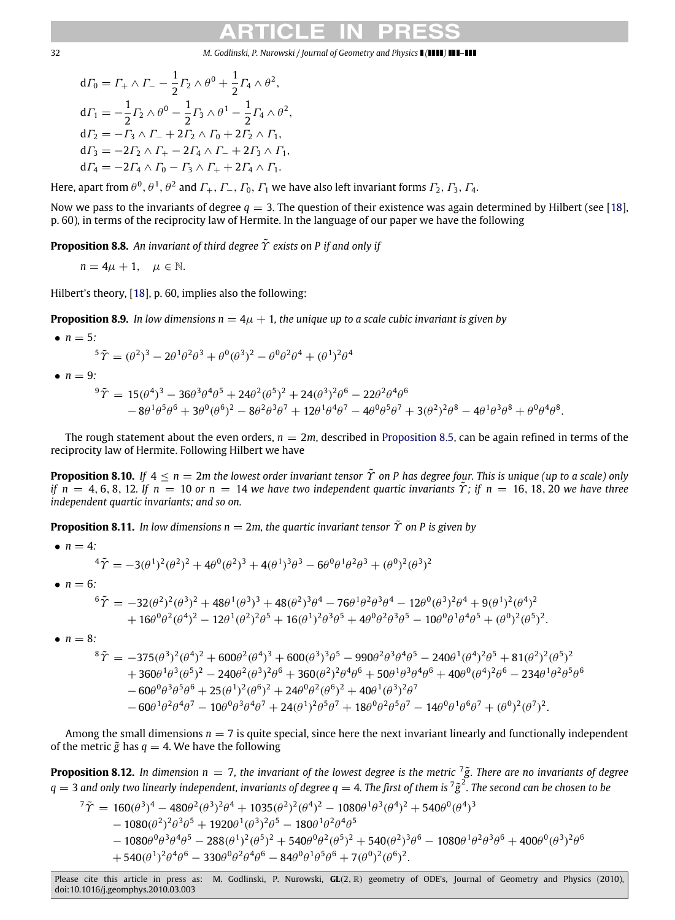32 *M. Godlinski, P. Nurowski / Journal of Geometry and Physics ( ) –*

$$
d\Gamma_0 = \Gamma_+ \wedge \Gamma_- - \frac{1}{2} \Gamma_2 \wedge \theta^0 + \frac{1}{2} \Gamma_4 \wedge \theta^2,
$$
  
\n
$$
d\Gamma_1 = -\frac{1}{2} \Gamma_2 \wedge \theta^0 - \frac{1}{2} \Gamma_3 \wedge \theta^1 - \frac{1}{2} \Gamma_4 \wedge \theta^2,
$$
  
\n
$$
d\Gamma_2 = -\Gamma_3 \wedge \Gamma_- + 2\Gamma_2 \wedge \Gamma_0 + 2\Gamma_2 \wedge \Gamma_1,
$$
  
\n
$$
d\Gamma_3 = -2\Gamma_2 \wedge \Gamma_+ - 2\Gamma_4 \wedge \Gamma_- + 2\Gamma_3 \wedge \Gamma_1,
$$
  
\n
$$
d\Gamma_4 = -2\Gamma_4 \wedge \Gamma_0 - \Gamma_3 \wedge \Gamma_+ + 2\Gamma_4 \wedge \Gamma_1.
$$

Here, apart from  $\theta^0, \theta^1, \theta^2$  and  $\varGamma_+, \varGamma_-, \varGamma_0, \varGamma_1$  we have also left invariant forms  $\varGamma_2, \varGamma_3, \varGamma_4.$ 

Now we pass to the invariants of degree  $q = 3$ . The question of their existence was again determined by Hilbert (see [\[18\]](#page-36-9), p. 60), in terms of the reciprocity law of Hermite. In the language of our paper we have the following

**Proposition 8.8.** An invariant of third degree  $\tilde{\Upsilon}$  exists on P if and only if

<span id="page-31-0"></span>
$$
n=4\mu+1, \quad \mu\in\mathbb{N}.
$$

Hilbert's theory, [\[18\]](#page-36-9), p. 60, implies also the following:

**Proposition 8.9.** In low dimensions  $n = 4\mu + 1$ , the unique up to a scale cubic invariant is given by

• 
$$
n = 5
$$
:  
 ${}^{5}\tilde{\Upsilon} = (\theta^{2})^{3} - 2\theta^{1}\theta^{2}\theta^{3} + \theta^{0}(\theta^{3})^{2} - \theta^{0}\theta^{2}\theta^{4} + (\theta^{1})^{2}\theta^{4}$ 

$$
\bullet \ \ n=9:
$$

$$
{}^{9}\tilde{\Upsilon} = 15(\theta^{4})^{3} - 36\theta^{3}\theta^{4}\theta^{5} + 24\theta^{2}(\theta^{5})^{2} + 24(\theta^{3})^{2}\theta^{6} - 22\theta^{2}\theta^{4}\theta^{6}
$$
  
- 8\theta^{1}\theta^{5}\theta^{6} + 3\theta^{0}(\theta^{6})^{2} - 8\theta^{2}\theta^{3}\theta^{7} + 12\theta^{1}\theta^{4}\theta^{7} - 4\theta^{0}\theta^{5}\theta^{7} + 3(\theta^{2})^{2}\theta^{8} - 4\theta^{1}\theta^{3}\theta^{8} + \theta^{0}\theta^{4}\theta^{8}

The rough statement about the even orders,  $n = 2m$ , described in [Proposition 8.5,](#page-30-1) can be again refined in terms of the reciprocity law of Hermite. Following Hilbert we have

.

**Proposition 8.10.** *If*  $4 \le n = 2m$  *the lowest order invariant tensor*  $\tilde{\Upsilon}$  *on P has degree four. This is unique (up to a scale) only if*  $n = 4, 6, 8, 12$ . *If*  $n = 10$  *or*  $n = 14$  *we have two independent quartic invariants*  $\tilde{\gamma}$ ; *if*  $n = 16, 18, 20$  *we have three independent quartic invariants; and so on.*

<span id="page-31-1"></span>**Proposition 8.11.** *In low dimensions n* = 2*m, the quartic invariant tensor*  $\tilde{\Upsilon}$  *on P is given by* 

• 
$$
n = 4
$$
:  
\n
$$
{}^{4}\tilde{\gamma} = -3(\theta^{1})^{2}(\theta^{2})^{2} + 4\theta^{0}(\theta^{2})^{3} + 4(\theta^{1})^{3}\theta^{3} - 6\theta^{0}\theta^{1}\theta^{2}\theta^{3} + (\theta^{0})^{2}(\theta^{3})^{2}
$$
\n•  $n = 6$ :  
\n
$$
{}^{6}\tilde{\gamma} = -32(\theta^{2})^{2}(\theta^{3})^{2} + 48\theta^{1}(\theta^{3})^{3} + 48(\theta^{2})^{3}\theta^{4} - 76\theta^{1}\theta^{2}\theta^{3}\theta^{4} - 12\theta^{0}(\theta^{3})^{2}\theta^{4} + 9(\theta^{1})^{2}(\theta^{4})^{2}
$$
\n
$$
+ 16\theta^{0}\theta^{2}(\theta^{4})^{2} - 12\theta^{1}(\theta^{2})^{2}\theta^{5} + 16(\theta^{1})^{2}\theta^{3}\theta^{5} + 4\theta^{0}\theta^{2}\theta^{3}\theta^{5} - 10\theta^{0}\theta^{1}\theta^{4}\theta^{5} + (\theta^{0})^{2}(\theta^{5})^{2}.
$$
\n•  $n = 8$ :  
\n
$$
{}^{8}\tilde{\gamma} = -375(\theta^{3})^{2}(\theta^{4})^{2} + 600\theta^{2}(\theta^{4})^{3} + 600(\theta^{3})^{3}\theta^{5} - 990\theta^{2}\theta^{3}\theta^{4}\theta^{5} - 240\theta^{1}(\theta^{4})^{2}\theta^{5} + 81(\theta^{2})^{2}(\theta^{5})^{2}
$$
\n
$$
+ 360\theta^{1}\theta^{3}(\theta^{5})^{2} - 240\theta^{2}(\theta^{3})^{2}\theta^{6} + 360(\theta^{2})^{2}\theta^{4}\theta^{6} + 50\theta^{1}\theta^{3}\theta^{4}\theta^{6} + 40\theta^{0}(\theta^{4})^{2}\theta^{6} - 234\theta^{1}\theta^{2}\theta^{5}\theta^{6}
$$
\n
$$
- 60\theta^{0}\theta^{3}\theta^{5}\theta^{6} + 25(\theta^{1})^{2}(\theta^{6})^{2} + 24\theta^{0}\theta^{2}(\theta^{6})^{2} + 40\theta^{1}(\theta^{
$$

Among the small dimensions  $n = 7$  is quite special, since here the next invariant linearly and functionally independent of the metric  $\tilde{g}$  has  $q = 4$ . We have the following

**Proposition 8.12.** In dimension  $n = 7$ , the invariant of the lowest degree is the metric <sup>7</sup> $\tilde{g}$ . There are no invariants of degree  $q=3$  and only two linearly independent, invariants of degree  $q=4$ . The first of them is  $^7\tilde g^2$ . The second can be chosen to be

<span id="page-31-2"></span>
$$
7\tilde{\Upsilon} = 160(\theta^3)^4 - 480\theta^2(\theta^3)^2\theta^4 + 1035(\theta^2)^2(\theta^4)^2 - 1080\theta^1\theta^3(\theta^4)^2 + 540\theta^0(\theta^4)^3
$$
  
- 1080(\theta^2)^2\theta^3\theta^5 + 1920\theta^1(\theta^3)^2\theta^5 - 180\theta^1\theta^2\theta^4\theta^5  
- 1080\theta^0\theta^3\theta^4\theta^5 - 288(\theta^1)^2(\theta^5)^2 + 540\theta^0\theta^2(\theta^5)^2 + 540(\theta^2)^3\theta^6 - 1080\theta^1\theta^2\theta^3\theta^6 + 400\theta^0(\theta^3)^2\theta^6  
+ 540(\theta^1)^2\theta^4\theta^6 - 330\theta^0\theta^2\theta^4\theta^6 - 84\theta^0\theta^1\theta^5\theta^6 + 7(\theta^0)^2(\theta^6)^2.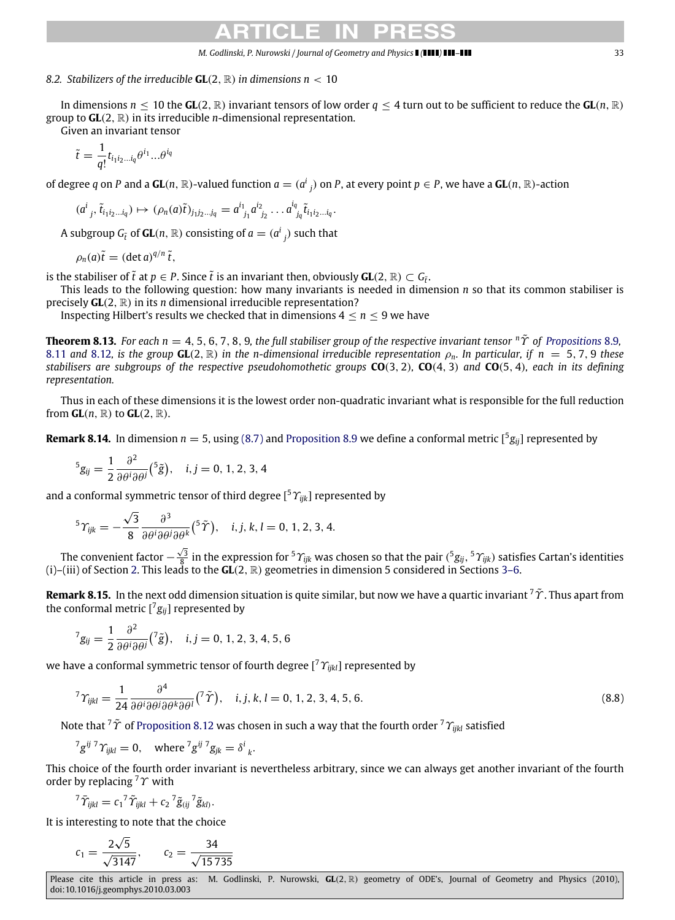#### *M. Godlinski, P. Nurowski / Journal of Geometry and Physics ( ) –* 33

#### *8.2. Stabilizers of the irreducible* **GL**(2, R) *in dimensions n* < 10

In dimensions  $n \le 10$  the GL(2, R) invariant tensors of low order  $q \le 4$  turn out to be sufficient to reduce the GL(*n*, R) group to **GL**(2, R) in its irreducible *n*-dimensional representation.

Given an invariant tensor

$$
\tilde{t} = \frac{1}{q!} t_{i_1 i_2 \dots i_q} \theta^{i_1} \dots \theta^{i_q}
$$

of degree  $q$  on  $P$  and a  $GL(n,\mathbb{R})$ -valued function  $a=(a^i\,\,j)$  on  $P$ , at every point  $p\in P$ , we have a  $GL(n,\mathbb{R})$ -action

$$
(a^i_{j}, \tilde{t}_{i_1 i_2 \dots i_q}) \mapsto (\rho_n(a) \tilde{t})_{j_1 j_2 \dots j_q} = a^{i_1}_{j_1} a^{i_2}_{j_2} \dots a^{i_q}_{j_q} \tilde{t}_{i_1 i_2 \dots i_q}.
$$

A subgroup  $G_{\tilde{t}}$  of  $GL(n, \mathbb{R})$  consisting of  $a = (a^i_{\:\:j})$  such that

$$
\rho_n(a)\tilde{t}=(\det a)^{q/n}\tilde{t},
$$

is the stabiliser of  $\tilde{t}$  at  $p \in P$ . Since  $\tilde{t}$  is an invariant then, obviously  $GL(2, \mathbb{R}) \subset G_{\tilde{t}}$ .

This leads to the following question: how many invariants is needed in dimension *n* so that its common stabiliser is precisely **GL**(2, R) in its *n* dimensional irreducible representation?

Inspecting Hilbert's results we checked that in dimensions  $4 \le n \le 9$  we have

**Theorem 8.13.** *For each n* = 4, 5, 6, 7, 8, 9, the full stabiliser group of the respective invariant tensor  $\tilde{Y}$  of [Propositions](#page-31-0) 8.9, [8.11](#page-31-1) and [8.12](#page-31-2), is the group  $GL(2, \mathbb{R})$  in the n-dimensional irreducible representation  $\rho_n$ . In particular, if  $n = 5, 7, 9$  these *stabilisers are subgroups of the respective pseudohomothetic groups* **CO**(3, 2)*,* **CO**(4, 3) *and* **CO**(5, 4)*, each in its defining representation.*

Thus in each of these dimensions it is the lowest order non-quadratic invariant what is responsible for the full reduction from  $GL(n, \mathbb{R})$  to  $GL(2, \mathbb{R})$ .

**Remark 8.14.** In dimension  $n = 5$ , using [\(8.7\)](#page-30-2) and [Proposition 8.9](#page-31-0) we define a conformal metric  $[^5g_{ij}]$  represented by

$$
{}^5g_{ij}=\frac{1}{2}\frac{\partial^2}{\partial\theta^i\partial\theta^j}({}^5\tilde{g}),\quad i,j=0,\,1,\,2,\,3,\,4
$$

and a conformal symmetric tensor of third degree  $[^5\Upsilon_{ijk}]$  represented by

$$
{}^{5}\Upsilon_{ijk} = -\frac{\sqrt{3}}{8} \frac{\partial^{3}}{\partial \theta^{i} \partial \theta^{j} \partial \theta^{k}} ({}^{5}\tilde{\Upsilon}), \quad i, j, k, l = 0, 1, 2, 3, 4.
$$

The convenient factor  $-\frac{\sqrt{3}}{8}$  in the expression for  $^5\Upsilon_{ijk}$  was chosen so that the pair ( $^5g_{ij}$ ,  $^5\Upsilon_{ijk}$ ) satisfies Cartan's identities (i)–(iii) of Section [2.](#page-5-0) This leads to the **GL**(2, R) geometries in dimension 5 considered in Sections [3–6.](#page-7-0)

**Remark 8.15.** In the next odd dimension situation is quite similar, but now we have a quartic invariant <sup>7</sup> $\tilde{\gamma}$ . Thus apart from the conformal metric  $[^{7}g_{ij}]$  represented by

$$
{}^{7}g_{ij} = \frac{1}{2} \frac{\partial^{2}}{\partial \theta^{i} \partial \theta^{j}}({}^{7}\tilde{g}), \quad i, j = 0, 1, 2, 3, 4, 5, 6
$$

we have a conformal symmetric tensor of fourth degree [ <sup>7</sup>Υ*ijkl*] represented by

<span id="page-32-0"></span>
$$
{}^{7}\Upsilon_{ijkl} = \frac{1}{24} \frac{\partial^{4}}{\partial \theta^{i} \partial \theta^{j} \partial \theta^{k} \partial \theta^{l}}({}^{7}\tilde{\Upsilon}), \quad i, j, k, l = 0, 1, 2, 3, 4, 5, 6. \tag{8.8}
$$

Note that <sup>7</sup> $\tilde{\Upsilon}$  of [Proposition 8.12](#page-31-2) was chosen in such a way that the fourth order <sup>7</sup>  $\gamma_{ijkl}$  satisfied

 ${}^{7}g^{ij} {}^{7}Y_{ijkl} = 0$ , where  ${}^{7}g^{ij} {}^{7}g_{jk} = \delta^{i}{}_{k}$ .

This choice of the fourth order invariant is nevertheless arbitrary, since we can always get another invariant of the fourth order by replacing  $7\gamma$  with

$$
{}^{7}\bar{\Upsilon}_{ijkl}=c_1{}^{7}\tilde{\Upsilon}_{ijkl}+c_2{}^{7}\tilde{g}_{(ij}{}^{7}\tilde{g}_{kl}).
$$

It is interesting to note that the choice

$$
c_1 = \frac{2\sqrt{5}}{\sqrt{3147}}, \qquad c_2 = \frac{34}{\sqrt{15735}}
$$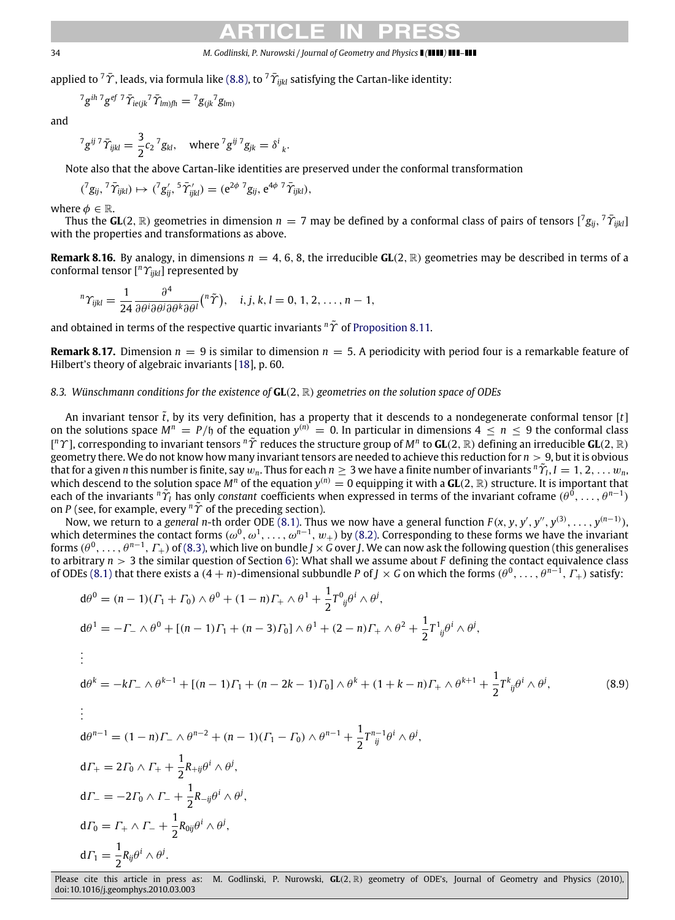#### 34 *M. Godlinski, P. Nurowski / Journal of Geometry and Physics ( ) –*

applied to  $^7\tilde{T}$ , leads, via formula like [\(8.8\),](#page-32-0) to  $^7\tilde{T}_{ijkl}$  satisfying the Cartan-like identity:

$$
{}^{7}g^{ih} {}^{7}g^{ef} {}^{7} \tilde{\gamma}_{ie(jk} {}^{7} \tilde{\gamma}_{lm)fh} = {}^{7}g_{(jk} {}^{7}g_{lm)}
$$

and

$$
{}^{7}g^{ij} {}^{7} \bar{\gamma}_{ijkl} = \frac{3}{2} c_2 {}^{7}g_{kl}, \text{ where } {}^{7}g^{ij} {}^{7}g_{jk} = \delta^{i}_{k}.
$$

Note also that the above Cartan-like identities are preserved under the conformal transformation

$$
({}^7g_{ij}, {}^7\tilde{T}_{ijkl}) \mapsto ({}^7g'_{ij}, {}^5\tilde{T}'_{ijkl}) = (e^{2\phi} \, {}^7g_{ij}, e^{4\phi} \, {}^7\tilde{T}_{ijkl}),
$$

where  $\phi \in \mathbb{R}$ .

Thus the  $GL(2,\mathbb{R})$  geometries in dimension  $n=7$  may be defined by a conformal class of pairs of tensors  $[^7g_{ij}, ^7\tilde{T}_{ijkl}]$ with the properties and transformations as above.

**Remark 8.16.** By analogy, in dimensions  $n = 4, 6, 8$ , the irreducible **GL**(2, R) geometries may be described in terms of a conformal tensor  $\left[ {}^{n}\Upsilon_{ijkl} \right]$  represented by

$$
{}^{n}\Upsilon_{ijkl}=\frac{1}{24}\frac{\partial^{4}}{\partial\theta^{i}\partial\theta^{j}\partial\theta^{k}\partial\theta^{l}}({}^{n}\tilde{\Upsilon}),\quad i,j,k,l=0,\,1,\,2,\,\ldots,\,n-1,
$$

and obtained in terms of the respective quartic invariants  $n\tilde{\gamma}$  of [Proposition 8.11.](#page-31-1)

**Remark 8.17.** Dimension  $n = 9$  is similar to dimension  $n = 5$ . A periodicity with period four is a remarkable feature of Hilbert's theory of algebraic invariants [\[18\]](#page-36-9), p. 60.

#### *8.3. Wünschmann conditions for the existence of* **GL**(2, R) *geometries on the solution space of ODEs*

An invariant tensor  $\tilde{t}$ , by its very definition, has a property that it descends to a nondegenerate conformal tensor  $[t]$ on the solutions space  $M^n = P/\mathfrak{h}$  of the equation  $y^{(n)} = 0$ . In particular in dimensions  $4 \leq n \leq 9$  the conformal class [ *<sup>n</sup>*Υ ], corresponding to invariant tensors *<sup>n</sup>*Υ˜ reduces the structure group of *<sup>M</sup><sup>n</sup>* to **GL**(2, R) defining an irreducible **GL**(2, R) geometry there. We do not know how many invariant tensors are needed to achieve this reduction for *n* > 9, but it is obvious that for a given  $n$  this number is finite, say  $w_n.$  Thus for each  $n\geq 3$  we have a finite number of invariants  $^n\widetilde{Y}_l$ ,  $I=1,2,\ldots w_n$ , which descend to the solution space M<sup>n</sup> of the equation  $y^{(n)}=0$  equipping it with a  $GL(2,\mathbb{R})$  structure. It is important that each of the invariants  ${}^n\tilde{\gamma}_I$  has only *constant* coefficients when expressed in terms of the invariant coframe  $(\theta^0,\ldots,\theta^{n-1})$ on *P* (see, for example, every  $n\tilde{\gamma}$  of the preceding section).

Now, we return to a *general n*-th order ODE [\(8.1\).](#page-28-1) Thus we now have a general function  $F(x, y, y', y'', y^{(3)}, \ldots, y^{(n-1)}),$ which determines the contact forms  $(\omega^0, \omega^1, \ldots, \omega^{n-1}, w_+)$  by [\(8.2\).](#page-28-3) Corresponding to these forms we have the invariant forms  $(\theta^0,\ldots,\theta^{n-1},\Gamma_+)$  of [\(8.3\),](#page-29-0) which live on bundle *J* × *G* over *J*. We can now ask the following question (this generalises to arbitrary *n* > 3 the similar question of Section [6\)](#page-17-0): What shall we assume about *F* defining the contact equivalence class of ODEs [\(8.1\)](#page-28-1) that there exists a  $(4+n)$ -dimensional subbundle P of  $J \times G$  on which the forms  $(\theta^0, \ldots, \theta^{n-1}, \Gamma_+)$  satisfy:

<span id="page-33-0"></span>
$$
d\theta^{0} = (n - 1)(\Gamma_{1} + \Gamma_{0}) \wedge \theta^{0} + (1 - n)\Gamma_{+} \wedge \theta^{1} + \frac{1}{2}\Gamma^{0}_{ij}\theta^{i} \wedge \theta^{j},
$$
  
\n
$$
d\theta^{1} = -\Gamma_{-} \wedge \theta^{0} + [(n - 1)\Gamma_{1} + (n - 3)\Gamma_{0}] \wedge \theta^{1} + (2 - n)\Gamma_{+} \wedge \theta^{2} + \frac{1}{2}\Gamma^{1}_{ij}\theta^{i} \wedge \theta^{j},
$$
  
\n
$$
\vdots
$$
  
\n
$$
d\theta^{k} = -k\Gamma_{-} \wedge \theta^{k-1} + [(n - 1)\Gamma_{1} + (n - 2k - 1)\Gamma_{0}] \wedge \theta^{k} + (1 + k - n)\Gamma_{+} \wedge \theta^{k+1} + \frac{1}{2}\Gamma^{k}_{ij}\theta^{i} \wedge \theta^{j},
$$
  
\n
$$
\vdots
$$
  
\n
$$
d\theta^{n-1} = (1 - n)\Gamma_{-} \wedge \theta^{n-2} + (n - 1)(\Gamma_{1} - \Gamma_{0}) \wedge \theta^{n-1} + \frac{1}{2}\Gamma^{n-1}_{ij}\theta^{i} \wedge \theta^{j},
$$
  
\n
$$
d\Gamma_{+} = 2\Gamma_{0} \wedge \Gamma_{+} + \frac{1}{2}R_{+ij}\theta^{i} \wedge \theta^{j},
$$
  
\n
$$
d\Gamma_{-} = -2\Gamma_{0} \wedge \Gamma_{-} + \frac{1}{2}R_{-ij}\theta^{i} \wedge \theta^{j},
$$
  
\n
$$
d\Gamma_{0} = \Gamma_{+} \wedge \Gamma_{-} + \frac{1}{2}R_{0ij}\theta^{i} \wedge \theta^{j},
$$
  
\n
$$
d\Gamma_{1} = \frac{1}{2}R_{ij}\theta^{i} \wedge \theta^{j}.
$$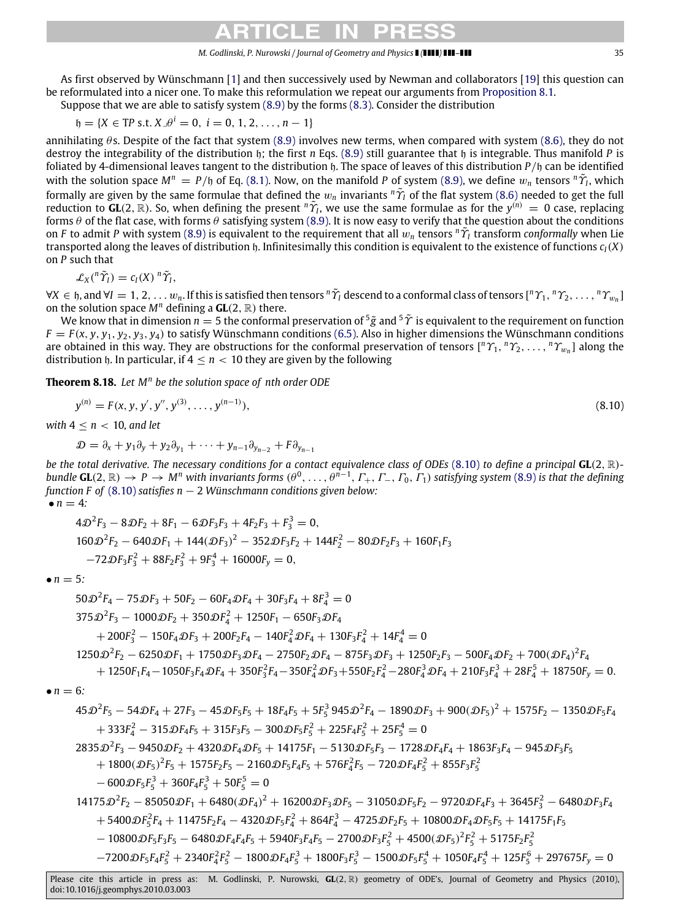#### <span id="page-34-0"></span>*M. Godlinski, P. Nurowski / Journal of Geometry and Physics ( ) –* 35

As first observed by Wünschmann [\[1\]](#page-35-0) and then successively used by Newman and collaborators [\[19\]](#page-36-10) this question can be reformulated into a nicer one. To make this reformulation we repeat our arguments from [Proposition 8.1.](#page-28-2)

Suppose that we are able to satisfy system [\(8.9\)](#page-33-0) by the forms [\(8.3\).](#page-29-0) Consider the distribution

$$
h = \{X \in \text{TP s.t. } X \lrcorner \theta^i = 0, \ i = 0, 1, 2, \dots, n-1\}
$$

annihilating  $\theta$  s. Despite of the fact that system [\(8.9\)](#page-33-0) involves new terms, when compared with system [\(8.6\),](#page-29-3) they do not destroy the integrability of the distribution h; the first *n* Eqs. [\(8.9\)](#page-33-0) still guarantee that h is integrable. Thus manifold *P* is foliated by 4-dimensional leaves tangent to the distribution h. The space of leaves of this distribution *P*/h can be identified with the solution space  $M^n = P/6$  of Eq. [\(8.1\).](#page-28-1) Now, on the manifold *P* of system [\(8.9\),](#page-33-0) we define  $w_n$  tensors  $^n\tilde{\gamma}_i$ , which formally are given by the same formulae that defined the  $w_n$  invariants  ${}^n\widetilde{Y}_I$  of the flat system [\(8.6\)](#page-29-3) needed to get the full reduction to  $GL(2, \mathbb{R})$ . So, when defining the present  ${}^n\tilde{\gamma}_I$ , we use the same formulae as for the  $y^{(n)} = 0$  case, replacing forms  $\theta$  of the flat case, with forms  $\theta$  satisfying system [\(8.9\).](#page-33-0) It is now easy to verify that the question about the conditions on *F* to admit *P* with system [\(8.9\)](#page-33-0) is equivalent to the requirement that all  $w_n$  tensors  $^n\tilde{\gamma}_1$  transform *conformally* when Lie transported along the leaves of distribution  $\mathfrak{h}$ . Infinitesimally this condition is equivalent to the existence of functions  $c_I(X)$ on *P* such that

$$
\mathcal{L}_X({}^n\tilde{\varUpsilon}_I)=c_I(X)\,{}^n\tilde{\varUpsilon}_I,
$$

 $\forall X\in\mathfrak{h},$  and  $\forall I=1,2,\ldots w_n.$  If this is satisfied then tensors  $^n\widetilde{\varUpsilon}_I$  descend to a conformal class of tensors [ $^n\Upsilon_1,$   $^n\Upsilon_2,\ldots,$   $^n\Upsilon_{w_n}$ ] on the solution space  $M^n$  defining a  $GL(2, \mathbb{R})$  there.

We know that in dimension  $n=5$  the conformal preservation of  $^5\tilde{g}$  and  $^5\tilde{\Upsilon}$  is equivalent to the requirement on function  $F = F(x, y, y_1, y_2, y_3, y_4)$  to satisfy Wünschmann conditions [\(6.5\).](#page-18-2) Also in higher dimensions the Wünschmann conditions are obtained in this way. They are obstructions for the conformal preservation of tensors  $[{}^n\Upsilon_1,{}^n\Upsilon_2,\ldots,{}^n\Upsilon_{w_n}]$  along the distribution  $\phi$ . In particular, if  $4 \leq n \leq 10$  they are given by the following

**Theorem 8.18.** *Let M<sup>n</sup> be the solution space of nth order ODE*

$$
y^{(n)} = F(x, y, y', y'', y^{(3)}, \dots, y^{(n-1)}),
$$
\n(8.10)

*with*  $4 \leq n < 10$ *, and let* 

$$
\mathcal{D} = \partial_x + y_1 \partial_y + y_2 \partial_{y_1} + \cdots + y_{n-1} \partial_{y_{n-2}} + F \partial_{y_{n-1}}
$$

*be the total derivative. The necessary conditions for a contact equivalence class of ODEs* [\(8.10\)](#page-34-0) *to define a principal* **GL**(2, R) *bundle*  $GL(2, \mathbb{R}) \to P \to M^n$  with invariants forms  $(\theta^0, \ldots, \theta^{n-1}, \Gamma_+, \Gamma_-, \Gamma_0, \Gamma_1)$  satisfying system  $(8.9)$  is that the defining *function F of* [\(8.10\)](#page-34-0) *satisfies n* − 2 *Wünschmann conditions given below:* •  $n = 4$ :

$$
4\mathcal{D}^2F_3 - 8\mathcal{D}F_2 + 8F_1 - 6\mathcal{D}F_3F_3 + 4F_2F_3 + F_3^3 = 0,
$$
  
\n
$$
160\mathcal{D}^2F_2 - 640\mathcal{D}F_1 + 144(\mathcal{D}F_3)^2 - 352\mathcal{D}F_3F_2 + 144F_2^2 - 80\mathcal{D}F_2F_3 + 160F_1F_3
$$
  
\n
$$
-72\mathcal{D}F_3F_3^2 + 88F_2F_3^2 + 9F_3^4 + 16000F_y = 0,
$$

 $\bullet$  *n* = 5:

$$
50\mathcal{D}^2F_4 - 75\mathcal{D}F_3 + 50F_2 - 60F_4\mathcal{D}F_4 + 30F_3F_4 + 8F_4^3 = 0
$$
  
\n
$$
375\mathcal{D}^2F_3 - 1000\mathcal{D}F_2 + 350\mathcal{D}F_4^2 + 1250F_1 - 650F_3\mathcal{D}F_4
$$
  
\n
$$
+ 200F_3^2 - 150F_4\mathcal{D}F_3 + 200F_2F_4 - 140F_4^2\mathcal{D}F_4 + 130F_3F_4^2 + 14F_4^4 = 0
$$
  
\n
$$
1250\mathcal{D}^2F_2 - 6250\mathcal{D}F_1 + 1750\mathcal{D}F_3\mathcal{D}F_4 - 2750F_2\mathcal{D}F_4 - 875F_3\mathcal{D}F_3 + 1250F_2F_3 - 500F_4\mathcal{D}F_2 + 700(\mathcal{D}F_4)^2F_4
$$

*F*4  $+ 1250F_1F_4 - 1050F_3F_4\mathcal{D}F_4 + 350F_3^2F_4 - 350F_4^2\mathcal{D}F_3 + 550F_2F_4^2 - 280F_4^3\mathcal{D}F_4 + 210F_3F_4^3 + 28F_4^5 + 18750F_y = 0.$ 

$$
\bullet n=6:
$$

$$
45\mathcal{D}^2F_5 - 54\mathcal{D}F_4 + 27F_3 - 45\mathcal{D}F_5F_5 + 18F_4F_5 + 5F_5^3945\mathcal{D}^2F_4 - 1890\mathcal{D}F_3 + 900(\mathcal{D}F_5)^2 + 1575F_2 - 1350\mathcal{D}F_5F_4
$$
  
+ 333F\_4^2 - 315\mathcal{D}F\_4F\_5 + 315F\_3F\_5 - 300\mathcal{D}F\_5F\_5^2 + 225F\_4F\_5^2 + 25F\_5^4 = 0  
2835 $\mathcal{D}^2F_3 - 9450\mathcal{D}F_2 + 4320\mathcal{D}F_4\mathcal{D}F_5 + 14175F_1 - 5130\mathcal{D}F_5F_3 - 1728\mathcal{D}F_4F_4 + 1863F_3F_4 - 945\mathcal{D}F_3F_5$ 

$$
+ \ 1800 (\mathcal{D} F_5)^2 F_5 + 1575 F_2 F_5 - 2160 \mathcal{D} F_5 F_4 F_5 + 576 F_4^2 F_5 - 720 \mathcal{D} F_4 F_5^2 + 855 F_3 F_5^2
$$

 $-600\mathcal{D}F_5F_5^3 + 360F_4F_5^3 + 50F_5^5 = 0$ 

$$
14175\mathcal{D}^2F_2 - 85050\mathcal{D}F_1 + 6480(\mathcal{D}F_4)^2 + 16200\mathcal{D}F_3\mathcal{D}F_5 - 31050\mathcal{D}F_5F_2 - 9720\mathcal{D}F_4F_3 + 3645F_3^2 - 6480\mathcal{D}F_3F_4
$$
  
+ 5400\mathcal{D}F\_5^2F\_4 + 11475F\_2F\_4 - 4320\mathcal{D}F\_5F\_4^2 + 864F\_4^3 - 4725\mathcal{D}F\_2F\_5 + 10800\mathcal{D}F\_4\mathcal{D}F\_5F\_5 + 14175F\_1F\_5  
- 10800\mathcal{D}F\_5F\_3F\_5 - 6480\mathcal{D}F\_4F\_4F\_5 + 5940F\_3F\_4F\_5 - 2700\mathcal{D}F\_3F\_5^2 + 4500(\mathcal{D}F\_5)^2F\_5^2 + 5175F\_2F\_5^2  
- 7200\mathcal{D}F\_5F\_4F\_5^2 + 2340F\_4^2F\_5^2 - 1800\mathcal{D}F\_4F\_5^3 + 1800F\_3F\_5^3 - 1500\mathcal{D}F\_5F\_5^4 + 1050F\_4F\_5^4 + 125F\_5^6 + 297675F\_y = 0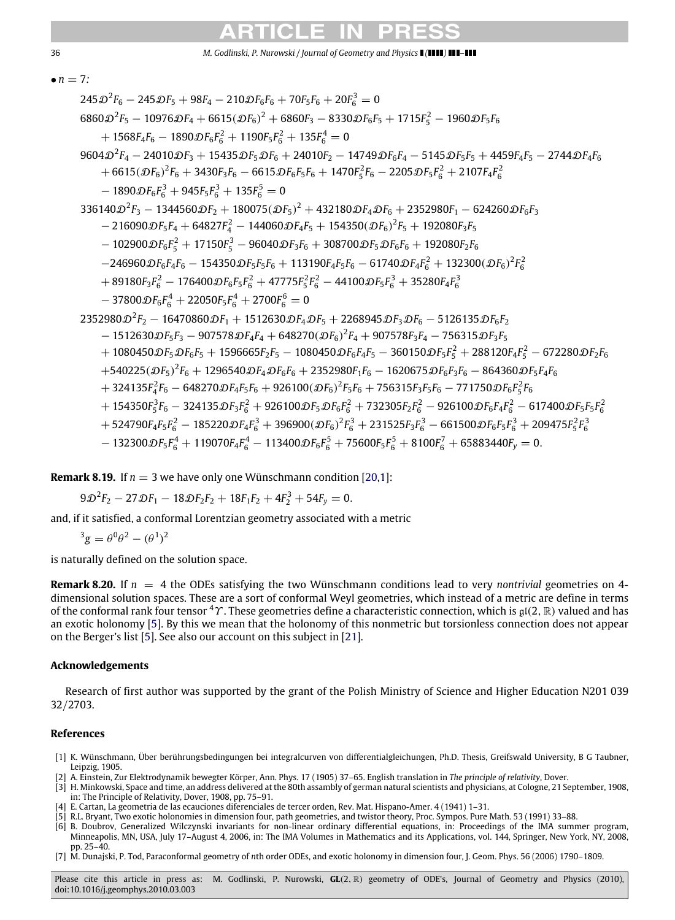### $\bullet$  *n* = 7:  $245\mathcal{D}^2F_6 - 245\mathcal{D}F_5 + 98F_4 - 210\mathcal{D}F_6F_6 + 70F_5F_6 + 20F_6^3 = 0$  $6860\mathcal{D}^2$ F<sub>5</sub>  $10976\mathcal{D}$ F<sub>4</sub>  $+$   $6615(\mathcal{D}$ F<sub>6</sub>) $^2$   $+$   $6860$ F<sub>3</sub>  $8330\mathcal{D}$ F<sub>6</sub>F<sub>5</sub>  $+$   $1715$ F $_5^2$   $1960\mathcal{D}$ F<sub>5</sub>F<sub>6</sub>  $+ 1568F_4F_6 - 1890\mathcal{D}F_6F_6^2 + 1190F_5F_6^2 + 135F_6^4 = 0$ 9604D 2 *F*<sup>4</sup> − 24010D*F*<sup>3</sup> + 15435D*F*5D*F*<sup>6</sup> + 24010*F*<sup>2</sup> − 14749D*F*6*F*<sup>4</sup> − 5145D*F*5*F*<sup>5</sup> + 4459*F*4*F*<sup>5</sup> − 2744D*F*4*F*<sup>6</sup>  $+ 6615(\mathcal{D}F_6)^2 F_6 + 3430 F_3 F_6 - 6615 \mathcal{D}F_6 F_5 F_6 + 1470 F_5^2 F_6 - 2205 \mathcal{D}F_5 F_6^2 + 2107 F_4 F_6^2$  $-1890\mathcal{D}F_6F_6^3 + 945F_5F_6^3 + 135F_6^5 = 0$  $336140\mathcal{D}^2$ F $_3-1344560\mathcal{D}$ F $_2+180075(\mathcal{D}$ F $_5)^2+432180\mathcal{D}$ F $_4$ DF $_6+2352980$ F $_1-624260\mathcal{D}$ F $_6$ F $_3$  $- 216090\mathcal{D}F_5F_4 + 64827F_4^2 - 144060\mathcal{D}F_4F_5 + 154350(\mathcal{D}F_6)^2F_5 + 192080F_3F_5$  $-$  102900 $\mathcal{D}F_6F_5^2 + 17150F_5^3 - 96040\mathcal{D}F_3F_6 + 308700\mathcal{D}F_5\mathcal{D}F_6F_6 + 192080F_2F_6$  $-246960\mathcal{D}F_6F_4F_6 - 154350\mathcal{D}F_5F_5F_6 + 113190F_4F_5F_6 - 61740\mathcal{D}F_4F_6^2 + 132300(\mathcal{D}F_6)^2F_6^2$  $+ 89180$  $F_3F_6^2 - 176400$   $\mathcal{D}F_6F_5F_6^2 + 47775F_5^2F_6^2 - 44100$   $\mathcal{D}F_5F_6^3 + 35280$   $F_4F_6^3$  $-37800\mathcal{D}F_6F_6^4 + 22050F_5F_6^4 + 2700F_6^6 = 0$ 2352980D 2 *F*<sup>2</sup> − 16470860D*F*<sup>1</sup> + 1512630D*F*4D*F*<sup>5</sup> + 2268945D*F*3D*F*<sup>6</sup> − 5126135D*F*6*F*<sup>2</sup>  $-$  1512630 $\mathcal{D}F_5F_3 - 907578\mathcal{D}F_4F_4 + 648270(\mathcal{D}F_6)^2F_4 + 907578F_3F_4 - 756315\mathcal{D}F_3F_5$  $+$  1080450 $\mathcal{D}$ F<sub>5</sub> $\mathcal{D}$ F<sub>6</sub>F<sub>5</sub> + 1596665F<sub>2</sub>F<sub>5</sub>  $-$  1080450 $\mathcal{D}$ F<sub>6</sub>F<sub>4</sub>F<sub>5</sub>  $-$  360150 $\mathcal{D}$ F<sub>5</sub>F $_5^2$  + 288120F $_4$ F $_5^2$   $-$  672280 $\mathcal{D}$ F<sub>2</sub>F $_6$  $+540225(\mathcal{D}F_5)^2$  $F_6 + 1296540\mathcal{D}F_4\mathcal{D}F_6$  $F_6 + 2352980$  $F_1$  $F_6 - 1620675\mathcal{D}F_6$  $F_3$  $F_6 - 864360\mathcal{D}F_5$  $F_4$  $F_6$  $+$  324135 $F_4^2F_6 - 648270\mathcal{D}F_4F_5F_6 + 926100(\mathcal{D}F_6)^2F_5F_6 + 756315F_3F_5F_6 - 771750\mathcal{D}F_6F_5^2F_6$  $+$  154350 $F_5^3F_6 - 324135\mathfrak{D}F_3F_6^2 + 926100\mathfrak{D}F_5\mathfrak{D}F_6F_6^2 + 732305 F_2F_6^2 - 926100\mathfrak{D}F_6F_4F_6^2 - 617400\mathfrak{D}F_5F_5F_6^2$  $+$  524790 $F_4F_5F_6^2 -$  185220 $\mathcal{D}F_4F_6^3 +$  396900 $(\mathcal{D}F_6)^2F_6^3 +$  231525 $F_3F_6^3 -$  661500 $\mathcal{D}F_6F_5F_6^3 +$  209475 $F_5^2F_6^3$  $-$  132300 $\mathcal{D}F_5F_6^4$  + 119070 $F_4F_6^4$  - 113400 $\mathcal{D}F_6F_6^5$  + 75600 $F_5F_6^5$  + 8100 $F_6^7$  + 65883440 $F_y$  = 0.

**ARTICLE IN PRESS**

36 *M. Godlinski, P. Nurowski / Journal of Geometry and Physics ( ) –*

**Remark 8.19.** If  $n = 3$  we have only one Wünschmann condition [\[20](#page-36-11)[,1\]](#page-35-0):

$$
9\mathcal{D}^2F_2 - 27\mathcal{D}F_1 - 18\mathcal{D}F_2F_2 + 18F_1F_2 + 4F_2^3 + 54F_y = 0.
$$

and, if it satisfied, a conformal Lorentzian geometry associated with a metric

$$
^3g = \theta^0 \theta^2 - (\theta^1)^2
$$

is naturally defined on the solution space.

**Remark 8.20.** If  $n = 4$  the ODEs satisfying the two Wünschmann conditions lead to very *nontrivial* geometries on 4dimensional solution spaces. These are a sort of conformal Weyl geometries, which instead of a metric are define in terms of the conformal rank four tensor  ${}^4\Upsilon$ . These geometries define a characteristic connection, which is  $\mathfrak{gl}(2,\mathbb{R})$  valued and has an exotic holonomy [\[5\]](#page-35-4). By this we mean that the holonomy of this nonmetric but torsionless connection does not appear on the Berger's list [\[5\]](#page-35-4). See also our account on this subject in [\[21\]](#page-36-12).

### **Acknowledgements**

Research of first author was supported by the grant of the Polish Ministry of Science and Higher Education N201 039 32/2703.

#### **References**

- <span id="page-35-0"></span>[1] K. Wünschmann, Über berührungsbedingungen bei integralcurven von differentialgleichungen, Ph.D. Thesis, Greifswald University, B G Taubner, Leipzig, 1905.
- <span id="page-35-2"></span>[2] A. Einstein, Zur Elektrodynamik bewegter Körper, Ann. Phys. 17 (1905) 37–65. English translation in *The principle of relativity*, Dover.
- <span id="page-35-3"></span>[3] H. Minkowski, Space and time, an address delivered at the 80th assambly of german natural scientists and physicians, at Cologne, 21 September, 1908, in: The Principle of Relativity, Dover, 1908, pp. 75–91.
- <span id="page-35-1"></span>[4] E. Cartan, La geometria de las ecauciones diferenciales de tercer orden, Rev. Mat. Hispano-Amer. 4 (1941) 1–31.
- <span id="page-35-4"></span>[5] R.L. Bryant, Two exotic holonomies in dimension four, path geometries, and twistor theory, Proc. Sympos. Pure Math. 53 (1991) 33–88.
- <span id="page-35-5"></span>[6] B. Doubrov, Generalized Wilczynski invariants for non-linear ordinary differential equations, in: Proceedings of the IMA summer program, Minneapolis, MN, USA, July 17–August 4, 2006, in: The IMA Volumes in Mathematics and its Applications, vol. 144, Springer, New York, NY, 2008, pp. 25–40.
- [7] M. Dunajski, P. Tod, Paraconformal geometry of *n*th order ODEs, and exotic holonomy in dimension four, J. Geom. Phys. 56 (2006) 1790–1809.